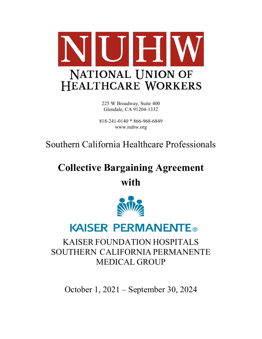

225 W Broadway, Suite 400 Glendale, CA 91204-1332

818-241-0140 \* 866-968-6849 www.nuhw.org

Southern California Healthcare Professionals

# **Collective Bargaining Agreement**

**with** 



# **KAISER PERMANENTE®**

## KAISER FOUNDATION HOSPITALS SOUTHERN CALIFORNIA PERMANENTE MEDICAL GROUP

October 1, 2021 – September 30, 2024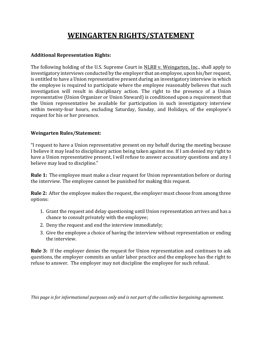### **WEINGARTEN RIGHTS/STATEMENT**

#### **Additional Representation Rights:**

The following holding of the U.S. Supreme Court in NLRB v. Weingarten, Inc., shall apply to investigatory interviews conducted by the employer that an employee, upon his/her request, is entitled to have a Union representative present during an investigatory interview in which the employee is required to participate where the employee reasonably believes that such investigation will result in disciplinary action. The right to the presence of a Union representative (Union Organizer or Union Steward) is conditioned upon a requirement that the Union representative be available for participation in such investigatory interview within twenty-four hours, excluding Saturday, Sunday, and Holidays, of the employee's request for his or her presence.

#### **Weingarten Rules/Statement:**

"I request to have a Union representative present on my behalf during the meeting because I believe it may lead to disciplinary action being taken against me. If I am denied my right to have a Union representative present, I will refuse to answer accusatory questions and any I believe may lead to discipline."

**Rule 1:** The employee must make a clear request for Union representation before or during the interview. The employee cannot be punished for making this request.

**Rule 2:** After the employee makes the request, the employer must choose from among three options:

- 1. Grant the request and delay questioning until Union representation arrives and has a chance to consult privately with the employee;
- 2. Deny the request and end the interview immediately;
- 3. Give the employee a choice of having the interview without representation or ending the interview.

**Rule 3:** If the employer denies the request for Union representation and continues to ask questions, the employer commits an unfair labor practice and the employee has the right to refuse to answer. The employer may not discipline the employee for such refusal.

*This page is for informational purposes only and is not part of the collective bargaining agreement.*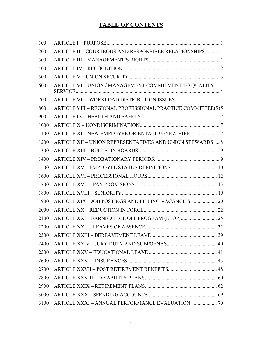### **TABLE OF CONTENTS**

| 100  |                                                             |  |
|------|-------------------------------------------------------------|--|
| 200  | ARTICLE II - COURTEOUS AND RESPONSIBLE RELATIONSHIPS 1      |  |
| 300  |                                                             |  |
| 400  |                                                             |  |
| 500  |                                                             |  |
| 600  | ARTICLE VI - UNION / MANAGEMENT COMMITMENT TO QUALITY       |  |
| 700  |                                                             |  |
| 800  | ARTICLE VIII - REGIONAL PROFESSIONAL PRACTICE COMMITTEE(S)5 |  |
| 900  |                                                             |  |
| 1000 |                                                             |  |
| 1100 |                                                             |  |
| 1200 | ARTICLE XII - UNION REPRESENTATIVES AND UNION STEWARDS  8   |  |
| 1300 |                                                             |  |
| 1400 |                                                             |  |
| 1500 |                                                             |  |
| 1600 |                                                             |  |
| 1700 |                                                             |  |
| 1800 |                                                             |  |
| 1900 | ARTICLE XIX - JOB POSTINGS AND FILLING VACANCIES  20        |  |
| 2000 |                                                             |  |
| 2100 |                                                             |  |
| 2200 |                                                             |  |
| 2300 |                                                             |  |
| 2400 |                                                             |  |
| 2500 |                                                             |  |
| 2600 |                                                             |  |
| 2700 |                                                             |  |
| 2800 |                                                             |  |
| 2900 |                                                             |  |
| 3000 |                                                             |  |
| 3100 |                                                             |  |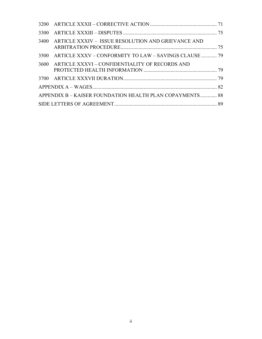|      | 3400 ARTICLE XXXIV - ISSUE RESOLUTION AND GRIEVANCE AND    |  |
|------|------------------------------------------------------------|--|
|      | 3500 ARTICLE XXXV – CONFORMITY TO LAW – SAVINGS CLAUSE  79 |  |
| 3600 | ARTICLE XXXVI – CONFIDENTIALITY OF RECORDS AND             |  |
|      |                                                            |  |
|      |                                                            |  |
|      | APPENDIX B - KAISER FOUNDATION HEALTH PLAN COPAYMENTS 88   |  |
|      |                                                            |  |
|      |                                                            |  |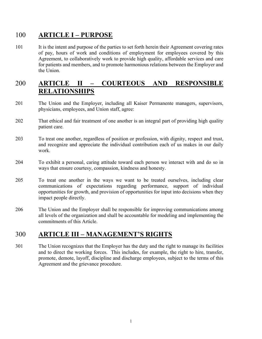### 100 **ARTICLE I – PURPOSE**

101 It is the intent and purpose of the parties to set forth herein their Agreement covering rates of pay, hours of work and conditions of employment for employees covered by this Agreement, to collaboratively work to provide high quality, affordable services and care for patients and members, and to promote harmonious relations between the Employer and the Union.

### 200 **ARTICLE II – COURTEOUS AND RESPONSIBLE RELATIONSHIPS**

- 201 The Union and the Employer, including all Kaiser Permanente managers, supervisors, physicians, employees, and Union staff, agree:
- 202 That ethical and fair treatment of one another is an integral part of providing high quality patient care.
- 203 To treat one another, regardless of position or profession, with dignity, respect and trust, and recognize and appreciate the individual contribution each of us makes in our daily work.
- 204 To exhibit a personal, caring attitude toward each person we interact with and do so in ways that ensure courtesy, compassion, kindness and honesty.
- 205 To treat one another in the ways we want to be treated ourselves, including clear communications of expectations regarding performance, support of individual opportunities for growth, and provision of opportunities for input into decisions when they impact people directly.
- 206 The Union and the Employer shall be responsible for improving communications among all levels of the organization and shall be accountable for modeling and implementing the commitments of this Article.

### 300 **ARTICLE III – MANAGEMENT'S RIGHTS**

301 The Union recognizes that the Employer has the duty and the right to manage its facilities and to direct the working forces. This includes, for example, the right to hire, transfer, promote, demote, layoff, discipline and discharge employees, subject to the terms of this Agreement and the grievance procedure.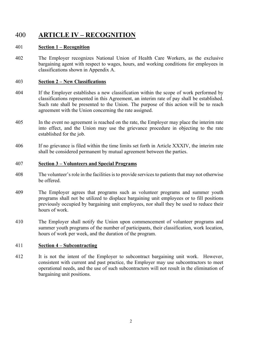### 400 **ARTICLE IV – RECOGNITION**

#### 401 **Section 1 – Recognition**

402 The Employer recognizes National Union of Health Care Workers, as the exclusive bargaining agent with respect to wages, hours, and working conditions for employees in classifications shown in Appendix A.

#### 403 **Section 2 – New Classifications**

- 404 If the Employer establishes a new classification within the scope of work performed by classifications represented in this Agreement, an interim rate of pay shall be established. Such rate shall be presented to the Union. The purpose of this action will be to reach agreement with the Union concerning the rate assigned.
- 405 In the event no agreement is reached on the rate, the Employer may place the interim rate into effect, and the Union may use the grievance procedure in objecting to the rate established for the job.
- 406 If no grievance is filed within the time limits set forth in Article XXXIV, the interim rate shall be considered permanent by mutual agreement between the parties.

#### 407 **Section 3 – Volunteers and Special Programs**

- 408 The volunteer's role in the facilities is to provide services to patients that may not otherwise be offered.
- 409 The Employer agrees that programs such as volunteer programs and summer youth programs shall not be utilized to displace bargaining unit employees or to fill positions previously occupied by bargaining unit employees, nor shall they be used to reduce their hours of work.
- 410 The Employer shall notify the Union upon commencement of volunteer programs and summer youth programs of the number of participants, their classification, work location, hours of work per week, and the duration of the program.

#### 411 **Section 4 – Subcontracting**

412 It is not the intent of the Employer to subcontract bargaining unit work. However, consistent with current and past practice, the Employer may use subcontractors to meet operational needs, and the use of such subcontractors will not result in the elimination of bargaining unit positions.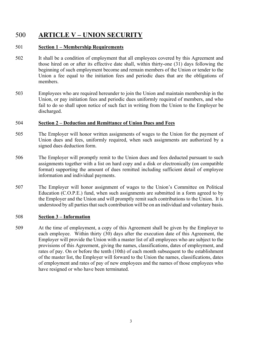### 500 **ARTICLE V – UNION SECURITY**

#### 501 **Section 1 – Membership Requirements**

- 502 It shall be a condition of employment that all employees covered by this Agreement and those hired on or after its effective date shall, within thirty-one (31) days following the beginning of such employment become and remain members of the Union or tender to the Union a fee equal to the initiation fees and periodic dues that are the obligations of members.
- 503 Employees who are required hereunder to join the Union and maintain membership in the Union, or pay initiation fees and periodic dues uniformly required of members, and who fail to do so shall upon notice of such fact in writing from the Union to the Employer be discharged.

#### 504 **Section 2 – Deduction and Remittance of Union Dues and Fees**

- 505 The Employer will honor written assignments of wages to the Union for the payment of Union dues and fees, uniformly required, when such assignments are authorized by a signed dues deduction form.
- 506 The Employer will promptly remit to the Union dues and fees deducted pursuant to such assignments together with a list on hard copy and a disk or electronically (on compatible format) supporting the amount of dues remitted including sufficient detail of employee information and individual payments.
- 507 The Employer will honor assignment of wages to the Union's Committee on Political Education (C.O.P.E.) fund, when such assignments are submitted in a form agreed to by the Employer and the Union and will promptly remit such contributions to the Union. It is understood by all parties that such contribution will be on an individual and voluntary basis.

#### 508 **Section 3 – Information**

509 At the time of employment, a copy of this Agreement shall be given by the Employer to each employee. Within thirty (30) days after the execution date of this Agreement, the Employer will provide the Union with a master list of all employees who are subject to the provisions of this Agreement, giving the names, classifications, dates of employment, and rates of pay. On or before the tenth (10th) of each month subsequent to the establishment of the master list, the Employer will forward to the Union the names, classifications, dates of employment and rates of pay of new employees and the names of those employees who have resigned or who have been terminated.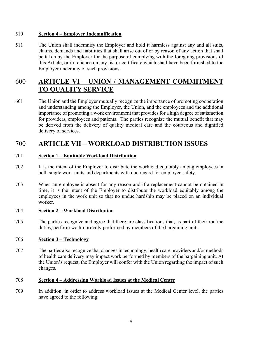#### 510 **Section 4 – Employer Indemnification**

511 The Union shall indemnify the Employer and hold it harmless against any and all suits, claims, demands and liabilities that shall arise out of or by reason of any action that shall be taken by the Employer for the purpose of complying with the foregoing provisions of this Article, or in reliance on any list or certificate which shall have been furnished to the Employer under any of such provisions.

### 600 **ARTICLE VI – UNION / MANAGEMENT COMMITMENT TO QUALITY SERVICE**

601 The Union and the Employer mutually recognize the importance of promoting cooperation and understanding among the Employer, the Union, and the employees and the additional importance of promoting a work environment that provides for a high degree of satisfaction for providers, employees and patients. The parties recognize the mutual benefit that may be derived from the delivery of quality medical care and the courteous and dignified delivery of services.

### 700 **ARTICLE VII – WORKLOAD DISTRIBUTION ISSUES**

#### 701 **Section 1 – Equitable Workload Distribution**

- 702 It is the intent of the Employer to distribute the workload equitably among employees in both single work units and departments with due regard for employee safety.
- 703 When an employee is absent for any reason and if a replacement cannot be obtained in time, it is the intent of the Employer to distribute the workload equitably among the employees in the work unit so that no undue hardship may be placed on an individual worker.

#### 704 **Section 2 – Workload Distribution**

705 The parties recognize and agree that there are classifications that, as part of their routine duties, perform work normally performed by members of the bargaining unit.

#### 706 **Section 3 – Technology**

707 The parties also recognize that changes in technology, health care providers and/or methods of health care delivery may impact work performed by members of the bargaining unit. At the Union's request, the Employer will confer with the Union regarding the impact of such changes.

#### 708 **Section 4 – Addressing Workload Issues at the Medical Center**

709 In addition, in order to address workload issues at the Medical Center level, the parties have agreed to the following: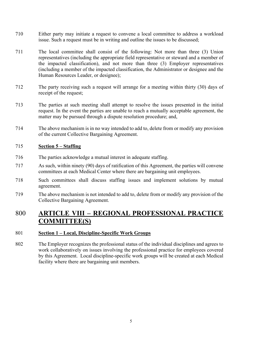- 710 Either party may initiate a request to convene a local committee to address a workload issue. Such a request must be in writing and outline the issues to be discussed;
- 711 The local committee shall consist of the following: Not more than three (3) Union representatives (including the appropriate field representative or steward and a member of the impacted classification), and not more than three (3) Employer representatives (including a member of the impacted classification, the Administrator or designee and the Human Resources Leader, or designee);
- 712 The party receiving such a request will arrange for a meeting within thirty (30) days of receipt of the request;
- 713 The parties at such meeting shall attempt to resolve the issues presented in the initial request. In the event the parties are unable to reach a mutually acceptable agreement, the matter may be pursued through a dispute resolution procedure; and,
- 714 The above mechanism is in no way intended to add to, delete from or modify any provision of the current Collective Bargaining Agreement.

#### 715 **Section 5 – Staffing**

- 716 The parties acknowledge a mutual interest in adequate staffing.
- 717 As such, within ninety (90) days of ratification of this Agreement, the parties will convene committees at each Medical Center where there are bargaining unit employees.
- 718 Such committees shall discuss staffing issues and implement solutions by mutual agreement.
- 719 The above mechanism is not intended to add to, delete from or modify any provision of the Collective Bargaining Agreement.

### 800 **ARTICLE VIII – REGIONAL PROFESSIONAL PRACTICE COMMITTEE(S)**

#### 801 **Section 1 – Local, Discipline-Specific Work Groups**

802 The Employer recognizes the professional status of the individual disciplines and agrees to work collaboratively on issues involving the professional practice for employees covered by this Agreement. Local discipline-specific work groups will be created at each Medical facility where there are bargaining unit members.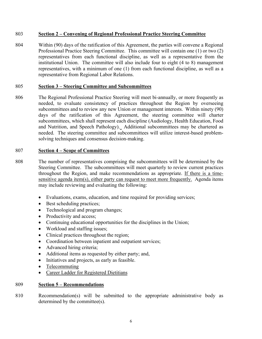#### 803 **Section 2 – Convening of Regional Professional Practice Steering Committee**

804 Within (90) days of the ratification of this Agreement, the parties will convene a Regional Professional Practice Steering Committee. This committee will contain one (1) or two (2) representatives from each functional discipline, as well as a representative from the institutional Union. The committee will also include four to eight (4 to 8) management representatives, with a minimum of one (1) from each functional discipline, as well as a representative from Regional Labor Relations.

#### 805 **Section 3 – Steering Committee and Subcommittees**

806 The Regional Professional Practice Steering will meet bi-annually, or more frequently as needed, to evaluate consistency of practices throughout the Region by overseeing subcommittees and to review any new Union or management interests. Within ninety (90) days of the ratification of this Agreement, the steering committee will charter subcommittees, which shall represent each discipline (Audiology, Health Education, Food and Nutrition, and Speech Pathology). Additional subcommittees may be chartered as needed. The steering committee and subcommittees will utilize interest-based problemsolving techniques and consensus decision-making.

#### 807 **Section 4 – Scope of Committees**

- 808 The number of representatives comprising the subcommittees will be determined by the Steering Committee. The subcommittees will meet quarterly to review current practices throughout the Region, and make recommendations as appropriate. If there is a timesensitive agenda item(s), either party can request to meet more frequently. Agenda items may include reviewing and evaluating the following:
	- Evaluations, exams, education, and time required for providing services;
	- Best scheduling practices;
	- Technological and program changes;
	- Productivity and access;
	- Continuing educational opportunities for the disciplines in the Union;
	- Workload and staffing issues;
	- Clinical practices throughout the region;
	- Coordination between inpatient and outpatient services;
	- Advanced hiring criteria;
	- Additional items as requested by either party; and,
	- Initiatives and projects, as early as feasible.
	- Telecommuting
	- Career Ladder for Registered Dietitians

#### 809 **Section 5 – Recommendations**

810 Recommendation(s) will be submitted to the appropriate administrative body as determined by the committee(s).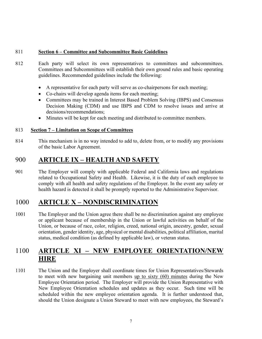#### 811 **Section 6 – Committee and Subcommittee Basic Guidelines**

- 812 Each party will select its own representatives to committees and subcommittees. Committees and Subcommittees will establish their own ground rules and basic operating guidelines. Recommended guidelines include the following:
	- A representative for each party will serve as co-chairpersons for each meeting;
	- Co-chairs will develop agenda items for each meeting;
	- Committees may be trained in Interest Based Problem Solving (IBPS) and Consensus Decision Making (CDM) and use IBPS and CDM to resolve issues and arrive at decisions/recommendations;
	- Minutes will be kept for each meeting and distributed to committee members.

#### 813 **Section 7 – Limitation on Scope of Committees**

814 This mechanism is in no way intended to add to, delete from, or to modify any provisions of the basic Labor Agreement.

### 900 **ARTICLE IX – HEALTH AND SAFETY**

901 The Employer will comply with applicable Federal and California laws and regulations related to Occupational Safety and Health. Likewise, it is the duty of each employee to comply with all health and safety regulations of the Employer. In the event any safety or health hazard is detected it shall be promptly reported to the Administrative Supervisor.

### 1000 **ARTICLE X – NONDISCRIMINATION**

1001 The Employer and the Union agree there shall be no discrimination against any employee or applicant because of membership in the Union or lawful activities on behalf of the Union, or because of race, color, religion, creed, national origin, ancestry, gender, sexual orientation, gender identity, age, physical or mental disabilities, political affiliation, marital status, medical condition (as defined by applicable law), or veteran status.

### 1100 **ARTICLE XI – NEW EMPLOYEE ORIENTATION/NEW HIRE**

1101 The Union and the Employer shall coordinate times for Union Representatives/Stewards to meet with new bargaining unit members up to sixty (60) minutes during the New Employee Orientation period. The Employer will provide the Union Representative with New Employee Orientation schedules and updates as they occur. Such time will be scheduled within the new employee orientation agenda. It is further understood that, should the Union designate a Union Steward to meet with new employees, the Steward's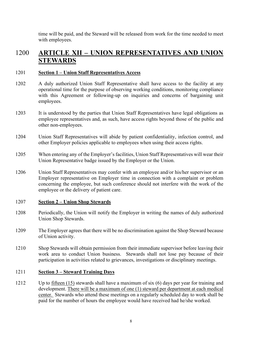time will be paid, and the Steward will be released from work for the time needed to meet with employees.

### 1200 **ARTICLE XII – UNION REPRESENTATIVES AND UNION STEWARDS**

#### 1201 **Section 1 – Union Staff Representatives Access**

- 1202 A duly authorized Union Staff Representative shall have access to the facility at any operational time for the purpose of observing working conditions, monitoring compliance with this Agreement or following-up on inquiries and concerns of bargaining unit employees.
- 1203 It is understood by the parties that Union Staff Representatives have legal obligations as employee representatives and, as such, have access rights beyond those of the public and other non-employees.
- 1204 Union Staff Representatives will abide by patient confidentiality, infection control, and other Employer policies applicable to employees when using their access rights.
- 1205 When entering any of the Employer's facilities, Union Staff Representatives will wear their Union Representative badge issued by the Employer or the Union.
- 1206 Union Staff Representatives may confer with an employee and/or his/her supervisor or an Employer representative on Employer time in connection with a complaint or problem concerning the employee, but such conference should not interfere with the work of the employee or the delivery of patient care.

#### 1207 **Section 2 – Union Shop Stewards**

- 1208 Periodically, the Union will notify the Employer in writing the names of duly authorized Union Shop Stewards.
- 1209 The Employer agrees that there will be no discrimination against the Shop Steward because of Union activity.
- 1210 Shop Stewards will obtain permission from their immediate supervisor before leaving their work area to conduct Union business. Stewards shall not lose pay because of their participation in activities related to grievances, investigations or disciplinary meetings.

#### 1211 **Section 3 – Steward Training Days**

1212 Up to fifteen (15) stewards shall have a maximum of six (6) days per year for training and development. There will be a maximum of one (1) steward per department at each medical center. Stewards who attend these meetings on a regularly scheduled day to work shall be paid for the number of hours the employee would have received had he/she worked.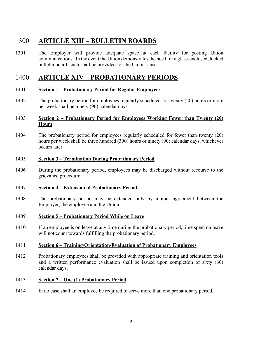### **ARTICLE XIII – BULLETIN BOARDS**

 The Employer will provide adequate space at each facility for posting Union communications. In the event the Union demonstrates the need for a glass-enclosed, locked bulletin board, such shall be provided for the Union's use.

### **ARTICLE XIV – PROBATIONARY PERIODS**

#### **Section 1 – Probationary Period for Regular Employees**

 The probationary period for employees regularly scheduled for twenty (20) hours or more per week shall be ninety (90) calendar days.

#### **Section 2 – Probationary Period for Employees Working Fewer than Twenty (20) Hours**

 The probationary period for employees regularly scheduled for fewer than twenty (20) hours per week shall be three hundred (300) hours or ninety (90) calendar days, whichever occurs later.

#### **Section 3 – Termination During Probationary Period**

 During the probationary period, employees may be discharged without recourse to the grievance procedure.

#### **Section 4 – Extension of Probationary Period**

- The probationary period may be extended only by mutual agreement between the Employer, the employee and the Union.
- **Section 5 Probationary Period While on Leave**
- If an employee is on leave at any time during the probationary period, time spent on leave will not count towards fulfilling the probationary period.

#### **Section 6 – Training/Orientation/Evaluation of Probationary Employees**

 Probationary employees shall be provided with appropriate training and orientation tools and a written performance evaluation shall be issued upon completion of sixty (60) calendar days.

#### **Section 7 – One (1) Probationary Period**

In no case shall an employee be required to serve more than one probationary period.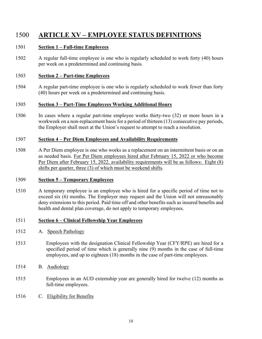### 1500 **ARTICLE XV – EMPLOYEE STATUS DEFINITIONS**

#### 1501 **Section 1 – Full-time Employees**

1502 A regular full-time employee is one who is regularly scheduled to work forty (40) hours per week on a predetermined and continuing basis.

#### 1503 **Section 2 – Part-time Employees**

1504 A regular part-time employee is one who is regularly scheduled to work fewer than forty (40) hours per week on a predetermined and continuing basis.

#### 1505 **Section 3 – Part-Time Employees Working Additional Hours**

1506 In cases where a regular part-time employee works thirty-two (32) or more hours in a workweek on a non-replacement basis for a period of thirteen (13) consecutive pay periods, the Employer shall meet at the Union's request to attempt to reach a resolution.

#### 1507 **Section 4 – Per Diem Employees and Availability Requirements**

1508 A Per Diem employee is one who works as a replacement on an intermittent basis or on an as needed basis. For Per Diem employees hired after February 15, 2022 or who become Per Diem after February 15, 2022, availability requirements will be as follows: Eight (8) shifts per quarter, three (3) of which must be weekend shifts.

#### 1509 **Section 5 – Temporary Employees**

1510 A temporary employee is an employee who is hired for a specific period of time not to exceed six (6) months. The Employer may request and the Union will not unreasonably deny extensions to this period. Paid time off and other benefits such as insured benefits and health and dental plan coverage, do not apply to temporary employees.

#### 1511 **Section 6 – Clinical Fellowship Year Employees**

- 1512 A. Speech Pathology
- 1513 Employees with the designation Clinical Fellowship Year (CFY/RPE) are hired for a specified period of time which is generally nine (9) months in the case of full-time employees, and up to eighteen (18) months in the case of part-time employees.
- 1514 B. Audiology
- 1515 Employees in an AUD externship year are generally hired for twelve (12) months as full-time employees.
- 1516 C. Eligibility for Benefits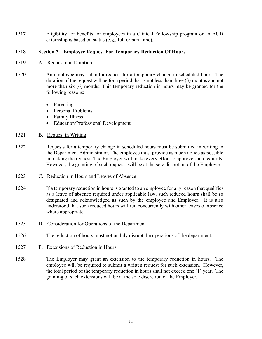1517 Eligibility for benefits for employees in a Clinical Fellowship program or an AUD externship is based on status (e.g., full or part-time).

#### 1518 **Section 7 – Employee Request For Temporary Reduction Of Hours**

- 1519 A. Request and Duration
- 1520 An employee may submit a request for a temporary change in scheduled hours. The duration of the request will be for a period that is not less than three (3) months and not more than six (6) months. This temporary reduction in hours may be granted for the following reasons:
	- Parenting
	- Personal Problems
	- Family Illness
	- Education/Professional Development
- 1521 B. Request in Writing
- 1522 Requests for a temporary change in scheduled hours must be submitted in writing to the Department Administrator. The employee must provide as much notice as possible in making the request. The Employer will make every effort to approve such requests. However, the granting of such requests will be at the sole discretion of the Employer.
- 1523 C. Reduction in Hours and Leaves of Absence
- 1524 If a temporary reduction in hours is granted to an employee for any reason that qualifies as a leave of absence required under applicable law, such reduced hours shall be so designated and acknowledged as such by the employee and Employer. It is also understood that such reduced hours will run concurrently with other leaves of absence where appropriate.
- 1525 D. Consideration for Operations of the Department
- 1526 The reduction of hours must not unduly disrupt the operations of the department.
- 1527 E. Extensions of Reduction in Hours
- 1528 The Employer may grant an extension to the temporary reduction in hours. The employee will be required to submit a written request for such extension. However, the total period of the temporary reduction in hours shall not exceed one (1) year. The granting of such extensions will be at the sole discretion of the Employer.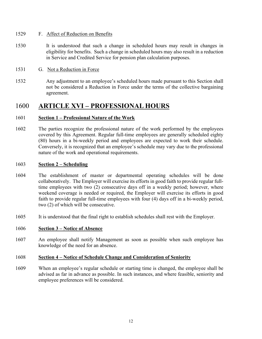#### 1529 F. Affect of Reduction on Benefits

- 1530 It is understood that such a change in scheduled hours may result in changes in eligibility for benefits. Such a change in scheduled hours may also result in a reduction in Service and Credited Service for pension plan calculation purposes.
- 1531 G. Not a Reduction in Force
- 1532 Any adjustment to an employee's scheduled hours made pursuant to this Section shall not be considered a Reduction in Force under the terms of the collective bargaining agreement.

### 1600 **ARTICLE XVI – PROFESSIONAL HOURS**

#### 1601 **Section 1 – Professional Nature of the Work**

1602 The parties recognize the professional nature of the work performed by the employees covered by this Agreement. Regular full-time employees are generally scheduled eighty (80) hours in a bi-weekly period and employees are expected to work their schedule. Conversely, it is recognized that an employee's schedule may vary due to the professional nature of the work and operational requirements.

#### 1603 **Section 2 – Scheduling**

- 1604 The establishment of master or departmental operating schedules will be done collaboratively. The Employer will exercise its efforts in good faith to provide regular fulltime employees with two (2) consecutive days off in a weekly period; however, where weekend coverage is needed or required, the Employer will exercise its efforts in good faith to provide regular full-time employees with four (4) days off in a bi-weekly period, two (2) of which will be consecutive.
- 1605 It is understood that the final right to establish schedules shall rest with the Employer.

#### 1606 **Section 3 – Notice of Absence**

1607 An employee shall notify Management as soon as possible when such employee has knowledge of the need for an absence.

#### 1608 **Section 4 – Notice of Schedule Change and Consideration of Seniority**

1609 When an employee's regular schedule or starting time is changed, the employee shall be advised as far in advance as possible. In such instances, and where feasible, seniority and employee preferences will be considered.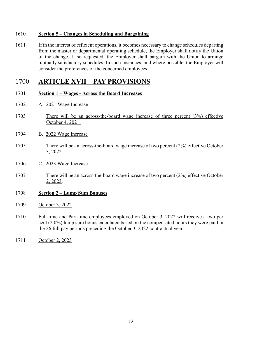#### **Section 5 – Changes in Scheduling and Bargaining**

 If in the interest of efficient operations, it becomes necessary to change schedules departing from the master or departmental operating schedule, the Employer shall notify the Union of the change. If so requested, the Employer shall bargain with the Union to arrange mutually satisfactory schedules. In such instances, and where possible, the Employer will consider the preferences of the concerned employees.

### **ARTICLE XVII – PAY PROVISIONS**

- **Section 1 Wages Across the Board Increases**
- A. 2021 Wage Increase
- There will be an across-the-board wage increase of three percent (3%) effective October 4, 2021.
- B. 2022 Wage Increase
- There will be an across-the-board wage increase of two percent (2%) effective October 3, 2022.
- C. 2023 Wage Increase
- There will be an across-the-board wage increase of two percent (2%) effective October 2, 2023.
- **Section 2 Lump Sum Bonuses**
- October 3, 2022
- Full-time and Part-time employees employed on October 3, 2022 will receive a two per cent (2.0%) lump sum bonus calculated based on the compensated hours they were paid in the 26 full pay periods preceding the October 3, 2022 contractual year.
- October 2, 2023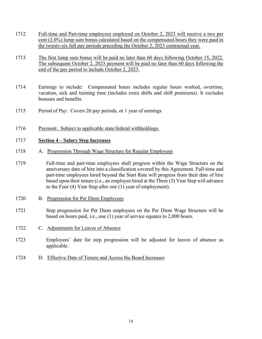- 1712 Full-time and Part-time employees employed on October 2, 2023 will receive a two per cent (2.0%) lump sum bonus calculated based on the compensated hours they were paid in the twenty-six full pay periods preceding the October 2, 2023 contractual year.
- 1713 The first lump sum bonus will be paid no later than 60 days following October 15, 2022. The subsequent October 2, 2023 payment will be paid no later than 60 days following the end of the pay period to include October 2, 2023.
- 1714 Earnings to include: Compensated hours includes regular hours worked, overtime, vacation, sick and training time (includes extra shifts and shift premiums). It excludes bonuses and benefits.
- 1715 Period of Pay: Covers 26 pay periods, or 1 year of earnings
- 1716 Payment: Subject to applicable state/federal withholdings.

#### 1717 **Section 4 – Salary Step Increases**

- 1718 A. Progression Through Wage Structure for Regular Employees
- 1719 Full-time and part-time employees shall progress within the Wage Structure on the anniversary date of hire into a classification covered by this Agreement. Full-time and part-time employees hired beyond the Start Rate will progress from their date of hire based upon their tenure (i.e., an employee hired at the Three (3) Year Step will advance to the Four (4) Year Step after one (1) year of employment).
- 1720 B. Progression for Per Diem Employees
- 1721 Step progression for Per Diem employees on the Per Diem Wage Structure will be based on hours paid, i.e., one (1) year of service equates to 2,000 hours.
- 1722 C. Adjustments for Leaves of Absence
- 1723 Employees' date for step progression will be adjusted for leaves of absence as applicable.
- 1724 D. Effective Date of Tenure and Across the Board Increases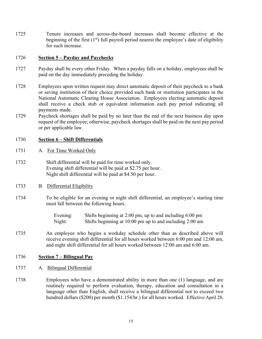1725 Tenure increases and across-the-board increases shall become effective at the beginning of the first  $(1<sup>st</sup>)$  full payroll period nearest the employee's date of eligibility for such increase.

#### 1726 **Section 5 – Payday and Paychecks**

- 1727 Payday shall be every other Friday. When a payday falls on a holiday, employees shall be paid on the day immediately preceding the holiday.
- 1728 Employees upon written request may direct automatic deposit of their paycheck to a bank or saving institution of their choice provided such bank or institution participates in the National Automatic Clearing House Association. Employees electing automatic deposit shall receive a check stub or equivalent information each pay period indicating all payments made.
- 1729 Paycheck shortages shall be paid by no later than the end of the next business day upon request of the employee; otherwise, paycheck shortages shall be paid on the next pay period or per applicable law.

#### 1730 **Section 6 – Shift Differentials**

- 1731 A. For Time Worked Only
- 1732 Shift differential will be paid for time worked only. Evening shift differential will be paid at \$2.75 per hour. Night shift differential will be paid at \$4.50 per hour.
- 1733 B. Differential Eligibility
- 1734 To be eligible for an evening or night shift differential, an employee's starting time must fall between the following hours:

Evening: Shifts beginning at 2:00 pm, up to and including 6:00 pm Night: Shifts beginning at 10:00 pm up to and including 2:00 am

1735 An employee who begins a workday schedule other than as described above will receive evening shift differential for all hours worked between 6:00 pm and 12:00 am, and night shift differential for all hours worked between 12:00 am and 6:00 am.

#### 1736 **Section 7 – Bilingual Pay**

- 1737 A. Bilingual Differential
- 1738 Employees who have a demonstrated ability in more than one (1) language, and are routinely required to perform evaluation, therapy, education and consultation in a language other than English, shall receive a bilingual differential not to exceed two hundred dollars (\$200) per month (\$1.154/hr.) for all hours worked. Effective April 28,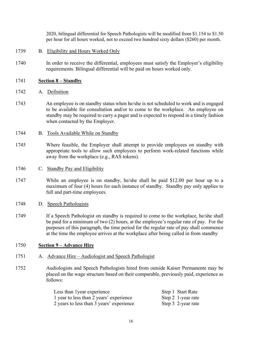2020, bilingual differential for Speech Pathologists will be modified from \$1.154 to \$1.50 per hour for all hours worked, not to exceed two hundred sixty dollars (\$260) per month.

- 1739 B. Eligibility and Hours Worked Only
- 1740 In order to receive the differential, employees must satisfy the Employer's eligibility requirements. Bilingual differential will be paid on hours worked only.
- 1741 **Section 8 Standby**
- 1742 A. Definition
- 1743 An employee is on standby status when he/she is not scheduled to work and is engaged to be available for consultation and/or to come to the workplace. An employee on standby may be required to carry a pager and is expected to respond in a timely fashion when contacted by the Employer.
- 1744 B. Tools Available While on Standby
- 1745 Where feasible, the Employer shall attempt to provide employees on standby with appropriate tools to allow such employees to perform work-related functions while away from the workplace (e.g., RAS tokens).
- 1746 C. Standby Pay and Eligibility
- 1747 While an employee is on standby, he/she shall be paid \$12.00 per hour up to a maximum of four (4) hours for each instance of standby. Standby pay only applies to full and part-time employees.
- 1748 D. Speech Pathologists
- 1749 If a Speech Pathologist on standby is required to come to the workplace, he/she shall be paid for a minimum of two (2) hours, at the employee's regular rate of pay. For the purposes of this paragraph, the time period for the regular rate of pay shall commence at the time the employee arrives at the workplace after being called in from standby

#### 1750 **Section 9 – Advance Hire**

- 1751 A. Advance Hire Audiologist and Speech Pathologist
- 1752 Audiologists and Speech Pathologists hired from outside Kaiser Permanente may be placed on the wage structure based on their comparable, previously paid, experience as follows:

| Less than 1 year experience              | Step 1 Start Rate  |
|------------------------------------------|--------------------|
| 1 year to less than 2 years' experience  | Step 2 1-year rate |
| 2 years to less than 3 years' experience | Step 3 2-year rate |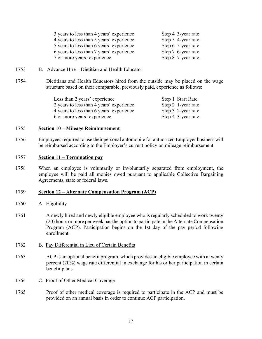| 3 years to less than 4 years' experience | Step 4 3-year rate |
|------------------------------------------|--------------------|
| 4 years to less than 5 years' experience | Step 5 4-year rate |
| 5 years to less than 6 years' experience | Step 6 5-year rate |
| 6 years to less than 7 years' experience | Step 7 6-year rate |
| 7 or more years' experience              | Step 8 7-year rate |

- 1753 B. Advance Hire Dietitian and Health Educator
- 1754 Dietitians and Health Educators hired from the outside may be placed on the wage structure based on their comparable, previously paid, experience as follows:

| Less than 2 years' experience            | Step 1 Start Rate  |
|------------------------------------------|--------------------|
| 2 years to less than 4 years' experience | Step 2 1-year rate |
| 4 years to less than 6 years' experience | Step 3 2-year rate |
| 6 or more years' experience              | Step 4 3-year rate |

#### 1755 **Section 10 – Mileage Reimbursement**

1756 Employees required to use their personal automobile for authorized Employer business will be reimbursed according to the Employer's current policy on mileage reimbursement.

#### 1757 **Section 11 – Termination pay**

1758 When an employee is voluntarily or involuntarily separated from employment, the employee will be paid all monies owed pursuant to applicable Collective Bargaining Agreements, state or federal laws.

#### 1759 **Section 12 – Alternate Compensation Program (ACP)**

- 1760 A. Eligibility
- 1761 A newly hired and newly eligible employee who is regularly scheduled to work twenty (20) hours or more per week has the option to participate in the Alternate Compensation Program (ACP). Participation begins on the 1st day of the pay period following enrollment.
- 1762 B. Pay Differential in Lieu of Certain Benefits
- 1763 ACP is an optional benefit program, which provides an eligible employee with a twenty percent (20%) wage rate differential in exchange for his or her participation in certain benefit plans.
- 1764 C. Proof of Other Medical Coverage
- 1765 Proof of other medical coverage is required to participate in the ACP and must be provided on an annual basis in order to continue ACP participation.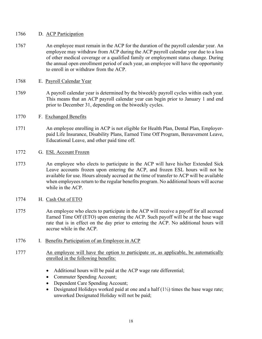#### 1766 D. ACP Participation

1767 An employee must remain in the ACP for the duration of the payroll calendar year. An employee may withdraw from ACP during the ACP payroll calendar year due to a loss of other medical coverage or a qualified family or employment status change. During the annual open enrollment period of each year, an employee will have the opportunity to enroll in or withdraw from the ACP.

#### 1768 E. Payroll Calendar Year

- 1769 A payroll calendar year is determined by the biweekly payroll cycles within each year. This means that an ACP payroll calendar year can begin prior to January 1 and end prior to December 31, depending on the biweekly cycles.
- 1770 F. Exchanged Benefits
- 1771 An employee enrolling in ACP is not eligible for Health Plan, Dental Plan, Employerpaid Life Insurance, Disability Plans, Earned Time Off Program, Bereavement Leave, Educational Leave, and other paid time off.
- 1772 G. ESL Account Frozen
- 1773 An employee who elects to participate in the ACP will have his/her Extended Sick Leave accounts frozen upon entering the ACP, and frozen ESL hours will not be available for use. Hours already accrued at the time of transfer to ACP will be available when employees return to the regular benefits program. No additional hours will accrue while in the ACP.
- 1774 H. Cash Out of ETO
- 1775 An employee who elects to participate in the ACP will receive a payoff for all accrued Earned Time Off (ETO) upon entering the ACP. Such payoff will be at the base wage rate that is in effect on the day prior to entering the ACP. No additional hours will accrue while in the ACP.
- 1776 I. Benefits Participation of an Employee in ACP
- 1777 An employee will have the option to participate or, as applicable, be automatically enrolled in the following benefits:
	- Additional hours will be paid at the ACP wage rate differential;
	- Commuter Spending Account;
	- Dependent Care Spending Account;
	- Designated Holidays worked paid at one and a half  $(1\frac{1}{2})$  times the base wage rate; unworked Designated Holiday will not be paid;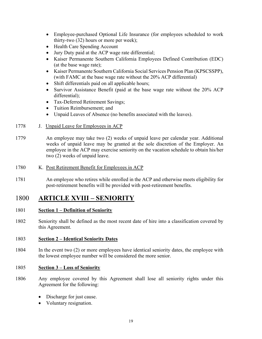- Employee-purchased Optional Life Insurance (for employees scheduled to work thirty-two (32) hours or more per week);
- Health Care Spending Account
- Jury Duty paid at the ACP wage rate differential;
- Kaiser Permanente Southern California Employees Defined Contribution (EDC) (at the base wage rate);
- Kaiser Permanente Southern California Social Services Pension Plan (KPSCSSPP), (with FAMC at the base wage rate without the 20% ACP differential)
- Shift differentials paid on all applicable hours;
- Survivor Assistance Benefit (paid at the base wage rate without the 20% ACP differential);
- Tax-Deferred Retirement Savings;
- Tuition Reimbursement: and
- Unpaid Leaves of Absence (no benefits associated with the leaves).
- 1778 J. Unpaid Leave for Employees in ACP
- 1779 An employee may take two (2) weeks of unpaid leave per calendar year. Additional weeks of unpaid leave may be granted at the sole discretion of the Employer. An employee in the ACP may exercise seniority on the vacation schedule to obtain his/her two (2) weeks of unpaid leave.
- 1780 K. Post Retirement Benefit for Employees in ACP
- 1781 An employee who retires while enrolled in the ACP and otherwise meets eligibility for post-retirement benefits will be provided with post-retirement benefits.

### 1800 **ARTICLE XVIII – SENIORITY**

#### 1801 **Section 1 – Definition of Seniority**

1802 Seniority shall be defined as the most recent date of hire into a classification covered by this Agreement.

#### 1803 **Section 2 – Identical Seniority Dates**

1804 In the event two (2) or more employees have identical seniority dates, the employee with the lowest employee number will be considered the more senior.

#### 1805 **Section 3 – Loss of Seniority**

- 1806 Any employee covered by this Agreement shall lose all seniority rights under this Agreement for the following:
	- Discharge for just cause.
	- Voluntary resignation.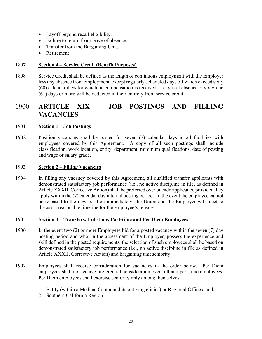- Layoff beyond recall eligibility.
- Failure to return from leave of absence.
- Transfer from the Bargaining Unit.
- Retirement

#### 1807 **Section 4 – Service Credit (Benefit Purposes)**

1808 Service Credit shall be defined as the length of continuous employment with the Employer less any absence from employment, except regularly scheduled days off which exceed sixty (60) calendar days for which no compensation is received. Leaves of absence of sixty-one (61) days or more will be deducted in their entirety from service credit.

### 1900 **ARTICLE XIX – JOB POSTINGS AND FILLING VACANCIES**

#### 1901 **Section 1 – Job Postings**

1902 Position vacancies shall be posted for seven (7) calendar days in all facilities with employees covered by this Agreement. A copy of all such postings shall include classification, work location, entity, department, minimum qualifications, date of posting and wage or salary grade.

#### 1903 **Section 2 – Filling Vacancies**

1904 In filling any vacancy covered by this Agreement, all qualified transfer applicants with demonstrated satisfactory job performance (i.e., no active discipline in file, as defined in Article XXXII, Corrective Action) shall be preferred over outside applicants, provided they apply within the (7) calendar day internal posting period. In the event the employee cannot be released to the new position immediately, the Union and the Employer will meet to discuss a reasonable timeline for the employee's release.

#### 1905 **Section 3 – Transfers: Full-time, Part-time and Per Diem Employees**

- 1906 In the event two (2) or more Employees bid for a posted vacancy within the seven (7) day posting period and who, in the assessment of the Employer, possess the experience and skill defined in the posted requirements, the selection of such employees shall be based on demonstrated satisfactory job performance (i.e., no active discipline in file as defined in Article XXXII, Corrective Action) and bargaining unit seniority.
- 1907 Employees shall receive consideration for vacancies in the order below. Per Diem employees shall not receive preferential consideration over full and part-time employees. Per Diem employees shall exercise seniority only among themselves.
	- 1. Entity (within a Medical Center and its outlying clinics) or Regional Offices; and,
	- 2. Southern California Region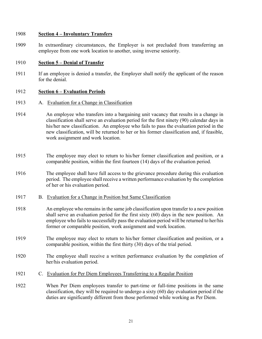#### 1908 **Section 4 – Involuntary Transfers**

1909 In extraordinary circumstances, the Employer is not precluded from transferring an employee from one work location to another, using inverse seniority.

#### 1910 **Section 5 – Denial of Transfer**

1911 If an employee is denied a transfer, the Employer shall notify the applicant of the reason for the denial.

#### 1912 **Section 6 – Evaluation Periods**

- 1913 A. Evaluation for a Change in Classification
- 1914 An employee who transfers into a bargaining unit vacancy that results in a change in classification shall serve an evaluation period for the first ninety (90) calendar days in his/her new classification. An employee who fails to pass the evaluation period in the new classification, will be returned to her or his former classification and, if feasible, work assignment and work location.
- 1915 The employee may elect to return to his/her former classification and position, or a comparable position, within the first fourteen (14) days of the evaluation period.
- 1916 The employee shall have full access to the grievance procedure during this evaluation period. The employee shall receive a written performance evaluation by the completion of her or his evaluation period.
- 1917 B. Evaluation for a Change in Position but Same Classification
- 1918 An employee who remains in the same job classification upon transfer to a new position shall serve an evaluation period for the first sixty (60) days in the new position. An employee who fails to successfully pass the evaluation period will be returned to her/his former or comparable position, work assignment and work location.
- 1919 The employee may elect to return to his/her former classification and position, or a comparable position, within the first thirty (30) days of the trial period.
- 1920 The employee shall receive a written performance evaluation by the completion of her/his evaluation period.
- 1921 C. Evaluation for Per Diem Employees Transferring to a Regular Position
- 1922 When Per Diem employees transfer to part-time or full-time positions in the same classification, they will be required to undergo a sixty (60) day evaluation period if the duties are significantly different from those performed while working as Per Diem.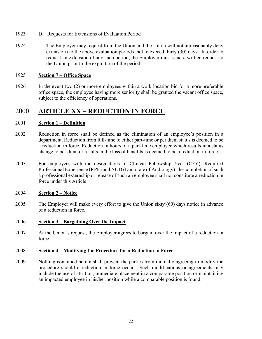- 1923 D. Requests for Extensions of Evaluation Period
- 1924 The Employer may request from the Union and the Union will not unreasonably deny extensions to the above evaluation periods, not to exceed thirty (30) days. In order to request an extension of any such period, the Employer must send a written request to the Union prior to the expiration of the period.

#### 1925 **Section 7 – Office Space**

1926 In the event two (2) or more employees within a work location bid for a more preferable office space, the employee having more seniority shall be granted the vacant office space, subject to the efficiency of operations.

### 2000 **ARTICLE XX – REDUCTION IN FORCE**

#### 2001 **Section 1 – Definition**

- 2002 Reduction in force shall be defined as the elimination of an employee's position in a department. Reduction from full-time to either part-time or per diem status is deemed to be a reduction in force. Reduction in hours of a part-time employee which results in a status change to per diem or results in the loss of benefits is deemed to be a reduction in force.
- 2003 For employees with the designations of Clinical Fellowship Year (CFY), Required Professional Experience (RPE) and AUD (Doctorate of Audiology), the completion of such a professional externship or release of such an employee shall not constitute a reduction in force under this Article.

#### 2004 **Section 2 – Notice**

2005 The Employer will make every effort to give the Union sixty (60) days notice in advance of a reduction in force.

#### 2006 **Section 3 – Bargaining Over the Impact**

2007 At the Union's request, the Employer agrees to bargain over the impact of a reduction in force.

#### 2008 **Section 4 – Modifying the Procedure for a Reduction in Force**

2009 Nothing contained herein shall prevent the parties from mutually agreeing to modify the procedure should a reduction in force occur. Such modifications or agreements may include the use of attrition, immediate placement in a comparable position or maintaining an impacted employee in his/her position while a comparable position is found.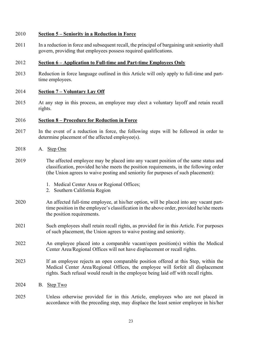#### 2010 **Section 5 – Seniority in a Reduction in Force**

2011 In a reduction in force and subsequent recall, the principal of bargaining unit seniority shall govern, providing that employees possess required qualifications.

#### 2012 **Section 6 – Application to Full-time and Part-time Employees Only**

2013 Reduction in force language outlined in this Article will only apply to full-time and parttime employees.

#### 2014 **Section 7 – Voluntary Lay Off**

2015 At any step in this process, an employee may elect a voluntary layoff and retain recall rights.

#### 2016 **Section 8 – Procedure for Reduction in Force**

- 2017 In the event of a reduction in force, the following steps will be followed in order to determine placement of the affected employee(s).
- 2018 A. Step One
- 2019 The affected employee may be placed into any vacant position of the same status and classification, provided he/she meets the position requirements, in the following order (the Union agrees to waive posting and seniority for purposes of such placement):
	- 1. Medical Center Area or Regional Offices;
	- 2. Southern California Region
- 2020 An affected full-time employee, at his/her option, will be placed into any vacant parttime position in the employee's classification in the above order, provided he/she meets the position requirements.
- 2021 Such employees shall retain recall rights, as provided for in this Article. For purposes of such placement, the Union agrees to waive posting and seniority.
- 2022 An employee placed into a comparable vacant/open position(s) within the Medical Center Area/Regional Offices will not have displacement or recall rights.
- 2023 If an employee rejects an open comparable position offered at this Step, within the Medical Center Area/Regional Offices, the employee will forfeit all displacement rights. Such refusal would result in the employee being laid off with recall rights.
- 2024 B. Step Two
- 2025 Unless otherwise provided for in this Article, employees who are not placed in accordance with the preceding step, may displace the least senior employee in his/her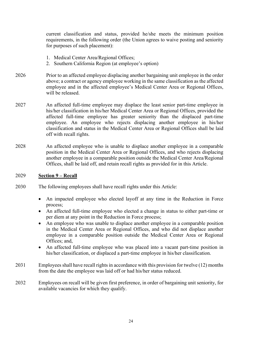current classification and status, provided he/she meets the minimum position requirements, in the following order (the Union agrees to waive posting and seniority for purposes of such placement):

- 1. Medical Center Area/Regional Offices;
- 2. Southern California Region (at employee's option)
- 2026 Prior to an affected employee displacing another bargaining unit employee in the order above; a contract or agency employee working in the same classification as the affected employee and in the affected employee's Medical Center Area or Regional Offices, will be released.
- 2027 An affected full-time employee may displace the least senior part-time employee in his/her classification in his/her Medical Center Area or Regional Offices, provided the affected full-time employee has greater seniority than the displaced part-time employee. An employee who rejects displacing another employee in his/her classification and status in the Medical Center Area or Regional Offices shall be laid off with recall rights.
- 2028 An affected employee who is unable to displace another employee in a comparable position in the Medical Center Area or Regional Offices, and who rejects displacing another employee in a comparable position outside the Medical Center Area/Regional Offices, shall be laid off, and retain recall rights as provided for in this Article.

#### 2029 **Section 9 – Recall**

- 2030 The following employees shall have recall rights under this Article:
	- An impacted employee who elected layoff at any time in the Reduction in Force process;
	- An affected full-time employee who elected a change in status to either part-time or per diem at any point in the Reduction in Force process;
	- An employee who was unable to displace another employee in a comparable position in the Medical Center Area or Regional Offices, and who did not displace another employee in a comparable position outside the Medical Center Area or Regional Offices; and,
	- An affected full-time employee who was placed into a vacant part-time position in his/her classification, or displaced a part-time employee in his/her classification.
- 2031 Employees shall have recall rights in accordance with this provision for twelve (12) months from the date the employee was laid off or had his/her status reduced.
- 2032 Employees on recall will be given first preference, in order of bargaining unit seniority, for available vacancies for which they qualify.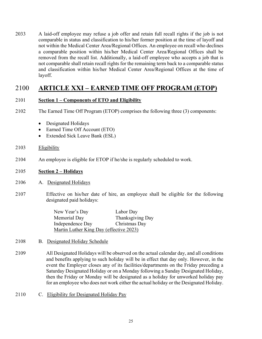2033 A laid-off employee may refuse a job offer and retain full recall rights if the job is not comparable in status and classification to his/her former position at the time of layoff and not within the Medical Center Area/Regional Offices. An employee on recall who declines a comparable position within his/her Medical Center Area/Regional Offices shall be removed from the recall list. Additionally, a laid-off employee who accepts a job that is not comparable shall retain recall rights for the remaining term back to a comparable status and classification within his/her Medical Center Area/Regional Offices at the time of layoff.

### 2100 **ARTICLE XXI – EARNED TIME OFF PROGRAM (ETOP)**

#### 2101 **Section 1 – Components of ETO and Eligibility**

- 2102 The Earned Time Off Program (ETOP) comprises the following three (3) components:
	- Designated Holidays
	- Earned Time Off Account (ETO)
	- Extended Sick Leave Bank (ESL)
- 2103 Eligibility
- 2104 An employee is eligible for ETOP if he/she is regularly scheduled to work.

#### 2105 **Section 2 – Holidays**

- 2106 A. Designated Holidays
- 2107 Effective on his/her date of hire, an employee shall be eligible for the following designated paid holidays:

| New Year's Day                          | Labor Day        |  |
|-----------------------------------------|------------------|--|
| Memorial Day                            | Thanksgiving Day |  |
| Independence Day                        | Christmas Day    |  |
| Martin Luther King Day (effective 2023) |                  |  |

- 2108 B. Designated Holiday Schedule
- 2109 All Designated Holidays will be observed on the actual calendar day, and all conditions and benefits applying to such holiday will be in effect that day only. However, in the event the Employer closes any of its facilities/departments on the Friday preceding a Saturday Designated Holiday or on a Monday following a Sunday Designated Holiday, then the Friday or Monday will be designated as a holiday for unworked holiday pay for an employee who does not work either the actual holiday or the Designated Holiday.
- 2110 C. Eligibility for Designated Holiday Pay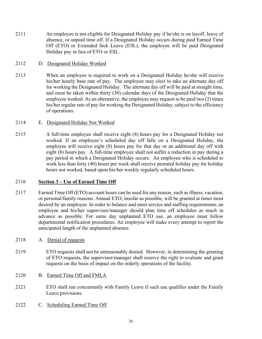2111 An employee is not eligible for Designated Holiday pay if he/she is on layoff, leave of absence, or unpaid time off. If a Designated Holiday occurs during paid Earned Time Off (ETO) or Extended Sick Leave (ESL), the employee will be paid Designated Holiday pay in lieu of ETO or ESL.

#### 2112 D. Designated Holiday Worked

2113 When an employee is required to work on a Designated Holiday he/she will receive his/her hourly base rate of pay. The employee may elect to take an alternate day off for working the Designated Holiday. The alternate day off will be paid at straight time, and must be taken within thirty (30) calendar days of the Designated Holiday that the employee worked. As an alternative, the employee may request to be paid two (2) times his/her regular rate of pay for working the Designated Holiday, subject to the efficiency of operations.

#### 2114 E. Designated Holiday Not Worked

2115 A full-time employee shall receive eight (8) hours pay for a Designated Holiday not worked. If an employee's scheduled day off falls on a Designated Holiday, the employee will receive eight (8) hours pay for that day or an additional day off with eight (8) hours pay. A full-time employee shall not suffer a reduction in pay during a pay period in which a Designated Holiday occurs. An employee who is scheduled to work less than forty (40) hours per week shall receive prorated holiday pay for holiday hours not worked, based upon his/her weekly regularly scheduled hours.

#### 2116 **Section 3 – Use of Earned Time Off**

- 2117 Earned Time Off (ETO) account hours can be used for any reason, such as illness, vacation, or personal/family reasons. Annual ETO, insofar as possible, will be granted at times most desired by an employee. In order to balance and meet service and staffing requirements, an employee and his/her supervisor/manager should plan time off schedules as much in advance as possible. For same day unplanned ETO use, an employee must follow departmental notification procedures. An employee will make every attempt to report the anticipated length of the unplanned absence.
- 2118 A. Denial of requests
- 2119 ETO requests shall not be unreasonably denied. However, in determining the granting of ETO requests, the supervisor/manager shall reserve the right to evaluate and grant requests on the basis of impact on the orderly operations of the facility.
- 2120 B. Earned Time Off and FMLA
- 2121 ETO shall run concurrently with Family Leave if such use qualifies under the Family Leave provisions.
- 2122 C. Scheduling Earned Time Off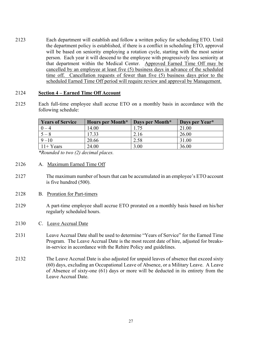2123 Each department will establish and follow a written policy for scheduling ETO. Until the department policy is established, if there is a conflict in scheduling ETO, approval will be based on seniority employing a rotation cycle, starting with the most senior person. Each year it will descend to the employee with progressively less seniority at that department within the Medical Center. Approved Earned Time Off may be cancelled by an employee at least five (5) business days in advance of the scheduled time off. Cancellation requests of fewer than five (5) business days prior to the scheduled Earned Time Off period will require review and approval by Management.

#### 2124 **Section 4 – Earned Time Off Account**

2125 Each full-time employee shall accrue ETO on a monthly basis in accordance with the following schedule:

| <b>Years of Service</b> | <b>Hours per Month*</b> | Days per Month* | Days per Year* |
|-------------------------|-------------------------|-----------------|----------------|
|                         | 14.00                   | 1.75            | 21.00          |
| $5 - 8$                 | 17.33                   | 2.16            | 26.00          |
| $9 - 10$                | 20.66                   | 2.58            | 31.00          |
| $11+Years$              | 24.00                   | 3.00            | 36.00          |

*\*Rounded to two (2) decimal places.* 

- 2126 A. Maximum Earned Time Off
- 2127 The maximum number of hours that can be accumulated in an employee's ETO account is five hundred (500).
- 2128 B. Proration for Part-timers
- 2129 A part-time employee shall accrue ETO prorated on a monthly basis based on his/her regularly scheduled hours.
- 2130 C. Leave Accrual Date
- 2131 Leave Accrual Date shall be used to determine "Years of Service" for the Earned Time Program. The Leave Accrual Date is the most recent date of hire, adjusted for breaksin-service in accordance with the Rehire Policy and guidelines.
- 2132 The Leave Accrual Date is also adjusted for unpaid leaves of absence that exceed sixty (60) days, excluding an Occupational Leave of Absence, or a Military Leave. A Leave of Absence of sixty-one (61) days or more will be deducted in its entirety from the Leave Accrual Date.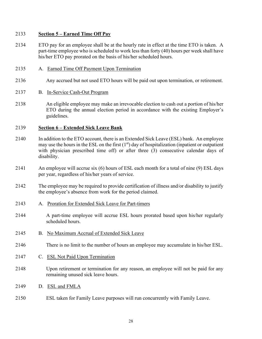#### **Section 5 – Earned Time Off Pay**

- ETO pay for an employee shall be at the hourly rate in effect at the time ETO is taken. A part-time employee who is scheduled to work less than forty (40) hours per week shall have his/her ETO pay prorated on the basis of his/her scheduled hours.
- A. Earned Time Off Payment Upon Termination
- Any accrued but not used ETO hours will be paid out upon termination, or retirement.

#### B. In-Service Cash-Out Program

 An eligible employee may make an irrevocable election to cash out a portion of his/her ETO during the annual election period in accordance with the existing Employer's guidelines.

#### **Section 6 – Extended Sick Leave Bank**

- In addition to the ETO account, there is an Extended Sick Leave (ESL) bank. An employee may use the hours in the ESL on the first  $(1<sup>st</sup>)$  day of hospitalization (inpatient or outpatient with physician prescribed time off) or after three (3) consecutive calendar days of disability.
- An employee will accrue six (6) hours of ESL each month for a total of nine (9) ESL days per year, regardless of his/her years of service.
- The employee may be required to provide certification of illness and/or disability to justify the employee's absence from work for the period claimed.
- A. Proration for Extended Sick Leave for Part-timers
- A part-time employee will accrue ESL hours prorated based upon his/her regularly scheduled hours.
- B. No Maximum Accrual of Extended Sick Leave
- There is no limit to the number of hours an employee may accumulate in his/her ESL.
- C. ESL Not Paid Upon Termination
- Upon retirement or termination for any reason, an employee will not be paid for any remaining unused sick leave hours.
- D. ESL and FMLA
- ESL taken for Family Leave purposes will run concurrently with Family Leave.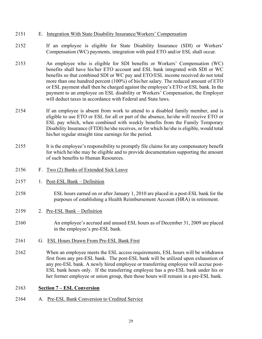#### 2151 E. Integration With State Disability Insurance/Workers' Compensation

- 2152 If an employee is eligible for State Disability Insurance (SDI) or Workers' Compensation (WC) payments, integration with paid ETO and/or ESL shall occur.
- 2153 An employee who is eligible for SDI benefits or Workers' Compensation (WC) benefits shall have his/her ETO account and ESL bank integrated with SDI or WC benefits so that combined SDI or WC pay and ETO/ESL income received do not total more than one hundred percent (100%) of his/her salary. The reduced amount of ETO or ESL payment shall then be charged against the employee's ETO or ESL bank. In the payment to an employee on ESL disability or Workers' Compensation, the Employer will deduct taxes in accordance with Federal and State laws.
- 2154 If an employee is absent from work to attend to a disabled family member, and is eligible to use ETO or ESL for all or part of the absence, he/she will receive ETO or ESL pay which, when combined with weekly benefits from the Family Temporary Disability Insurance (FTDI) he/she receives, or for which he/she is eligible, would total his/her regular straight time earnings for the period.
- 2155 It is the employee's responsibility to promptly file claims for any compensatory benefit for which he/she may be eligible and to provide documentation supporting the amount of such benefits to Human Resources.
- 2156 F. Two (2) Banks of Extended Sick Leave
- 2157 1. Post-ESL Bank Definition
- 2158 ESL hours earned on or after January 1, 2010 are placed in a post-ESL bank for the purposes of establishing a Health Reimbursement Account (HRA) in retirement.
- 2159 2. Pre-ESL Bank Definition
- 2160 An employee's accrued and unused ESL hours as of December 31, 2009 are placed in the employee's pre-ESL bank.
- 2161 G. ESL Hours Drawn From Pre-ESL Bank First
- 2162 When an employee meets the ESL access requirements, ESL hours will be withdrawn first from any pre-ESL bank. The post-ESL bank will be utilized upon exhaustion of any pre-ESL bank. A newly hired employee or transferring employee will accrue post-ESL bank hours only. If the transferring employee has a pre-ESL bank under his or her former employee or union group, then those hours will remain in a pre-ESL bank.

#### 2163 **Section 7 – ESL Conversion**

2164 A. Pre-ESL Bank Conversion to Credited Service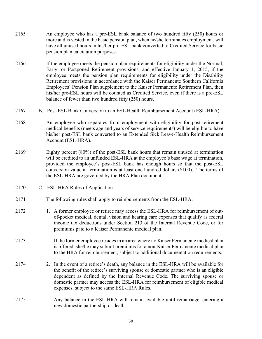- 2165 An employee who has a pre-ESL bank balance of two hundred fifty (250) hours or more and is vested in the basic pension plan, when he/she terminates employment, will have all unused hours in his/her pre-ESL bank converted to Credited Service for basic pension plan calculation purposes.
- 2166 If the employee meets the pension plan requirements for eligibility under the Normal, Early, or Postponed Retirement provisions, and effective January 1, 2015, if the employee meets the pension plan requirements for eligibility under the Disability Retirement provisions in accordance with the Kaiser Permanente Southern California Employees' Pension Plan supplement to the Kaiser Permanente Retirement Plan, then his/her pre-ESL hours will be counted as Credited Service, even if there is a pre-ESL balance of fewer than two hundred fifty (250) hours.
- 2167 B. Post-ESL Bank Conversion to an ESL Health Reimbursement Account (ESL-HRA)
- 2168 An employee who separates from employment with eligibility for post-retirement medical benefits (meets age and years of service requirements) will be eligible to have his/her post-ESL bank converted to an Extended Sick Leave-Health Reimbursement Account (ESL-HRA).
- 2169 Eighty percent (80%) of the post-ESL bank hours that remain unused at termination will be credited to an unfunded ESL-HRA at the employee's base wage at termination, provided the employee's post-ESL bank has enough hours so that the post-ESL conversion value at termination is at least one hundred dollars (\$100). The terms of the ESL-HRA are governed by the HRA Plan document.
- 2170 C. ESL-HRA Rules of Application
- 2171 The following rules shall apply to reimbursements from the ESL-HRA:
- 2172 1. A former employee or retiree may access the ESL-HRA for reimbursement of outof-pocket medical, dental, vision and hearing care expenses that qualify as federal income tax deductions under Section 213 of the Internal Revenue Code, or for premiums paid to a Kaiser Permanente medical plan.
- 2173 If the former employee resides in an area where no Kaiser Permanente medical plan is offered, she/he may submit premiums for a non-Kaiser Permanente medical plan to the HRA for reimbursement, subject to additional documentation requirements.
- 2174 2. In the event of a retiree's death, any balance in the ESL-HRA will be available for the benefit of the retiree's surviving spouse or domestic partner who is an eligible dependent as defined by the Internal Revenue Code. The surviving spouse or domestic partner may access the ESL-HRA for reimbursement of eligible medical expenses, subject to the same ESL-HRA Rules.
- 2175 Any balance in the ESL-HRA will remain available until remarriage, entering a new domestic partnership or death.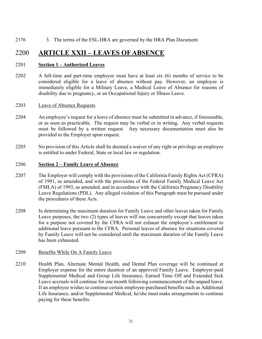2176 3. The terms of the ESL-HRA are governed by the HRA Plan Document.

### 2200 **ARTICLE XXII – LEAVES OF ABSENCE**

#### 2201 **Section 1 – Authorized Leaves**

2202 A full-time and part-time employee must have at least six (6) months of service to be considered eligible for a leave of absence without pay. However, an employee is immediately eligible for a Military Leave, a Medical Leave of Absence for reasons of disability due to pregnancy, or an Occupational Injury or Illness Leave.

#### 2203 Leave of Absence Requests

- 2204 An employee's request for a leave of absence must be submitted in advance, if foreseeable, or as soon as practicable. The request may be verbal or in writing. Any verbal requests must be followed by a written request. Any necessary documentation must also be provided to the Employer upon request.
- 2205 No provision of this Article shall be deemed a waiver of any right or privilege an employee is entitled to under Federal, State or local law or regulation.

#### 2206 **Section 2 – Family Leave of Absence**

- 2207 The Employer will comply with the provisions of the California Family Rights Act (CFRA) of 1991, as amended, and with the provisions of the Federal Family Medical Leave Act (FMLA) of 1993, as amended, and in accordance with the California Pregnancy Disability Leave Regulations (PDL). Any alleged violation of this Paragraph must be pursued under the procedures of these Acts.
- 2208 In determining the maximum duration for Family Leave and other leaves taken for Family Leave purposes, the two (2) types of leaves will run concurrently except that leaves taken for a purpose not covered by the CFRA will not exhaust the employee's entitlement to additional leave pursuant to the CFRA. Personal leaves of absence for situations covered by Family Leave will not be considered until the maximum duration of the Family Leave has been exhausted.

#### 2209 Benefits While On A Family Leave

2210 Health Plan, Alternate Mental Health, and Dental Plan coverage will be continued at Employer expense for the entire duration of an approved Family Leave. Employer-paid Supplemental Medical and Group Life Insurance, Earned Time Off and Extended Sick Leave accruals will continue for one month following commencement of the unpaid leave. If an employee wishes to continue certain employee-purchased benefits such as Additional Life Insurance, and/or Supplemental Medical, he/she must make arrangements to continue paying for these benefits.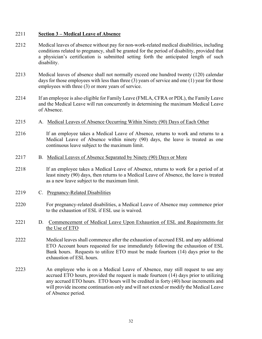#### 2211 **Section 3 – Medical Leave of Absence**

- 2212 Medical leaves of absence without pay for non-work-related medical disabilities, including conditions related to pregnancy, shall be granted for the period of disability, provided that a physician's certification is submitted setting forth the anticipated length of such disability.
- 2213 Medical leaves of absence shall not normally exceed one hundred twenty (120) calendar days for those employees with less than three (3) years of service and one (1) year for those employees with three (3) or more years of service.
- 2214 If an employee is also eligible for Family Leave (FMLA, CFRA or PDL), the Family Leave and the Medical Leave will run concurrently in determining the maximum Medical Leave of Absence.
- 2215 A. Medical Leaves of Absence Occurring Within Ninety (90) Days of Each Other
- 2216 If an employee takes a Medical Leave of Absence, returns to work and returns to a Medical Leave of Absence within ninety (90) days, the leave is treated as one continuous leave subject to the maximum limit.
- 2217 B. Medical Leaves of Absence Separated by Ninety (90) Days or More
- 2218 If an employee takes a Medical Leave of Absence, returns to work for a period of at least ninety (90) days, then returns to a Medical Leave of Absence, the leave is treated as a new leave subject to the maximum limit.
- 2219 C. Pregnancy-Related Disabilities
- 2220 For pregnancy-related disabilities, a Medical Leave of Absence may commence prior to the exhaustion of ESL if ESL use is waived.
- 2221 D. Commencement of Medical Leave Upon Exhaustion of ESL and Requirements for the Use of ETO
- 2222 Medical leaves shall commence after the exhaustion of accrued ESL and any additional ETO Account hours requested for use immediately following the exhaustion of ESL Bank hours. Requests to utilize ETO must be made fourteen (14) days prior to the exhaustion of ESL hours.
- 2223 An employee who is on a Medical Leave of Absence, may still request to use any accrued ETO hours, provided the request is made fourteen (14) days prior to utilizing any accrued ETO hours. ETO hours will be credited in forty (40) hour increments and will provide income continuation only and will not extend or modify the Medical Leave of Absence period.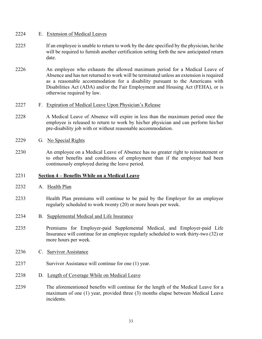### 2224 E. Extension of Medical Leaves

- 2225 If an employee is unable to return to work by the date specified by the physician, he/she will be required to furnish another certification setting forth the new anticipated return date.
- 2226 An employee who exhausts the allowed maximum period for a Medical Leave of Absence and has not returned to work will be terminated unless an extension is required as a reasonable accommodation for a disability pursuant to the Americans with Disabilities Act (ADA) and/or the Fair Employment and Housing Act (FEHA), or is otherwise required by law.

### 2227 F. Expiration of Medical Leave Upon Physician's Release

- 2228 A Medical Leave of Absence will expire in less than the maximum period once the employee is released to return to work by his/her physician and can perform his/her pre-disability job with or without reasonable accommodation.
- 2229 G. No Special Rights
- 2230 An employee on a Medical Leave of Absence has no greater right to reinstatement or to other benefits and conditions of employment than if the employee had been continuously employed during the leave period.

### 2231 **Section 4 – Benefits While on a Medical Leave**

- 2232 A. Health Plan
- 2233 Health Plan premiums will continue to be paid by the Employer for an employee regularly scheduled to work twenty (20) or more hours per week.
- 2234 B. Supplemental Medical and Life Insurance
- 2235 Premiums for Employer-paid Supplemental Medical, and Employer-paid Life Insurance will continue for an employee regularly scheduled to work thirty-two (32) or more hours per week.
- 2236 C. Survivor Assistance
- 2237 Survivor Assistance will continue for one (1) year.
- 2238 D. Length of Coverage While on Medical Leave
- 2239 The aforementioned benefits will continue for the length of the Medical Leave for a maximum of one (1) year, provided three (3) months elapse between Medical Leave incidents.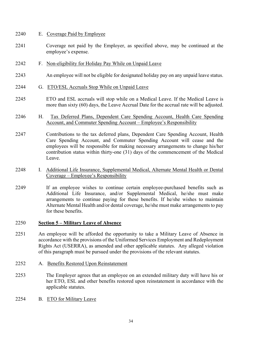## 2240 E. Coverage Paid by Employee

- 2241 Coverage not paid by the Employer, as specified above, may be continued at the employee's expense.
- 2242 F. Non-eligibility for Holiday Pay While on Unpaid Leave
- 2243 An employee will not be eligible for designated holiday pay on any unpaid leave status.
- 2244 G. ETO/ESL Accruals Stop While on Unpaid Leave
- 2245 ETO and ESL accruals will stop while on a Medical Leave. If the Medical Leave is more than sixty (60) days, the Leave Accrual Date for the accrual rate will be adjusted.
- 2246 H. Tax Deferred Plans, Dependent Care Spending Account, Health Care Spending Account, and Commuter Spending Account – Employee's Responsibility
- 2247 Contributions to the tax deferred plans, Dependent Care Spending Account, Health Care Spending Account, and Commuter Spending Account will cease and the employees will be responsible for making necessary arrangements to change his/her contribution status within thirty-one (31) days of the commencement of the Medical Leave.
- 2248 I. Additional Life Insurance, Supplemental Medical, Alternate Mental Health or Dental Coverage – Employee's Responsibility
- 2249 If an employee wishes to continue certain employee-purchased benefits such as Additional Life Insurance, and/or Supplemental Medical, he/she must make arrangements to continue paying for these benefits. If he/she wishes to maintain Alternate Mental Health and/or dental coverage, he/she must make arrangements to pay for these benefits.

### 2250 **Section 5 – Military Leave of Absence**

- 2251 An employee will be afforded the opportunity to take a Military Leave of Absence in accordance with the provisions of the Uniformed Services Employment and Redeployment Rights Act (USERRA), as amended and other applicable statutes. Any alleged violation of this paragraph must be pursued under the provisions of the relevant statutes.
- 2252 A. Benefits Restored Upon Reinstatement
- 2253 The Employer agrees that an employee on an extended military duty will have his or her ETO, ESL and other benefits restored upon reinstatement in accordance with the applicable statutes.
- 2254 B. ETO for Military Leave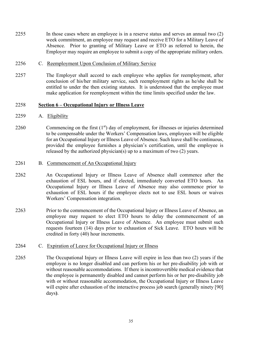2255 In those cases where an employee is in a reserve status and serves an annual two (2) week commitment, an employee may request and receive ETO for a Military Leave of Absence. Prior to granting of Military Leave or ETO as referred to herein, the Employer may require an employee to submit a copy of the appropriate military orders.

### 2256 C. Reemployment Upon Conclusion of Military Service

2257 The Employer shall accord to each employee who applies for reemployment, after conclusion of his/her military service, such reemployment rights as he/she shall be entitled to under the then existing statutes. It is understood that the employee must make application for reemployment within the time limits specified under the law.

### 2258 **Section 6 – Occupational Injury or Illness Leave**

#### 2259 A. Eligibility

2260 Commencing on the first  $(1<sup>st</sup>)$  day of employment, for illnesses or injuries determined to be compensable under the Workers' Compensation laws, employees will be eligible for an Occupational Injury or Illness Leave of Absence. Such leave shall be continuous, provided the employee furnishes a physician's certification, until the employee is released by the authorized physician(s) up to a maximum of two (2) years.

#### 2261 B. Commencement of An Occupational Injury

- 2262 An Occupational Injury or Illness Leave of Absence shall commence after the exhaustion of ESL hours, and if elected, immediately converted ETO hours. An Occupational Injury or Illness Leave of Absence may also commence prior to exhaustion of ESL hours if the employee elects not to use ESL hours or waives Workers' Compensation integration.
- 2263 Prior to the commencement of the Occupational Injury or Illness Leave of Absence, an employee may request to elect ETO hours to delay the commencement of an Occupational Injury or Illness Leave of Absence. An employee must submit such requests fourteen (14) days prior to exhaustion of Sick Leave. ETO hours will be credited in forty (40) hour increments.

#### 2264 C. Expiration of Leave for Occupational Injury or Illness

2265 The Occupational Injury or Illness Leave will expire in less than two (2) years if the employee is no longer disabled and can perform his or her pre-disability job with or without reasonable accommodations. If there is incontrovertible medical evidence that the employee is permanently disabled and cannot perform his or her pre-disability job with or without reasonable accommodation, the Occupational Injury or Illness Leave will expire after exhaustion of the interactive process job search (generally ninety [90] days**)**.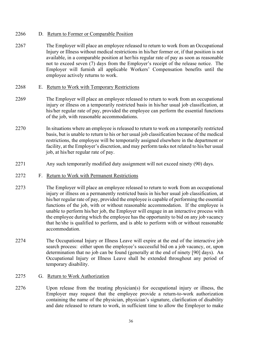## 2266 D. Return to Former or Comparable Position

2267 The Employer will place an employee released to return to work from an Occupational Injury or Illness without medical restrictions in his/her former or, if that position is not available, in a comparable position at her/his regular rate of pay as soon as reasonable not to exceed seven (7) days from the Employer's receipt of the release notice. The Employer will furnish all applicable Workers' Compensation benefits until the employee actively returns to work.

## 2268 E. Return to Work with Temporary Restrictions

- 2269 The Employer will place an employee released to return to work from an occupational injury or illness on a temporarily restricted basis in his/her usual job classification, at his/her regular rate of pay, provided the employee can perform the essential functions of the job, with reasonable accommodations.
- 2270 In situations where an employee is released to return to work on a temporarily restricted basis, but is unable to return to his or her usual job classification because of the medical restrictions, the employee will be temporarily assigned elsewhere in the department or facility, at the Employer's discretion, and may perform tasks not related to his/her usual job, at his/her regular rate of pay.
- 2271 Any such temporarily modified duty assignment will not exceed ninety (90) days.
- 2272 F. Return to Work with Permanent Restrictions
- 2273 The Employer will place an employee released to return to work from an occupational injury or illness on a permanently restricted basis in his/her usual job classification, at his/her regular rate of pay, provided the employee is capable of performing the essential functions of the job, with or without reasonable accommodation. If the employee is unable to perform his/her job, the Employer will engage in an interactive process with the employee during which the employee has the opportunity to bid on any job vacancy that he/she is qualified to perform, and is able to perform with or without reasonable accommodation.
- 2274 The Occupational Injury or Illness Leave will expire at the end of the interactive job search process: either upon the employee's successful bid on a job vacancy, or, upon determination that no job can be found (generally at the end of ninety [90] days). An Occupational Injury or Illness Leave shall be extended throughout any period of temporary disability.
- 2275 G. Return to Work Authorization
- 2276 Upon release from the treating physician(s) for occupational injury or illness, the Employer may request that the employee provide a return-to-work authorization containing the name of the physician, physician's signature, clarification of disability and date released to return to work, in sufficient time to allow the Employer to make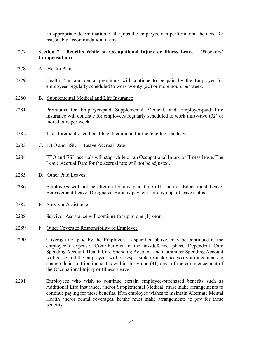an appropriate determination of the jobs the employee can perform, and the need for reasonable accommodation, if any.

## 2277 **Section 7 – Benefits While on Occupational Injury or Illness Leave – (Workers' Compensation)**

- 2278 A. Health Plan
- 2279 Health Plan and dental premiums will continue to be paid by the Employer for employees regularly scheduled to work twenty (20) or more hours per week.
- 2280 B. Supplemental Medical and Life Insurance
- 2281 Premiums for Employer-paid Supplemental Medical, and Employer-paid Life Insurance will continue for employees regularly scheduled to work thirty-two (32) or more hours per week.
- 2282 The aforementioned benefits will continue for the length of the leave.
- 2283 C. ETO and ESL Leave Accrual Date
- 2284 ETO and ESL accruals will stop while on an Occupational Injury or Illness leave. The Leave Accrual Date for the accrual rate will not be adjusted.
- 2285 D. Other Paid Leaves
- 2286 Employees will not be eligible for any paid time off, such as Educational Leave, Bereavement Leave, Designated Holiday pay, etc., or any unpaid leave status.
- 2287 E. Survivor Assistance
- 2288 Survivor Assistance will continue for up to one (1) year.
- 2289 F. Other Coverage Responsibility of Employee
- 2290 Coverage not paid by the Employer, as specified above, may be continued at the employee's expense. Contributions to the tax-deferred plans, Dependent Care Spending Account, Health Care Spending Account, and Commuter Spending Account will cease and the employees will be responsible to make necessary arrangements to change their contribution status within thirty-one (31) days of the commencement of the Occupational Injury or Illness Leave.
- 2291 Employees who wish to continue certain employee-purchased benefits such as Additional Life Insurance, and/or Supplemental Medical, must make arrangements to continue paying for these benefits. If an employee wishes to maintain Alternate Mental Health and/or dental coverages, he/she must make arrangements to pay for these benefits.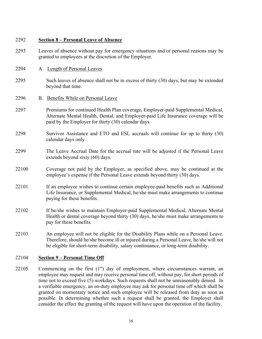## 2292 **Section 8 – Personal Leave of Absence**

- 2293 Leaves of absence without pay for emergency situations and/or personal reasons may be granted to employees at the discretion of the Employer.
- 2294 A. Length of Personal Leaves
- 2295 Such leaves of absence shall not be in excess of thirty (30) days, but may be extended beyond that time.
- 2296 B. Benefits While on Personal Leave
- 2297 Premiums for continued Health Plan coverage, Employer-paid Supplemental Medical, Alternate Mental Health, Dental, and Employer-paid Life Insurance coverage will be paid by the Employer for thirty (30) calendar days.
- 2298 Survivor Assistance and ETO and ESL accruals will continue for up to thirty (30) calendar days only.
- 2299 The Leave Accrual Date for the accrual rate will be adjusted if the Personal Leave extends beyond sixty (60) days.
- 22100 Coverage not paid by the Employer, as specified above, may be continued at the employee's expense if the Personal Leave extends beyond thirty (30) days.
- 22101 If an employee wishes to continue certain employee-paid benefits such as Additional Life Insurance, or Supplemental Medical, he/she must make arrangements to continue paying for these benefits.
- 22102 If he/she wishes to maintain Employer-paid Supplemental Medical, Alternate Mental Health or dental coverage beyond thirty (30) days, he/she must make arrangements to pay for these benefits.
- 22103 An employee will not be eligible for the Disability Plans while on a Personal Leave. Therefore, should he/she become ill or injured during a Personal Leave, he/she will not be eligible for short-term disability, salary continuance, or long-term disability.

## 22104 **Section 9 – Personal Time Off**

22105 Commencing on the first  $(1<sup>st</sup>)$  day of employment, where circumstances warrant, an employee may request and may receive personal time off, without pay, for short periods of time not to exceed five (5) workdays. Such requests shall not be unreasonably denied. In a verifiable emergency, an on-duty employee may ask for personal time off which shall be granted on momentary notice and such employee will be released from duty as soon as possible. In determining whether such a request shall be granted, the Employer shall consider the effect the granting of the request will have upon the operation of the facility.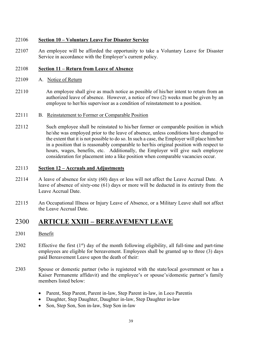## 22106 **Section 10 – Voluntary Leave For Disaster Service**

22107 An employee will be afforded the opportunity to take a Voluntary Leave for Disaster Service in accordance with the Employer's current policy.

## 22108 **Section 11 – Return from Leave of Absence**

- 22109 A. Notice of Return
- 22110 An employee shall give as much notice as possible of his/her intent to return from an authorized leave of absence. However, a notice of two (2) weeks must be given by an employee to her/his supervisor as a condition of reinstatement to a position.
- 22111 B. Reinstatement to Former or Comparable Position
- 22112 Such employee shall be reinstated to his/her former or comparable position in which he/she was employed prior to the leave of absence, unless conditions have changed to the extent that it is not possible to do so. In such a case, the Employer will place him/her in a position that is reasonably comparable to her/his original position with respect to hours, wages, benefits, etc. Additionally, the Employer will give such employee consideration for placement into a like position when comparable vacancies occur.

## 22113 **Section 12 – Accruals and Adjustments**

- 22114 A leave of absence for sixty (60) days or less will not affect the Leave Accrual Date. A leave of absence of sixty-one (61) days or more will be deducted in its entirety from the Leave Accrual Date.
- 22115 An Occupational Illness or Injury Leave of Absence, or a Military Leave shall not affect the Leave Accrual Date.

# 2300 **ARTICLE XXIII – BEREAVEMENT LEAVE**

- 2301 Benefit
- 2302 Effective the first  $(1<sup>st</sup>)$  day of the month following eligibility, all full-time and part-time employees are eligible for bereavement. Employees shall be granted up to three (3) days paid Bereavement Leave upon the death of their:
- 2303 Spouse or domestic partner (who is registered with the state/local government or has a Kaiser Permanente affidavit) and the employee's or spouse's/domestic partner's family members listed below:
	- Parent, Step Parent, Parent in-law, Step Parent in-law, in Loco Parentis
	- Daughter, Step Daughter, Daughter in-law, Step Daughter in-law
	- Son, Step Son, Son in-law, Step Son in-law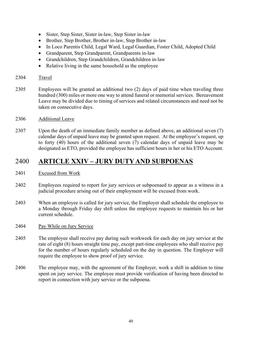- Sister, Step Sister, Sister in-law, Step Sister in-law
- Brother, Step Brother, Brother in-law, Step Brother in-law
- In Loco Parentis Child, Legal Ward, Legal Guardian, Foster Child, Adopted Child
- Grandparent, Step Grandparent, Grandparents in-law
- Grandchildren, Step Grandchildren, Grandchildren in-law
- Relative living in the same household as the employee

## 2304 Travel

2305 Employees will be granted an additional two (2) days of paid time when traveling three hundred (300) miles or more one way to attend funeral or memorial services. Bereavement Leave may be divided due to timing of services and related circumstances and need not be taken on consecutive days.

## 2306 Additional Leave

2307 Upon the death of an immediate family member as defined above, an additional seven (7) calendar days of unpaid leave may be granted upon request. At the employee's request, up to forty (40) hours of the additional seven (7) calendar days of unpaid leave may be designated as ETO, provided the employee has sufficient hours in her or his ETO Account.

# 2400 **ARTICLE XXIV – JURY DUTY AND SUBPOENAS**

## 2401 Excused from Work

- 2402 Employees required to report for jury services or subpoenaed to appear as a witness in a judicial procedure arising out of their employment will be excused from work.
- 2403 When an employee is called for jury service, the Employer shall schedule the employee to a Monday through Friday day shift unless the employee requests to maintain his or her current schedule.

### 2404 Pay While on Jury Service

- 2405 The employee shall receive pay during such workweek for each day on jury service at the rate of eight (8) hours straight time pay, except part-time employees who shall receive pay for the number of hours regularly scheduled on the day in question. The Employer will require the employee to show proof of jury service.
- 2406 The employee may, with the agreement of the Employer, work a shift in addition to time spent on jury service. The employee must provide verification of having been directed to report in connection with jury service or the subpoena.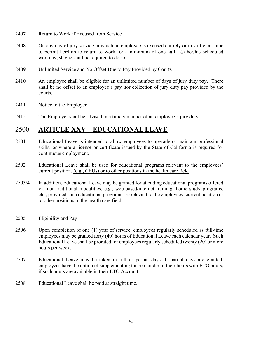## 2407 Return to Work if Excused from Service

- 2408 On any day of jury service in which an employee is excused entirely or in sufficient time to permit her/him to return to work for a minimum of one-half  $(\frac{1}{2})$  her/his scheduled workday, she/he shall be required to do so.
- 2409 Unlimited Service and No Offset Due to Pay Provided by Courts
- 2410 An employee shall be eligible for an unlimited number of days of jury duty pay. There shall be no offset to an employee's pay nor collection of jury duty pay provided by the courts.

## 2411 Notice to the Employer

2412 The Employer shall be advised in a timely manner of an employee's jury duty.

# 2500 **ARTICLE XXV – EDUCATIONAL LEAVE**

- 2501 Educational Leave is intended to allow employees to upgrade or maintain professional skills, or where a license or certificate issued by the State of California is required for continuous employment.
- 2502 Educational Leave shall be used for educational programs relevant to the employees' current position, (e.g., CEUs) or to other positions in the health care field.
- 2503/4 In addition, Educational Leave may be granted for attending educational programs offered via non-traditional modalities, e.g., web-based/internet training, home study programs, etc., provided such educational programs are relevant to the employees' current position or to other positions in the health care field.
- 2505 Eligibility and Pay
- 2506 Upon completion of one (1) year of service, employees regularly scheduled as full-time employees may be granted forty (40) hours of Educational Leave each calendar year. Such Educational Leave shall be prorated for employees regularly scheduled twenty (20) or more hours per week.
- 2507 Educational Leave may be taken in full or partial days. If partial days are granted, employees have the option of supplementing the remainder of their hours with ETO hours, if such hours are available in their ETO Account.
- 2508 Educational Leave shall be paid at straight time.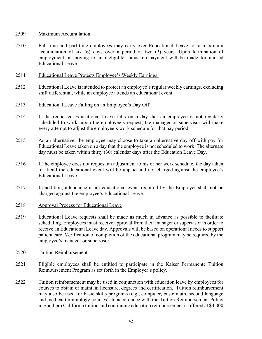#### 2509 Maximum Accumulation

- 2510 Full-time and part-time employees may carry over Educational Leave for a maximum accumulation of six (6) days over a period of two (2) years. Upon termination of employment or moving to an ineligible status, no payment will be made for unused Educational Leave.
- 2511 Educational Leave Protects Employee's Weekly Earnings.
- 2512 Educational Leave is intended to protect an employee's regular weekly earnings, excluding shift differential, while an employee attends an educational event.
- 2513 Educational Leave Falling on an Employee's Day Off
- 2514 If the requested Educational Leave falls on a day that an employee is not regularly scheduled to work, upon the employee's request, the manager or supervisor will make every attempt to adjust the employee's work schedule for that pay period.
- 2515 As an alternative, the employee may choose to take an alternative day off with pay for Educational Leave taken on a day that the employee is not scheduled to work. The alternate day must be taken within thirty (30) calendar days after the Education Leave Day.
- 2516 If the employee does not request an adjustment to his or her work schedule, the day taken to attend the educational event will be unpaid and not charged against the employee's Educational Leave.
- 2517 In addition, attendance at an educational event required by the Employer shall not be charged against the employee's Educational Leave.
- 2518 Approval Process for Educational Leave
- 2519 Educational Leave requests shall be made as much in advance as possible to facilitate scheduling. Employees must receive approval from their manager or supervisor in order to receive an Educational Leave day. Approvals will be based on operational needs to support patient care. Verification of completion of the educational program may be required by the employee's manager or supervisor.
- 2520 Tuition Reimbursement
- 2521 Eligible employees shall be entitled to participate in the Kaiser Permanente Tuition Reimbursement Program as set forth in the Employer's policy.
- 2522 Tuition reimbursement may be used in conjunction with education leave by employees for courses to obtain or maintain licensure, degrees and certification. Tuition reimbursement may also be used for basic skills programs (e.g., computer, basic math, second language and medical terminology courses). In accordance with the Tuition Reimbursement Policy in Southern California tuition and continuing education reimbursement is offered at \$3,000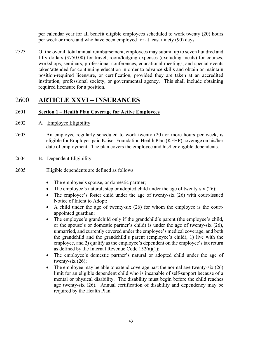per calendar year for all benefit eligible employees scheduled to work twenty (20) hours per week or more and who have been employed for at least ninety (90) days.

2523 Of the overall total annual reimbursement, employees may submit up to seven hundred and fifty dollars (\$750.00) for travel, room/lodging expenses (excluding meals) for courses, workshops, seminars, professional conferences, educational meetings, and special events taken/attended for continuing education in order to advance skills and obtain or maintain position-required licensure, or certification, provided they are taken at an accredited institution, professional society, or governmental agency. This shall include obtaining required licensure for a position.

# 2600 **ARTICLE XXVI – INSURANCES**

## 2601 **Section 1 – Health Plan Coverage for Active Employees**

- 2602 A. Employee Eligibility
- 2603 An employee regularly scheduled to work twenty (20) or more hours per week, is eligible for Employer-paid Kaiser Foundation Health Plan (KFHP) coverage on his/her date of employment. The plan covers the employee and his/her eligible dependents.
- 2604 B. Dependent Eligibility
- 2605 Eligible dependents are defined as follows:
	- The employee's spouse, or domestic partner;
	- The employee's natural, step or adopted child under the age of twenty-six  $(26)$ ;
	- The employee's foster child under the age of twenty-six (26) with court-issued Notice of Intent to Adopt;
	- A child under the age of twenty-six  $(26)$  for whom the employee is the courtappointed guardian;
	- The employee's grandchild only if the grandchild's parent (the employee's child, or the spouse's or domestic partner's child) is under the age of twenty-six (26), unmarried, and currently covered under the employee's medical coverage, and both the grandchild and the grandchild's parent (employee's child), 1) live with the employee, and 2) qualify as the employee's dependent on the employee's tax return as defined by the Internal Revenue Code  $152(a)(1)$ ;
	- The employee's domestic partner's natural or adopted child under the age of twenty-six  $(26)$ ;
	- The employee may be able to extend coverage past the normal age twenty-six  $(26)$ limit for an eligible dependent child who is incapable of self-support because of a mental or physical disability. The disability must begin before the child reaches age twenty-six (26). Annual certification of disability and dependency may be required by the Health Plan.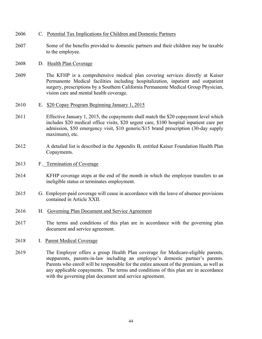- 2606 C. Potential Tax Implications for Children and Domestic Partners
- 2607 Some of the benefits provided to domestic partners and their children may be taxable to the employee.
- 2608 D. Health Plan Coverage
- 2609 The KFHP is a comprehensive medical plan covering services directly at Kaiser Permanente Medical facilities including hospitalization, inpatient and outpatient surgery, prescriptions by a Southern California Permanente Medical Group Physician, vision care and mental health coverage.
- 2610 E. \$20 Copay Program Beginning January 1, 2015
- 2611 Effective January 1, 2015, the copayments shall match the \$20 copayment level which includes \$20 medical office visits, \$20 urgent care, \$100 hospital inpatient care per admission, \$50 emergency visit, \$10 generic/\$15 brand prescription (30-day supply maximum), etc.
- 2612 A detailed list is described in the Appendix B, entitled Kaiser Foundation Health Plan Copayments.
- 2613 F. Termination of Coverage
- 2614 KFHP coverage stops at the end of the month in which the employee transfers to an ineligible status or terminates employment.
- 2615 G. Employer-paid coverage will cease in accordance with the leave of absence provisions contained in Article XXII.
- 2616 H. Governing Plan Document and Service Agreement
- 2617 The terms and conditions of this plan are in accordance with the governing plan document and service agreement.
- 2618 I. Parent Medical Coverage
- 2619 The Employer offers a group Health Plan coverage for Medicare-eligible parents, stepparents, parents-in-law including an employee's domestic partner's parents. Parents who enroll will be responsible for the entire amount of the premium, as well as any applicable copayments. The terms and conditions of this plan are in accordance with the governing plan document and service agreement.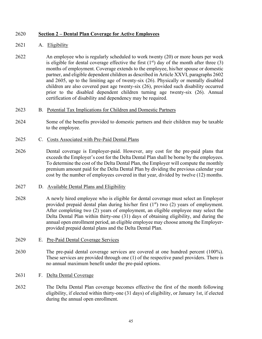## 2620 **Section 2 – Dental Plan Coverage for Active Employees**

## 2621 A. Eligibility

- 2622 An employee who is regularly scheduled to work twenty (20) or more hours per week is eligible for dental coverage effective the first  $(1<sup>st</sup>)$  day of the month after three  $(3)$ months of employment. Coverage extends to the employee, his/her spouse or domestic partner, and eligible dependent children as described in Article XXVI, paragraphs 2602 and 2605, up to the limiting age of twenty-six (26). Physically or mentally disabled children are also covered past age twenty-six (26), provided such disability occurred prior to the disabled dependent children turning age twenty-six (26). Annual certification of disability and dependency may be required.
- 2623 B. Potential Tax Implications for Children and Domestic Partners
- 2624 Some of the benefits provided to domestic partners and their children may be taxable to the employee.
- 2625 C. Costs Associated with Pre-Paid Dental Plans
- 2626 Dental coverage is Employer-paid. However, any cost for the pre-paid plans that exceeds the Employer's cost for the Delta Dental Plan shall be borne by the employees. To determine the cost of the Delta Dental Plan, the Employer will compute the monthly premium amount paid for the Delta Dental Plan by dividing the previous calendar year cost by the number of employees covered in that year, divided by twelve (12) months.
- 2627 D. Available Dental Plans and Eligibility
- 2628 A newly hired employee who is eligible for dental coverage must select an Employer provided prepaid dental plan during his/her first  $(1<sup>st</sup>)$  two  $(2)$  years of employment. After completing two (2) years of employment, an eligible employee may select the Delta Dental Plan within thirty-one (31) days of obtaining eligibility, and during the annual open enrollment period, an eligible employee may choose among the Employerprovided prepaid dental plans and the Delta Dental Plan.
- 2629 E. Pre-Paid Dental Coverage Services
- 2630 The pre-paid dental coverage services are covered at one hundred percent (100%). These services are provided through one (1) of the respective panel providers. There is no annual maximum benefit under the pre-paid options.
- 2631 F. Delta Dental Coverage
- 2632 The Delta Dental Plan coverage becomes effective the first of the month following eligibility, if elected within thirty-one (31 days) of eligibility, or January 1st, if elected during the annual open enrollment.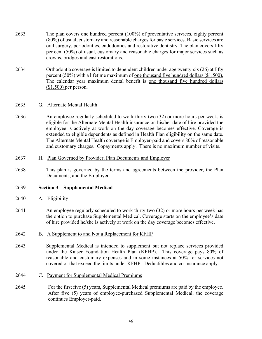- 2633 The plan covers one hundred percent (100%) of preventative services, eighty percent (80%) of usual, customary and reasonable charges for basic services. Basic services are oral surgery, periodontics, endodontics and restorative dentistry. The plan covers fifty per cent (50%) of usual, customary and reasonable charges for major services such as crowns, bridges and cast restorations.
- 2634 Orthodontia coverage is limited to dependent children under age twenty-six (26) at fifty percent (50%) with a lifetime maximum of one thousand five hundred dollars (\$1,500). The calendar year maximum dental benefit is one thousand five hundred dollars (\$1,500) per person.

### 2635 G. Alternate Mental Health

2636 An employee regularly scheduled to work thirty-two (32) or more hours per week, is eligible for the Alternate Mental Health insurance on his/her date of hire provided the employee is actively at work on the day coverage becomes effective. Coverage is extended to eligible dependents as defined in Health Plan eligibility on the same date. The Alternate Mental Health coverage is Employer-paid and covers 80% of reasonable and customary charges. Copayments apply. There is no maximum number of visits.

#### 2637 H. Plan Governed by Provider, Plan Documents and Employer

2638 This plan is governed by the terms and agreements between the provider, the Plan Documents, and the Employer.

### 2639 **Section 3 – Supplemental Medical**

- 2640 A. Eligibility
- 2641 An employee regularly scheduled to work thirty-two (32) or more hours per week has the option to purchase Supplemental Medical. Coverage starts on the employee's date of hire provided he/she is actively at work on the day coverage becomes effective.

### 2642 B. A Supplement to and Not a Replacement for KFHP

- 2643 Supplemental Medical is intended to supplement but not replace services provided under the Kaiser Foundation Health Plan (KFHP). This coverage pays 80% of reasonable and customary expenses and in some instances at 50% for services not covered or that exceed the limits under KFHP. Deductibles and co-insurance apply.
- 2644 C. Payment for Supplemental Medical Premiums
- 2645 For the first five (5) years, Supplemental Medical premiums are paid by the employee. After five (5) years of employee-purchased Supplemental Medical, the coverage continues Employer-paid.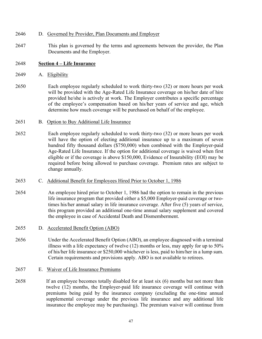- 2646 D. Governed by Provider, Plan Documents and Employer
- 2647 This plan is governed by the terms and agreements between the provider, the Plan Documents and the Employer.

## 2648 **Section 4 – Life Insurance**

- 2649 A. Eligibility
- 2650 Each employee regularly scheduled to work thirty-two (32) or more hours per week will be provided with the Age-Rated Life Insurance coverage on his/her date of hire provided he/she is actively at work. The Employer contributes a specific percentage of the employee's compensation based on his/her years of service and age, which determine how much coverage will be purchased on behalf of the employee.
- 2651 B. Option to Buy Additional Life Insurance
- 2652 Each employee regularly scheduled to work thirty-two (32) or more hours per week will have the option of electing additional insurance up to a maximum of seven hundred fifty thousand dollars (\$750,000) when combined with the Employer-paid Age-Rated Life Insurance. If the option for additional coverage is waived when first eligible or if the coverage is above \$150,000, Evidence of Insurability (EOI) may be required before being allowed to purchase coverage. Premium rates are subject to change annually.
- 2653 C. Additional Benefit for Employees Hired Prior to October 1, 1986
- 2654 An employee hired prior to October 1, 1986 had the option to remain in the previous life insurance program that provided either a \$5,000 Employer-paid coverage or twotimes his/her annual salary in life insurance coverage. After five (5) years of service, this program provided an additional one-time annual salary supplement and covered the employee in case of Accidental Death and Dismemberment.
- 2655 D. Accelerated Benefit Option (ABO)
- 2656 Under the Accelerated Benefit Option (ABO), an employee diagnosed with a terminal illness with a life expectancy of twelve (12) months or less, may apply for up to 50% of his/her life insurance or \$250,000 whichever is less, paid to him/her in a lump sum. Certain requirements and provisions apply. ABO is not available to retirees.
- 2657 E. Waiver of Life Insurance Premiums
- 2658 If an employee becomes totally disabled for at least six (6) months but not more than twelve (12) months, the Employer-paid life insurance coverage will continue with premiums being paid by the insurance company (excluding the one-time annual supplemental coverage under the previous life insurance and any additional life insurance the employee may be purchasing). The premium waiver will continue from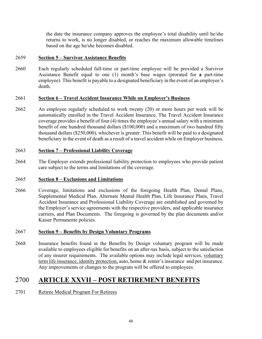the date the insurance company approves the employee's total disability until he/she returns to work, is no longer disabled, or reaches the maximum allowable timelines based on the age he/she becomes disabled.

## 2659 **Section 5 – Survivor Assistance Benefits**

2660 Each regularly scheduled full-time or part-time employee will be provided a Survivor Assistance Benefit equal to one (1) month's base wages (prorated for **a** part-time employee). This benefit is payable to a designated beneficiary in the event of an employee's death.

## 2661 **Section 6 – Travel Accident Insurance While on Employer's Business**

2662 An employee regularly scheduled to work twenty (20) or more hours per week will be automatically enrolled in the Travel Accident Insurance. The Travel Accident Insurance coverage provides a benefit of four (4) times the employee's annual salary with a minimum benefit of one hundred thousand dollars (\$100,000) and a maximum of two hundred fifty thousand dollars (\$250,000), whichever is greater. This benefit will be paid to a designated beneficiary in the event of death as a result of a travel accident while on Employer business.

## 2663 **Section 7 – Professional Liability Coverage**

2664 The Employer extends professional liability protection to employees who provide patient care subject to the terms and limitations of the coverage.

## 2665 **Section 8 – Exclusions and Limitations**

2666 Coverage, limitations and exclusions of the foregoing Health Plan, Dental Plans, Supplemental Medical Plan, Alternate Mental Health Plan, Life Insurance Plans, Travel Accident Insurance and Professional Liability Coverage are established and governed by the Employer's service agreements with the respective providers, and applicable insurance carriers, and Plan Documents. The foregoing is governed by the plan documents and/or Kaiser Permanente policies.

## 2667 **Section 9 – Benefits by Design Voluntary Programs**

2668 Insurance benefits found in the Benefits by Design voluntary program will be made available to employees eligible for benefits on an after-tax basis, subject to the satisfaction of any insurer requirements. The available options may include legal services, voluntary term life insurance, identity protection, auto, home & renter's insurance and pet insurance. Any improvements or changes to the program will be offered to employees.

# 2700 **ARTICLE XXVII – POST RETIREMENT BENEFITS**

## 2701 Retiree Medical Program For Retirees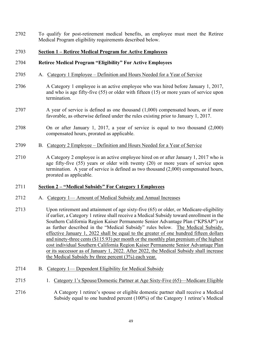2702 To qualify for post-retirement medical benefits, an employee must meet the Retiree Medical Program eligibility requirements described below.

## 2703 **Section 1 – Retiree Medical Program for Active Employees**

## 2704 **Retiree Medical Program "Eligibility" For Active Employees**

- 2705 A. Category 1 Employee Definition and Hours Needed for a Year of Service
- 2706 A Category 1 employee is an active employee who was hired before January 1, 2017, and who is age fifty-five (55) or older with fifteen (15) or more years of service upon termination.
- 2707 A year of service is defined as one thousand (1,000) compensated hours, or if more favorable, as otherwise defined under the rules existing prior to January 1, 2017.
- 2708 On or after January 1, 2017, a year of service is equal to two thousand (2,000) compensated hours, prorated as applicable.
- 2709 B. Category 2 Employee Definition and Hours Needed for a Year of Service
- 2710 A Category 2 employee is an active employee hired on or after January 1, 2017 who is age fifty-five (55) years or older with twenty (20) or more years of service upon termination. A year of service is defined as two thousand (2,000) compensated hours, prorated as applicable.

### 2711 **Section 2 – "Medical Subsidy" For Category 1 Employees**

- 2712 A. Category 1— Amount of Medical Subsidy and Annual Increases
- 2713 Upon retirement and attainment of age sixty-five (65) or older, or Medicare-eligibility if earlier, a Category 1 retiree shall receive a Medical Subsidy toward enrollment in the Southern California Region Kaiser Permanente Senior Advantage Plan ("KPSAP") or as further described in the "Medical Subsidy" rules below. The Medical Subsidy, effective January 1, 2022 shall be equal to the greater of one hundred fifteen dollars and ninety-three cents (\$115.93) per month or the monthly plan premium of the highest cost individual Southern California Region Kaiser Permanente Senior Advantage Plan or its successor as of January 1, 2022. After 2022, the Medical Subsidy shall increase the Medical Subsidy by three percent (3%) each year.
- 2714 B. Category 1— Dependent Eligibility for Medical Subsidy
- 2715 1. Category 1's Spouse/Domestic Partner at Age Sixty-Five (65)—Medicare Eligible
- 2716 A Category 1 retiree's spouse or eligible domestic partner shall receive a Medical Subsidy equal to one hundred percent (100%) of the Category 1 retiree's Medical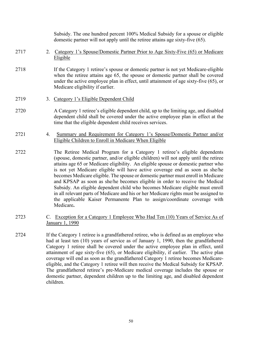|      |    | Subsidy. The one hundred percent 100% Medical Subsidy for a spouse or eligible<br>domestic partner will not apply until the retiree attains age sixty-five (65).                                                                                                                                                                                                                                                                                                                                                                                                                                                                                                                                                                                                                  |
|------|----|-----------------------------------------------------------------------------------------------------------------------------------------------------------------------------------------------------------------------------------------------------------------------------------------------------------------------------------------------------------------------------------------------------------------------------------------------------------------------------------------------------------------------------------------------------------------------------------------------------------------------------------------------------------------------------------------------------------------------------------------------------------------------------------|
| 2717 | 2. | Category 1's Spouse/Domestic Partner Prior to Age Sixty-Five (65) or Medicare<br>Eligible                                                                                                                                                                                                                                                                                                                                                                                                                                                                                                                                                                                                                                                                                         |
| 2718 |    | If the Category 1 retiree's spouse or domestic partner is not yet Medicare-eligible<br>when the retiree attains age 65, the spouse or domestic partner shall be covered<br>under the active employee plan in effect, until attainment of age sixty-five (65), or<br>Medicare eligibility if earlier.                                                                                                                                                                                                                                                                                                                                                                                                                                                                              |
| 2719 |    | 3. Category 1's Eligible Dependent Child                                                                                                                                                                                                                                                                                                                                                                                                                                                                                                                                                                                                                                                                                                                                          |
| 2720 |    | A Category 1 retiree's eligible dependent child, up to the limiting age, and disabled<br>dependent child shall be covered under the active employee plan in effect at the<br>time that the eligible dependent child receives services.                                                                                                                                                                                                                                                                                                                                                                                                                                                                                                                                            |
| 2721 | 4. | Summary and Requirement for Category 1's Spouse/Domestic Partner and/or<br>Eligible Children to Enroll in Medicare When Eligible                                                                                                                                                                                                                                                                                                                                                                                                                                                                                                                                                                                                                                                  |
| 2722 |    | The Retiree Medical Program for a Category 1 retiree's eligible dependents<br>(spouse, domestic partner, and/or eligible children) will not apply until the retiree<br>attains age 65 or Medicare eligibility. An eligible spouse or domestic partner who<br>is not yet Medicare eligible will have active coverage end as soon as she/he<br>becomes Medicare eligible. The spouse or domestic partner must enroll in Medicare<br>and KPSAP as soon as she/he becomes eligible in order to receive the Medical<br>Subsidy. An eligible dependent child who becomes Medicare eligible must enroll<br>in all relevant parts of Medicare and his or her Medicare rights must be assigned to<br>the applicable Kaiser Permanente Plan to assign/coordinate coverage with<br>Medicare. |
| 2723 |    | C. Exception for a Category 1 Employee Who Had Ten (10) Years of Service As of<br>January 1, 1990                                                                                                                                                                                                                                                                                                                                                                                                                                                                                                                                                                                                                                                                                 |

2724 If the Category 1 retiree is a grandfathered retiree, who is defined as an employee who had at least ten (10) years of service as of January 1, 1990, then the grandfathered Category 1 retiree shall be covered under the active employee plan in effect, until attainment of age sixty-five (65), or Medicare eligibility, if earlier. The active plan coverage will end as soon as the grandfathered Category 1 retiree becomes Medicareeligible, and the Category 1 retiree will then receive the Medical Subsidy for KPSAP. The grandfathered retiree's pre-Medicare medical coverage includes the spouse or domestic partner, dependent children up to the limiting age, and disabled dependent children.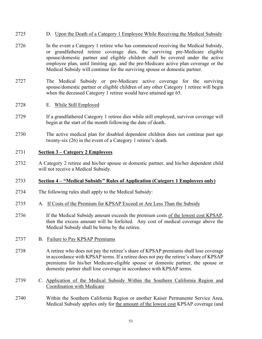## 2725 D. Upon the Death of a Category 1 Employee While Receiving the Medical Subsidy

- 2726 In the event a Category 1 retiree who has commenced receiving the Medical Subsidy, or grandfathered retiree coverage dies, the surviving pre-Medicare eligible spouse/domestic partner and eligible children shall be covered under the active employee plan, until limiting age, and the pre-Medicare active plan coverage or the Medical Subsidy will continue for the surviving spouse or domestic partner.
- 2727 The Medical Subsidy or pre-Medicare active coverage for the surviving spouse/domestic partner or eligible children of any other Category 1 retiree will begin when the deceased Category 1 retiree would have attained age 65.
- 2728 E. While Still Employed
- 2729 If a grandfathered Category 1 retiree dies while still employed, survivor coverage will begin at the start of the month following the date of death.
- 2730 The active medical plan for disabled dependent children does not continue past age twenty-six (26) in the event of a Category 1 retiree's death.

### 2731 **Section 3 – Category 2 Employees**

2732 A Category 2 retiree and his/her spouse or domestic partner, and his/her dependent child will not receive a Medical Subsidy.

### 2733 **Section 4 – "Medical Subsidy" Rules of Application (Category 1 Employees only)**

- 2734 The following rules shall apply to the Medical Subsidy:
- 2735 A. If Costs of the Premium for KPSAP Exceed or Are Less Than the Subsidy
- 2736 If the Medical Subsidy amount exceeds the premium costs of the lowest cost KPSAP, then the excess amount will be forfeited. Any cost of medical coverage above the Medical Subsidy shall be borne by the retiree.
- 2737 B. Failure to Pay KPSAP Premiums
- 2738 A retiree who does not pay the retiree's share of KPSAP premiums shall lose coverage in accordance with KPSAP terms. If a retiree does not pay the retiree's share of KPSAP premiums for his/her Medicare-eligible spouse or domestic partner, the spouse or domestic partner shall lose coverage in accordance with KPSAP terms.
- 2739 C. Application of the Medical Subsidy Within the Southern California Region and Coordination with Medicare
- 2740 Within the Southern California Region or another Kaiser Permanente Service Area, Medical Subsidy applies only for the amount of the lowest cost KPSAP coverage (and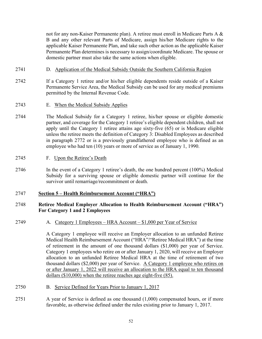not for any non-Kaiser Permanente plan). A retiree must enroll in Medicare Parts A & B and any other relevant Parts of Medicare, assign his/her Medicare rights to the applicable Kaiser Permanente Plan, and take such other action as the applicable Kaiser Permanente Plan determines is necessary to assign/coordinate Medicare. The spouse or domestic partner must also take the same actions when eligible.

- 2741 D. Application of the Medical Subsidy Outside the Southern California Region
- 2742 If a Category 1 retiree and/or his/her eligible dependents reside outside of a Kaiser Permanente Service Area, the Medical Subsidy can be used for any medical premiums permitted by the Internal Revenue Code.
- 2743 E. When the Medical Subsidy Applies
- 2744 The Medical Subsidy for a Category 1 retiree, his/her spouse or eligible domestic partner, and coverage for the Category 1 retiree's eligible dependent children, shall not apply until the Category 1 retiree attains age sixty-five (65) or is Medicare eligible unless the retiree meets the definition of Category 3: Disabled Employees as described in paragraph 2772 or is a previously grandfathered employee who is defined as an employee who had ten (10) years or more of service as of January 1, 1990.
- 2745 F. Upon the Retiree's Death
- 2746 In the event of a Category 1 retiree's death, the one hundred percent (100%) Medical Subsidy for a surviving spouse or eligible domestic partner will continue for the survivor until remarriage/recommitment or death.

### 2747 **Section 5 – Health Reimbursement Account ("HRA")**

## 2748 **Retiree Medical Employer Allocation to Health Reimbursement Account ("HRA") For Category 1 and 2 Employees**

2749 A. Category 1 Employees – HRA Account – \$1,000 per Year of Service

A Category 1 employee will receive an Employer allocation to an unfunded Retiree Medical Health Reimbursement Account ("HRA"/"Retiree Medical HRA") at the time of retirement in the amount of one thousand dollars (\$1,000) per year of Service. Category 1 employees who retire on or after January 1, 2020, will receive an Employer allocation to an unfunded Retiree Medical HRA at the time of retirement of two thousand dollars (\$2,000) per year of Service. A Category 1 employee who retires on or after January 1, 2022 will receive an allocation to the HRA equal to ten thousand dollars (\$10,000) when the retiree reaches age eight-five (85).

- 2750 B. Service Defined for Years Prior to January 1, 2017
- 2751 A year of Service is defined as one thousand (1,000) compensated hours, or if more favorable, as otherwise defined under the rules existing prior to January 1, 2017.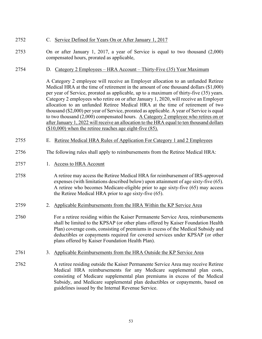## 2752 C. Service Defined for Years On or After January 1, 2017

- 2753 On or after January 1, 2017, a year of Service is equal to two thousand (2,000) compensated hours, prorated as applicable,
- 2754 D. Category 2 Employees HRA Account Thirty-Five (35) Year Maximum

A Category 2 employee will receive an Employer allocation to an unfunded Retiree Medical HRA at the time of retirement in the amount of one thousand dollars (\$1,000) per year of Service, prorated as applicable, up to a maximum of thirty-five (35) years. Category 2 employees who retire on or after January 1, 2020, will receive an Employer allocation to an unfunded Retiree Medical HRA at the time of retirement of two thousand (\$2,000) per year of Service, prorated as applicable. A year of Service is equal to two thousand (2,000) compensated hours. A Category 2 employee who retires on or after January 1, 2022 will receive an allocation to the HRA equal to ten thousand dollars (\$10,000) when the retiree reaches age eight-five (85).

- 2755 E. Retiree Medical HRA Rules of Application For Category 1 and 2 Employees
- 2756 The following rules shall apply to reimbursements from the Retiree Medical HRA:
- 2757 1. Access to HRA Account
- 2758 A retiree may access the Retiree Medical HRA for reimbursement of IRS-approved expenses (with limitations described below) upon attainment of age sixty-five (65). A retiree who becomes Medicare-eligible prior to age sixty-five (65) may access the Retiree Medical HRA prior to age sixty-five (65).
- 2759 2. Applicable Reimbursements from the HRA Within the KP Service Area
- 2760 For a retiree residing within the Kaiser Permanente Service Area, reimbursements shall be limited to the KPSAP (or other plans offered by Kaiser Foundation Health Plan) coverage costs, consisting of premiums in excess of the Medical Subsidy and deductibles or copayments required for covered services under KPSAP (or other plans offered by Kaiser Foundation Health Plan).
- 2761 3. Applicable Reimbursements from the HRA Outside the KP Service Area
- 2762 A retiree residing outside the Kaiser Permanente Service Area may receive Retiree Medical HRA reimbursements for any Medicare supplemental plan costs, consisting of Medicare supplemental plan premiums in excess of the Medical Subsidy, and Medicare supplemental plan deductibles or copayments, based on guidelines issued by the Internal Revenue Service.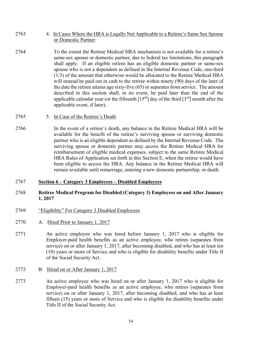- 2763 4. In Cases Where the HRA is Legally Not Applicable to a Retiree's Same Sex Spouse or Domestic Partner
- 2764 To the extent the Retiree Medical HRA mechanism is not available for a retiree's same-sex spouse or domestic partner, due to federal tax limitations, this paragraph shall apply. If an eligible retiree has an eligible domestic partner or same-sex spouse who is not a dependent as defined in the Internal Revenue Code, one-third (1/3) of the amount that otherwise would be allocated to the Retiree Medical HRA will instead be paid out in cash to the retiree within ninety (90) days of the later of the date the retiree attains age sixty-five (65) or separates from service. The amount described in this section shall, in no event, be paid later than the end of the applicable calendar year (or the fifteenth  $[15<sup>th</sup>]$  day of the third  $[3<sup>rd</sup>]$  month after the applicable event, if later).
- 2765 5. In Case of the Retiree's Death
- 2766 In the event of a retiree's death, any balance in the Retiree Medical HRA will be available for the benefit of the retiree's surviving spouse or surviving domestic partner who is an eligible dependent as defined by the Internal Revenue Code. The surviving spouse or domestic partner may access the Retiree Medical HRA for reimbursement of eligible medical expenses, subject to the same Retiree Medical HRA Rules of Application set forth in this Section E, when the retiree would have been eligible to access the HRA. Any balance in the Retiree Medical HRA will remain available until remarriage, entering a new domestic partnership, or death.

### 2767 **Section 6 – Category 3 Employees – Disabled Employees**

## 2768 **Retiree Medical Program for Disabled (Category 3) Employees on and After January 1, 2017**

- 2769 "Eligibility" For Category 3 Disabled Employees
- 2770 A. Hired Prior to January 1, 2017
- 2771 An active employee who was hired before January 1, 2017 who is eligible for Employer-paid health benefits as an active employee, who retires (separates from service) on or after January 1, 2017, after becoming disabled, and who has at least ten (10) years or more of Service and who is eligible for disability benefits under Title II of the Social Security Act.
- 2772 B. Hired on or After January 1, 2017
- 2773 An active employee who was hired on or after January 1, 2017 who is eligible for Employer-paid health benefits as an active employee, who retires (separates from service) on or after January 1, 2017, after becoming disabled, and who has at least fifteen (15) years or more of Service and who is eligible for disability benefits under Title II of the Social Security Act.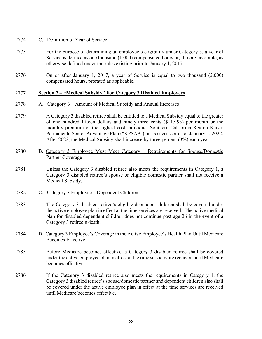## 2774 C. Definition of Year of Service

- 2775 For the purpose of determining an employee's eligibility under Category 3, a year of Service is defined as one thousand (1,000) compensated hours or, if more favorable, as otherwise defined under the rules existing prior to January 1, 2017.
- 2776 On or after January 1, 2017, a year of Service is equal to two thousand (2,000) compensated hours, prorated as applicable.

## 2777 **Section 7 – "Medical Subsidy" For Category 3 Disabled Employees**

- 2778 A. Category 3 Amount of Medical Subsidy and Annual Increases
- 2779 A Category 3 disabled retiree shall be entitled to a Medical Subsidy equal to the greater of one hundred fifteen dollars and ninety-three cents (\$115.93) per month or the monthly premium of the highest cost individual Southern California Region Kaiser Permanente Senior Advantage Plan ("KPSAP") or its successor as of January 1, 2022. After 2022, the Medical Subsidy shall increase by three percent (3%) each year.
- 2780 B. Category 3 Employee Must Meet Category 1 Requirements for Spouse/Domestic Partner Coverage
- 2781 Unless the Category 3 disabled retiree also meets the requirements in Category 1, a Category 3 disabled retiree's spouse or eligible domestic partner shall not receive a Medical Subsidy.
- 2782 C. Category 3 Employee's Dependent Children
- 2783 The Category 3 disabled retiree's eligible dependent children shall be covered under the active employee plan in effect at the time services are received. The active medical plan for disabled dependent children does not continue past age 26 in the event of a Category 3 retiree's death.
- 2784 D. Category 3 Employee's Coverage in the Active Employee's Health Plan Until Medicare Becomes Effective
- 2785 Before Medicare becomes effective, a Category 3 disabled retiree shall be covered under the active employee plan in effect at the time services are received until Medicare becomes effective.
- 2786 If the Category 3 disabled retiree also meets the requirements in Category 1, the Category 3 disabled retiree's spouse/domestic partner and dependent children also shall be covered under the active employee plan in effect at the time services are received until Medicare becomes effective.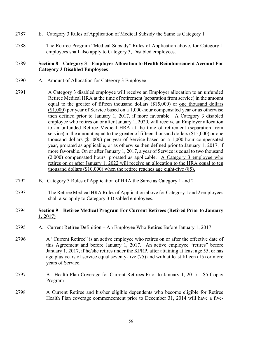- 2787 E. Category 3 Rules of Application of Medical Subsidy the Same as Category 1
- 2788 The Retiree Program "Medical Subsidy" Rules of Application above, for Category 1 employees shall also apply to Category 3, Disabled employees.

## 2789 **Section 8 – Category 3 – Employer Allocation to Health Reimbursement Account For Category 3 Disabled Employees**

- 2790 A. Amount of Allocation for Category 3 Employee
- 2791 A Category 3 disabled employee will receive an Employer allocation to an unfunded Retiree Medical HRA at the time of retirement (separation from service) in the amount equal to the greater of fifteen thousand dollars (\$15,000) or one thousand dollars (\$1,000) per year of Service based on a 1,000-hour compensated year or as otherwise then defined prior to January 1, 2017, if more favorable. A Category 3 disabled employee who retires on or after January 1, 2020, will receive an Employer allocation to an unfunded Retiree Medical HRA at the time of retirement (separation from service) in the amount equal to the greater of fifteen thousand dollars (\$15,000) or one thousand dollars (\$1,000) per year of Service based on a 1,000-hour compensated year, prorated as applicable, or as otherwise then defined prior to January 1, 2017, if more favorable. On or after January 1, 2017, a year of Service is equal to two thousand (2,000) compensated hours, prorated as applicable. A Category 3 employee who retires on or after January 1, 2022 will receive an allocation to the HRA equal to ten thousand dollars (\$10,000) when the retiree reaches age eight-five (85).
- 2792 B. Category 3 Rules of Application of HRA the Same as Category 1 and 2
- 2793 The Retiree Medical HRA Rules of Application above for Category 1 and 2 employees shall also apply to Category 3 Disabled employees.

## 2794 **Section 9 – Retiree Medical Program For Current Retirees (Retired Prior to January 1, 2017)**

- 2795 A. Current Retiree Definition An Employee Who Retires Before January 1, 2017
- 2796 A "Current Retiree" is an active employee who retires on or after the effective date of this Agreement and before January 1, 2017. An active employee "retires" before January 1, 2017, if he/she retires under the KPRP, after attaining at least age 55, or has age plus years of service equal seventy-five (75) and with at least fifteen (15) or more years of Service.
- 2797 B. Health Plan Coverage for Current Retirees Prior to January 1, 2015 \$5 Copay Program
- 2798 A Current Retiree and his/her eligible dependents who become eligible for Retiree Health Plan coverage commencement prior to December 31, 2014 will have a five-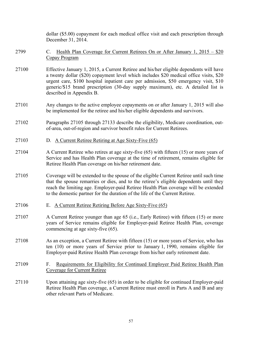|       | dollar (\$5.00) copayment for each medical office visit and each prescription through<br>December 31, 2014.                                                                                                                                                                                                                                                                              |
|-------|------------------------------------------------------------------------------------------------------------------------------------------------------------------------------------------------------------------------------------------------------------------------------------------------------------------------------------------------------------------------------------------|
| 2799  | Health Plan Coverage for Current Retirees On or After January 1, 2015 – \$20<br>$\mathbf{C}$ .<br>Copay Program                                                                                                                                                                                                                                                                          |
| 27100 | Effective January 1, 2015, a Current Retiree and his/her eligible dependents will have<br>a twenty dollar (\$20) copayment level which includes \$20 medical office visits, \$20<br>urgent care, \$100 hospital inpatient care per admission, \$50 emergency visit, \$10<br>generic/\$15 brand prescription (30-day supply maximum), etc. A detailed list is<br>described in Appendix B. |
| 27101 | Any changes to the active employee copayments on or after January 1, 2015 will also<br>be implemented for the retiree and his/her eligible dependents and survivors.                                                                                                                                                                                                                     |
| 27102 | Paragraphs 27105 through 27133 describe the eligibility, Medicare coordination, out-<br>of-area, out-of-region and survivor benefit rules for Current Retirees.                                                                                                                                                                                                                          |
| 27103 | D. A Current Retiree Retiring at Age Sixty-Five (65)                                                                                                                                                                                                                                                                                                                                     |
| 27104 | A Current Retiree who retires at age sixty-five (65) with fifteen (15) or more years of<br>Service and has Health Plan coverage at the time of retirement, remains eligible for<br>Retiree Health Plan coverage on his/her retirement date.                                                                                                                                              |
| 27105 | Coverage will be extended to the spouse of the eligible Current Retiree until such time<br>that the spouse remarries or dies, and to the retiree's eligible dependents until they<br>reach the limiting age. Employer-paid Retiree Health Plan coverage will be extended<br>to the domestic partner for the duration of the life of the Current Retiree.                                 |
| 27106 | E. A Current Retiree Retiring Before Age Sixty-Five (65)                                                                                                                                                                                                                                                                                                                                 |
| 27107 | A Current Retiree younger than age 65 (i.e., Early Retiree) with fifteen (15) or more<br>years of Service remains eligible for Employer-paid Retiree Health Plan, coverage<br>commencing at age sixty-five (65).                                                                                                                                                                         |
| 27108 | As an exception, a Current Retiree with fifteen (15) or more years of Service, who has<br>ten (10) or more years of Service prior to January 1, 1990, remains eligible for<br>Employer-paid Retiree Health Plan coverage from his/her early retirement date.                                                                                                                             |
| 27109 | Requirements for Eligibility for Continued Employer Paid Retiree Health Plan<br>F.<br>Coverage for Current Retiree                                                                                                                                                                                                                                                                       |
| 27110 | Upon attaining age sixty-five (65) in order to be eligible for continued Employer-paid<br>Retiree Health Plan coverage, a Current Retiree must enroll in Parts A and B and any<br>other relevant Parts of Medicare.                                                                                                                                                                      |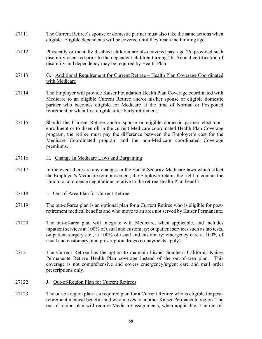- 27111 The Current Retiree's spouse or domestic partner must also take the same actions when eligible. Eligible dependents will be covered until they reach the limiting age.
- 27112 Physically or mentally disabled children are also covered past age 26, provided such disability occurred prior to the dependent children turning 26. Annual certification of disability and dependency may be required by Health Plan.
- 27113 G. Additional Requirement for Current Retiree Health Plan Coverage Coordinated with Medicare
- 27114 The Employer will provide Kaiser Foundation Health Plan Coverage coordinated with Medicare to an eligible Current Retiree and/or his/her spouse or eligible domestic partner who becomes eligible for Medicare at the time of Normal or Postponed retirement or when first eligible after Early retirement.
- 27115 Should the Current Retiree and/or spouse or eligible domestic partner elect nonenrollment or to disenroll in the current Medicare coordinated Health Plan Coverage program, the retiree must pay the difference between the Employer's cost for the Medicare Coordinated program and the non-Medicare coordinated Coverage premiums.
- 27116 H. Change In Medicare Laws and Bargaining
- 27117 In the event there are any changes in the Social Security Medicare laws which affect the Employer's Medicare reimbursement, the Employer retains the right to contact the Union to commence negotiations relative to the retiree Health Plan benefit.
- 27118 I. Out-of-Area Plan for Current Retiree
- 27119 The out-of-area plan is an optional plan for a Current Retiree who is eligible for postretirement medical benefits and who move to an area not served by Kaiser Permanente.
- 27120 The out-of-area plan will integrate with Medicare, when applicable, and includes inpatient services at 100% of usual and customary; outpatient services such as lab tests, outpatient surgery etc., at 100% of usual and customary; emergency care at 100% of usual and customary; and prescription drugs (co-payments apply).
- 27121 The Current Retiree has the option to maintain his/her Southern California Kaiser Permanente Retiree Health Plan coverage instead of the out-of-area plan. This coverage is not comprehensive and covers emergency/urgent care and mail order prescriptions only.
- 27122 J. Out-of-Region Plan for Current Retirees
- 27123 The out-of-region plan is a required plan for a Current Retiree who is eligible for postretirement medical benefits and who moves to another Kaiser Permanente region. The out-of-region plan will require Medicare assignments, when applicable. The out-of-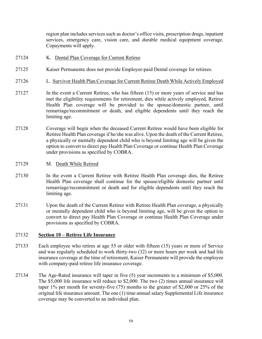region plan includes services such as doctor's office visits, prescription drugs, inpatient services, emergency care, vision care, and durable medical equipment coverage. Copayments will apply.

- 27124 K. Dental Plan Coverage for Current Retiree
- 27125 Kaiser Permanente does not provide Employer-paid Dental coverage for retirees.
- 27126 L. Survivor Health Plan Coverage for Current Retiree Death While Actively Employed
- 27127 In the event a Current Retiree, who has fifteen (15) or more years of service and has met the eligibility requirements for retirement, dies while actively employed, Retiree Health Plan coverage will be provided to the spouse/domestic partner, until remarriage/recommitment or death, and eligible dependents until they reach the limiting age.
- 27128 Coverage will begin when the deceased Current Retiree would have been eligible for Retiree Health Plan coverage if he/she was alive. Upon the death of the Current Retiree, a physically or mentally dependent child who is beyond limiting age will be given the option to convert to direct pay Health Plan Coverage or continue Health Plan Coverage under provisions as specified by COBRA.
- 27129 M. Death While Retired
- 27130 In the event a Current Retiree with Retiree Health Plan coverage dies, the Retiree Health Plan coverage shall continue for the spouse/eligible domestic partner until remarriage/recommitment or death and for eligible dependents until they reach the limiting age.
- 27131 Upon the death of the Current Retiree with Retiree Health Plan coverage, a physically or mentally dependent child who is beyond limiting age, will be given the option to convert to direct pay Health Plan Coverage or continue Health Plan Coverage under provisions as specified by COBRA.

### 27132 **Section 10 – Retiree Life Insurance**

- 27133 Each employee who retires at age 55 or older with fifteen (15) years or more of Service and was regularly scheduled to work thirty-two (32) or more hours per week and had life insurance coverage at the time of retirement, Kaiser Permanente will provide the employee with company-paid retiree life insurance coverage.
- 27134 The Age-Rated insurance will taper in five (5) year increments to a minimum of \$5,000. The \$5,000 life insurance will reduce to \$2,000. The two (2) times annual insurance will taper 1% per month for seventy-five (75) months to the greater of \$2,000 or 25% of the original life insurance amount. The one (1) time annual salary Supplemental Life insurance coverage may be converted to an individual plan.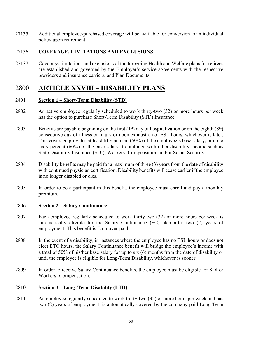27135 Additional employee-purchased coverage will be available for conversion to an individual policy upon retirement.

## 27136 **COVERAGE, LIMITATIONS AND EXCLUSIONS**

27137 Coverage, limitations and exclusions of the foregoing Health and Welfare plans for retirees are established and governed by the Employer's service agreements with the respective providers and insurance carriers, and Plan Documents.

# 2800 **ARTICLE XXVIII – DISABILITY PLANS**

## 2801 **Section 1 – Short-Term Disability (STD)**

- 2802 An active employee regularly scheduled to work thirty-two (32) or more hours per week has the option to purchase Short-Term Disability (STD) Insurance.
- 2803 Benefits are payable beginning on the first  $(1<sup>st</sup>)$  day of hospitalization or on the eighth  $(8<sup>th</sup>)$ consecutive day of illness or injury or upon exhaustion of ESL hours, whichever is later. This coverage provides at least fifty percent (50%) of the employee's base salary, or up to sixty percent (60%) of the base salary if combined with other disability income such as State Disability Insurance (SDI), Workers' Compensation and/or Social Security.
- 2804 Disability benefits may be paid for a maximum of three (3) years from the date of disability with continued physician certification. Disability benefits will cease earlier if the employee is no longer disabled or dies.
- 2805 In order to be a participant in this benefit, the employee must enroll and pay a monthly premium.

## 2806 **Section 2 – Salary Continuance**

- 2807 Each employee regularly scheduled to work thirty-two (32) or more hours per week is automatically eligible for the Salary Continuance (SC) plan after two (2) years of employment. This benefit is Employer-paid.
- 2808 In the event of a disability, in instances where the employee has no ESL hours or does not elect ETO hours, the Salary Continuance benefit will bridge the employee's income with a total of 50% of his/her base salary for up to six (6) months from the date of disability or until the employee is eligible for Long-Term Disability, whichever is sooner.
- 2809 In order to receive Salary Continuance benefits, the employee must be eligible for SDI or Workers' Compensation.

## 2810 **Section 3 – Long–Term Disability (LTD)**

2811 An employee regularly scheduled to work thirty-two (32) or more hours per week and has two (2) years of employment, is automatically covered by the company-paid Long-Term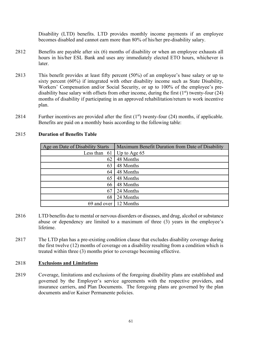Disability (LTD) benefits. LTD provides monthly income payments if an employee becomes disabled and cannot earn more than 80% of his/her pre-disability salary.

- 2812 Benefits are payable after six (6) months of disability or when an employee exhausts all hours in his/her ESL Bank and uses any immediately elected ETO hours, whichever is later.
- 2813 This benefit provides at least fifty percent (50%) of an employee's base salary or up to sixty percent (60%) if integrated with other disability income such as State Disability, Workers' Compensation and/or Social Security, or up to 100% of the employee's predisability base salary with offsets from other income, during the first  $(1<sup>st</sup>)$  twenty-four  $(24)$ months of disability if participating in an approved rehabilitation/return to work incentive plan.
- 2814 Further incentives are provided after the first  $(1<sup>st</sup>)$  twenty-four  $(24)$  months, if applicable. Benefits are paid on a monthly basis according to the following table:

| Age on Date of Disability Starts | Maximum Benefit Duration from Date of Disability |  |
|----------------------------------|--------------------------------------------------|--|
| Less than $61$                   | Up to Age $65$                                   |  |
| 62                               | 48 Months                                        |  |
| 63                               | 48 Months                                        |  |
| 64                               | 48 Months                                        |  |
| 65                               | 48 Months                                        |  |
| 66                               | 48 Months                                        |  |
| 67                               | 24 Months                                        |  |
| 68                               | 24 Months                                        |  |
| 69 and over 12 Months            |                                                  |  |

## 2815 **Duration of Benefits Table**

- 2816 LTD benefits due to mental or nervous disorders or diseases, and drug, alcohol or substance abuse or dependency are limited to a maximum of three (3) years in the employee's lifetime.
- 2817 The LTD plan has a pre-existing condition clause that excludes disability coverage during the first twelve (12) months of coverage on a disability resulting from a condition which is treated within three (3) months prior to coverage becoming effective.

## 2818 **Exclusions and Limitations**

2819 Coverage, limitations and exclusions of the foregoing disability plans are established and governed by the Employer's service agreements with the respective providers, and insurance carriers, and Plan Documents. The foregoing plans are governed by the plan documents and/or Kaiser Permanente policies.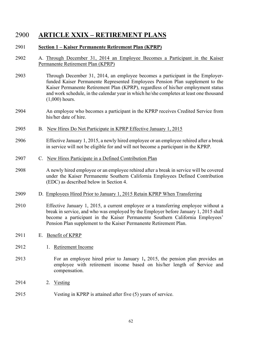# 2900 **ARTICLE XXIX – RETIREMENT PLANS**

## 2901 **Section 1 – Kaiser Permanente Retirement Plan (KPRP)**

- 2902 A. Through December 31, 2014 an Employee Becomes a Participant in the Kaiser Permanente Retirement Plan (KPRP)
- 2903 Through December 31, 2014, an employee becomes a participant in the Employerfunded Kaiser Permanente Represented Employees Pension Plan supplement to the Kaiser Permanente Retirement Plan (KPRP), regardless of his/her employment status and work schedule, in the calendar year in which he/she completes at least one thousand (1,000) hours.
- 2904 An employee who becomes a participant in the KPRP receives Credited Service from his/her date of hire.
- 2905 B. New Hires Do Not Participate in KPRP Effective January 1, 2015
- 2906 Effective January 1, 2015, a newly hired employee or an employee rehired after a break in service will not be eligible for and will not become a participant in the KPRP.
- 2907 C. New Hires Participate in a Defined Contribution Plan
- 2908 A newly hired employee or an employee rehired after a break in service will be covered under the Kaiser Permanente Southern California Employees Defined Contribution (EDC) as described below in Section 4.
- 2909 D. Employees Hired Prior to January 1, 2015 Retain KPRP When Transferring
- 2910 Effective January 1, 2015, a current employee or a transferring employee without a break in service, and who was employed by the Employer before January 1, 2015 shall become a participant in the Kaiser Permanente Southern California Employees' Pension Plan supplement to the Kaiser Permanente Retirement Plan.
- 2911 E. Benefit of KPRP
- 2912 1. Retirement Income
- 2913 For an employee hired prior to January 1**,** 2015, the pension plan provides an employee with retirement income based on his/her length of **S**ervice and compensation.
- 2914 2. Vesting
- 2915 Vesting in KPRP is attained after five (5) years of service.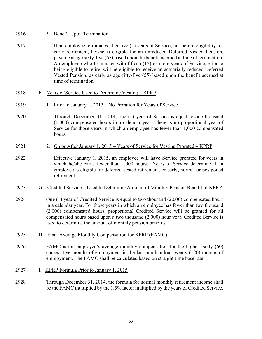| 2916 |  | 3. Benefit Upon Termination |
|------|--|-----------------------------|
|      |  |                             |

- 2917 If an employee terminates after five (5) years of Service, but before eligibility for early retirement, he/she is eligible for an unreduced Deferred Vested Pension, payable at age sixty-five (65) based upon the benefit accrued at time of termination. An employee who terminates with fifteen (15) or more years of Service, prior to being eligible to retire, will be eligible to receive an actuarially reduced Deferred Vested Pension, as early as age fifty-five (55) based upon the benefit accrued at time of termination.
- 2918 F. Years of Service Used to Determine Vesting KPRP
- 2919 1. Prior to January 1, 2015 No Proration for Years of Service
- 2920 Through December 31, 2014, one (1) year of Service is equal to one thousand (1,000) compensated hours in a calendar year. There is no proportional year of Service for those years in which an employee has fewer than 1,000 compensated hours.
- 2921 2. On or After January 1, 2015 Years of Service for Vesting Prorated KPRP
- 2922 Effective January 1, 2015, an employee will have Service prorated for years in which he/she earns fewer than 1,000 hours. Years of Service determine if an employee is eligible for deferred vested retirement, or early, normal or postponed retirement.
- 2923 G. Credited Service Used to Determine Amount of Monthly Pension Benefit of KPRP
- 2924 One (1) year of Credited Service is equal to two thousand (2,000) compensated hours in a calendar year. For those years in which an employee has fewer than two thousand (2,000) compensated hours, proportional Credited Service will be granted for all compensated hours based upon a two thousand (2,000) hour year. Credited Service is used to determine the amount of monthly pension benefits.
- 2925 H. Final Average Monthly Compensation for KPRP (FAMC)
- 2926 FAMC is the employee's average monthly compensation for the highest sixty (60) consecutive months of employment in the last one hundred twenty (120) months of employment. The FAMC shall be calculated based on straight time base rate.
- 2927 I. KPRP Formula Prior to January 1, 2015
- 2928 Through December 31, 2014, the formula for normal monthly retirement income shall be the FAMC multiplied by the 1.5% factor multiplied by the years of Credited Service.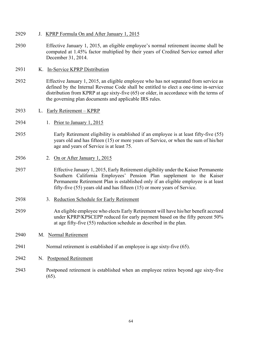- 2929 J. KPRP Formula On and After January 1, 2015
- 2930 Effective January 1, 2015, an eligible employee's normal retirement income shall be computed at 1.45% factor multiplied by their years of Credited Service earned after December 31, 2014.
- 2931 K. In-Service KPRP Distribution
- 2932 Effective January 1, 2015, an eligible employee who has not separated from service as defined by the Internal Revenue Code shall be entitled to elect a one-time in-service distribution from KPRP at age sixty-five (65) or older, in accordance with the terms of the governing plan documents and applicable IRS rules.
- 2933 L. Early Retirement KPRP
- 2934 1. Prior to January 1, 2015
- 2935 Early Retirement eligibility is established if an employee is at least fifty-five (55) years old and has fifteen (15) or more years of Service, or when the sum of his/her age and years of Service is at least 75.
- 2936 2. On or After January 1, 2015
- 2937 Effective January 1, 2015, Early Retirement eligibility under the Kaiser Permanente Southern California Employees' Pension Plan supplement to the Kaiser Permanente Retirement Plan is established only if an eligible employee is at least fifty-five (55) years old and has fifteen (15) or more years of Service.
- 2938 3. Reduction Schedule for Early Retirement
- 2939 An eligible employee who elects Early Retirement will have his/her benefit accrued under KPRP/KPSCEPP reduced for early payment based on the fifty percent 50% at age fifty-five (55) reduction schedule as described in the plan.
- 2940 M. Normal Retirement
- 2941 Normal retirement is established if an employee is age sixty-five (65).
- 2942 N. Postponed Retirement
- 2943 Postponed retirement is established when an employee retires beyond age sixty-five  $(65)$ .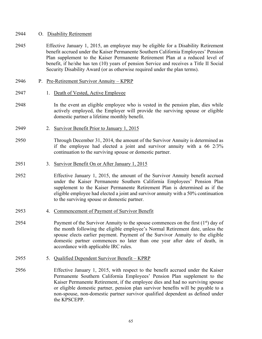#### 2944 O. Disability Retirement

- 2945 Effective January 1, 2015, an employee may be eligible for a Disability Retirement benefit accrued under the Kaiser Permanente Southern California Employees' Pension Plan supplement to the Kaiser Permanente Retirement Plan at a reduced level of benefit, if he/she has ten (10) years of pension Service and receives a Title II Social Security Disability Award (or as otherwise required under the plan terms).
- 2946 P. Pre-Retirement Survivor Annuity KPRP
- 2947 1. Death of Vested, Active Employee
- 2948 In the event an eligible employee who is vested in the pension plan, dies while actively employed, the Employer will provide the surviving spouse or eligible domestic partner a lifetime monthly benefit.
- 2949 2. Survivor Benefit Prior to January 1, 2015
- 2950 Through December 31, 2014, the amount of the Survivor Annuity is determined as if the employee had elected a joint and survivor annuity with a 66 2/3% continuation to the surviving spouse or domestic partner.
- 2951 3. Survivor Benefit On or After January 1, 2015
- 2952 Effective January 1, 2015, the amount of the Survivor Annuity benefit accrued under the Kaiser Permanente Southern California Employees' Pension Plan supplement to the Kaiser Permanente Retirement Plan is determined as if the eligible employee had elected a joint and survivor annuity with a 50% continuation to the surviving spouse or domestic partner.
- 2953 4. Commencement of Payment of Survivor Benefit
- 2954 Payment of the Survivor Annuity to the spouse commences on the first  $(1^{st})$  day of the month following the eligible employee's Normal Retirement date, unless the spouse elects earlier payment. Payment of the Survivor Annuity to the eligible domestic partner commences no later than one year after date of death, in accordance with applicable IRC rules.
- 2955 5. Qualified Dependent Survivor Benefit KPRP
- 2956 Effective January 1, 2015, with respect to the benefit accrued under the Kaiser Permanente Southern California Employees' Pension Plan supplement to the Kaiser Permanente Retirement, if the employee dies and had no surviving spouse or eligible domestic partner, pension plan survivor benefits will be payable to a non-spouse, non-domestic partner survivor qualified dependent as defined under the KPSCEPP.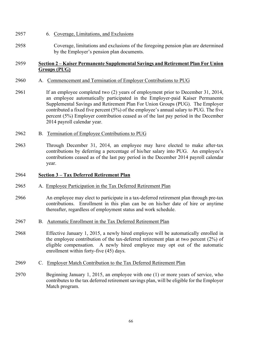- 2957 6. Coverage, Limitations, and Exclusions
- 2958 Coverage, limitations and exclusions of the foregoing pension plan are determined by the Employer's pension plan documents.

## 2959 **Section 2 – Kaiser Permanente Supplemental Savings and Retirement Plan For Union Groups (PUG)**

## 2960 A. Commencement and Termination of Employer Contributions to PUG

- 2961 If an employee completed two (2) years of employment prior to December 31, 2014, an employee automatically participated in the Employer-paid Kaiser Permanente Supplemental Savings and Retirement Plan For Union Groups (PUG). The Employer contributed a fixed five percent (5%) of the employee's annual salary to PUG. The five percent (5%) Employer contribution ceased as of the last pay period in the December 2014 payroll calendar year.
- 2962 B. Termination of Employee Contributions to PUG
- 2963 Through December 31, 2014, an employee may have elected to make after-tax contributions by deferring a percentage of his/her salary into PUG. An employee's contributions ceased as of the last pay period in the December 2014 payroll calendar year.

## 2964 **Section 3 – Tax Deferred Retirement Plan**

- 2965 A. Employee Participation in the Tax Deferred Retirement Plan
- 2966 An employee may elect to participate in a tax-deferred retirement plan through pre-tax contributions. Enrollment in this plan can be on his/her date of hire or anytime thereafter, regardless of employment status and work schedule.
- 2967 B. Automatic Enrollment in the Tax Deferred Retirement Plan
- 2968 Effective January 1, 2015, a newly hired employee will be automatically enrolled in the employee contribution of the tax-deferred retirement plan at two percent (2%) of eligible compensation. A newly hired employee may opt out of the automatic enrollment within forty-five (45) days.
- 2969 C. Employer Match Contribution to the Tax Deferred Retirement Plan
- 2970 Beginning January 1, 2015, an employee with one (1) or more years of service, who contributes to the tax deferred retirement savings plan, will be eligible for the Employer Match program.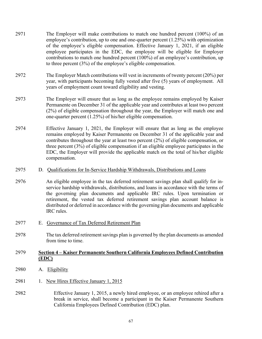- 2971 The Employer will make contributions to match one hundred percent (100%) of an employee's contribution, up to one and one-quarter percent (1.25%) with optimization of the employee's eligible compensation. Effective January 1, 2021, if an eligible employee participates in the EDC, the employee will be eligible for Employer contributions to match one hundred percent (100%) of an employee's contribution, up to three percent (3%) of the employee's eligible compensation.
- 2972 The Employer Match contributions will vest in increments of twenty percent (20%) per year, with participants becoming fully vested after five (5) years of employment. All years of employment count toward eligibility and vesting.
- 2973 The Employer will ensure that as long as the employee remains employed by Kaiser Permanente on December 31 of the applicable year and contributes at least two percent (2%) of eligible compensation throughout the year, the Employer will match one and one-quarter percent (1.25%) of his/her eligible compensation.
- 2974 Effective January 1, 2021, the Employer will ensure that as long as the employee remains employed by Kaiser Permanente on December 31 of the applicable year and contributes throughout the year at least two percent (2%) of eligible compensation, or three percent (3%) of eligible compensation if an eligible employee participates in the EDC, the Employer will provide the applicable match on the total of his/her eligible compensation.
- 2975 D. Qualifications for In-Service Hardship Withdrawals, Distributions and Loans
- 2976 An eligible employee in the tax deferred retirement savings plan shall qualify for inservice hardship withdrawals, distributions, and loans in accordance with the terms of the governing plan documents and applicable IRC rules. Upon termination or retirement, the vested tax deferred retirement savings plan account balance is distributed or deferred in accordance with the governing plan documents and applicable IRC rules.
- 2977 E. Governance of Tax Deferred Retirement Plan
- 2978 The tax deferred retirement savings plan is governed by the plan documents as amended from time to time.

## 2979 **Section 4 – Kaiser Permanente Southern California Employees Defined Contribution (EDC)**

- 2980 A. Eligibility
- 2981 1. New Hires Effective January 1, 2015
- 2982 Effective January 1, 2015, a newly hired employee, or an employee rehired after a break in service, shall become a participant in the Kaiser Permanente Southern California Employees Defined Contribution (EDC) plan.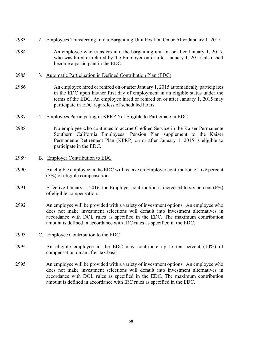| 2983 |           | 2. Employees Transferring Into a Bargaining Unit Position On or After January 1, 2015                                                                                                                                                                                                                                            |
|------|-----------|----------------------------------------------------------------------------------------------------------------------------------------------------------------------------------------------------------------------------------------------------------------------------------------------------------------------------------|
| 2984 |           | An employee who transfers into the bargaining unit on or after January 1, 2015,<br>who was hired or rehired by the Employer on or after January 1, 2015, also shall<br>become a participant in the EDC.                                                                                                                          |
| 2985 |           | 3. Automatic Participation in Defined Contribution Plan (EDC)                                                                                                                                                                                                                                                                    |
| 2986 |           | An employee hired or rehired on or after January 1, 2015 automatically participates<br>in the EDC upon his/her first day of employment in an eligible status under the<br>terms of the EDC. An employee hired or rehired on or after January 1, 2015 may<br>participate in EDC regardless of scheduled hours.                    |
| 2987 |           | 4. Employees Participating in KPRP Not Eligible to Participate in EDC                                                                                                                                                                                                                                                            |
| 2988 |           | No employee who continues to accrue Credited Service in the Kaiser Permanente<br>Southern California Employees' Pension Plan supplement to the Kaiser<br>Permanente Retirement Plan (KPRP) on or after January 1, 2015 is eligible to<br>participate in the EDC.                                                                 |
| 2989 | <b>B.</b> | <b>Employer Contribution to EDC</b>                                                                                                                                                                                                                                                                                              |
| 2990 |           | An eligible employee in the EDC will receive an Employer contribution of five percent<br>(5%) of eligible compensation.                                                                                                                                                                                                          |
| 2991 |           | Effective January 1, 2016, the Employer contribution is increased to six percent $(6\%)$<br>of eligible compensation.                                                                                                                                                                                                            |
| 2992 |           | An employee will be provided with a variety of investment options. An employee who<br>does not make investment selections will default into investment alternatives in<br>accordance with DOL rules as specified in the EDC. The maximum contribution<br>amount is defined in accordance with IRC rules as specified in the EDC. |
| 2993 |           | C. Employee Contribution to the EDC                                                                                                                                                                                                                                                                                              |
| 2994 |           | An eligible employee in the EDC may contribute up to ten percent (10%) of<br>compensation on an after-tax basis.                                                                                                                                                                                                                 |
| 2995 |           | An employee will be provided with a variety of investment options. An employee who<br>does not make investment selections will default into investment alternatives in<br>accordance with DOL rules as specified in the EDC. The maximum contribution<br>amount is defined in accordance with IRC rules as specified in the EDC. |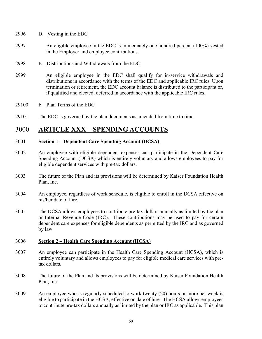- 2996 D. Vesting in the EDC
- 2997 An eligible employee in the EDC is immediately one hundred percent (100%) vested in the Employer and employee contributions.
- 2998 E. Distributions and Withdrawals from the EDC
- 2999 An eligible employee in the EDC shall qualify for in-service withdrawals and distributions in accordance with the terms of the EDC and applicable IRC rules. Upon termination or retirement, the EDC account balance is distributed to the participant or, if qualified and elected, deferred in accordance with the applicable IRC rules.

#### 29100 F. Plan Terms of the EDC

29101 The EDC is governed by the plan documents as amended from time to time.

## 3000 **ARTICLE XXX – SPENDING ACCOUNTS**

#### 3001 **Section 1 – Dependent Care Spending Account (DCSA)**

- 3002 An employee with eligible dependent expenses can participate in the Dependent Care Spending Account (DCSA) which is entirely voluntary and allows employees to pay for eligible dependent services with pre-tax dollars.
- 3003 The future of the Plan and its provisions will be determined by Kaiser Foundation Health Plan, Inc.
- 3004 An employee, regardless of work schedule, is eligible to enroll in the DCSA effective on his/her date of hire.
- 3005 The DCSA allows employees to contribute pre-tax dollars annually as limited by the plan or Internal Revenue Code (IRC). These contributions may be used to pay for certain dependent care expenses for eligible dependents as permitted by the IRC and as governed by law.

#### 3006 **Section 2 – Health Care Spending Account (HCSA)**

- 3007 An employee can participate in the Health Care Spending Account (HCSA), which is entirely voluntary and allows employees to pay for eligible medical care services with pretax dollars.
- 3008 The future of the Plan and its provisions will be determined by Kaiser Foundation Health Plan, Inc.
- 3009 An employee who is regularly scheduled to work twenty (20) hours or more per week is eligible to participate in the HCSA, effective on date of hire. The HCSA allows employees to contribute pre-tax dollars annually as limited by the plan or IRC as applicable. This plan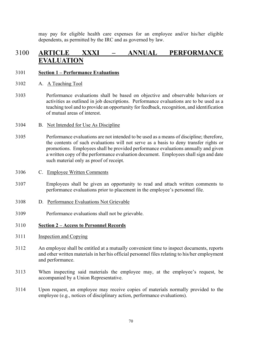may pay for eligible health care expenses for an employee and/or his/her eligible dependents, as permitted by the IRC and as governed by law.

## 3100 **ARTICLE XXXI – ANNUAL PERFORMANCE EVALUATION**

#### 3101 **Section 1 – Performance Evaluations**

- 3102 A. A Teaching Tool
- 3103 Performance evaluations shall be based on objective and observable behaviors or activities as outlined in job descriptions. Performance evaluations are to be used as a teaching tool and to provide an opportunity for feedback, recognition, and identification of mutual areas of interest.
- 3104 B. Not Intended for Use As Discipline
- 3105 Performance evaluations are not intended to be used as a means of discipline; therefore, the contents of such evaluations will not serve as a basis to deny transfer rights or promotions. Employees shall be provided performance evaluations annually and given a written copy of the performance evaluation document. Employees shall sign and date such material only as proof of receipt.
- 3106 C. Employee Written Comments
- 3107 Employees shall be given an opportunity to read and attach written comments to performance evaluations prior to placement in the employee's personnel file.
- 3108 D. Performance Evaluations Not Grievable
- 3109 Performance evaluations shall not be grievable.

#### 3110 **Section 2 – Access to Personnel Records**

- 3111 Inspection and Copying
- 3112 An employee shall be entitled at a mutually convenient time to inspect documents, reports and other written materials in her/his official personnel files relating to his/her employment and performance.
- 3113 When inspecting said materials the employee may, at the employee's request, be accompanied by a Union Representative.
- 3114 Upon request, an employee may receive copies of materials normally provided to the employee (e.g., notices of disciplinary action, performance evaluations).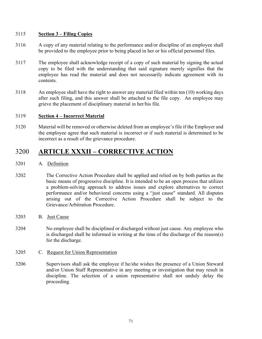#### 3115 **Section 3 – Filing Copies**

- 3116 A copy of any material relating to the performance and/or discipline of an employee shall be provided to the employee prior to being placed in her or his official personnel files.
- 3117 The employee shall acknowledge receipt of a copy of such material by signing the actual copy to be filed with the understanding that said signature merely signifies that the employee has read the material and does not necessarily indicate agreement with its contents.
- 3118 An employee shall have the right to answer any material filed within ten (10) working days after such filing, and this answer shall be attached to the file copy. An employee may grieve the placement of disciplinary material in her/his file.

#### 3119 **Section 4 – Incorrect Material**

3120 Material will be removed or otherwise deleted from an employee's file if the Employer and the employee agree that such material is incorrect or if such material is determined to be incorrect as a result of the grievance procedure.

## 3200 **ARTICLE XXXII – CORRECTIVE ACTION**

- 3201 A. Definition
- 3202 The Corrective Action Procedure shall be applied and relied on by both parties as the basic means of progressive discipline. It is intended to be an open process that utilizes a problem-solving approach to address issues and explore alternatives to correct performance and/or behavioral concerns using a "just cause" standard. All disputes arising out of the Corrective Action Procedure shall be subject to the Grievance/Arbitration Procedure.
- 3203 B. Just Cause
- 3204 No employee shall be disciplined or discharged without just cause. Any employee who is discharged shall be informed in writing at the time of the discharge of the reason(s) for the discharge.
- 3205 C. Request for Union Representation
- 3206 Supervisors shall ask the employee if he/she wishes the presence of a Union Steward and/or Union Staff Representative in any meeting or investigation that may result in discipline. The selection of a union representative shall not unduly delay the proceeding.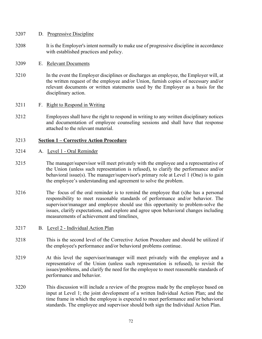#### 3207 D. Progressive Discipline

3208 It is the Employer's intent normally to make use of progressive discipline in accordance with established practices and policy.

#### 3209 E. Relevant Documents

3210 In the event the Employer disciplines or discharges an employee, the Employer will, at the written request of the employee and/or Union, furnish copies of necessary and/or relevant documents or written statements used by the Employer as a basis for the disciplinary action.

#### 3211 F. Right to Respond in Writing

3212 Employees shall have the right to respond in writing to any written disciplinary notices and documentation of employee counseling sessions and shall have that response attached to the relevant material.

#### 3213 **Section 1 – Corrective Action Procedure**

- 3214 A. Level 1 Oral Reminder
- 3215 The manager/supervisor will meet privately with the employee and a representative of the Union (unless such representation is refused), to clarify the performance and/or behavioral issue(s). The manager/supervisor's primary role at Level 1 (One) is to gain the employee's understanding and agreement to solve the problem.
- $3216$  The focus of the oral reminder is to remind the employee that (s) he has a personal responsibility to meet reasonable standards of performance and/or behavior. The supervisor/manager and employee should use this opportunity to problem-solve the issues, clarify expectations, and explore and agree upon behavioral changes including measurements of achievement and timelines.
- 3217 B. Level 2 Individual Action Plan
- 3218 This is the second level of the Corrective Action Procedure and should be utilized if the employee's performance and/or behavioral problems continue.
- 3219 At this level the supervisor/manager will meet privately with the employee and a representative of the Union (unless such representation is refused), to revisit the issues/problems, and clarify the need for the employee to meet reasonable standards of performance and behavior.
- 3220 This discussion will include a review of the progress made by the employee based on input at Level 1; the joint development of a written Individual Action Plan; and the time frame in which the employee is expected to meet performance and/or behavioral standards. The employee and supervisor should both sign the Individual Action Plan.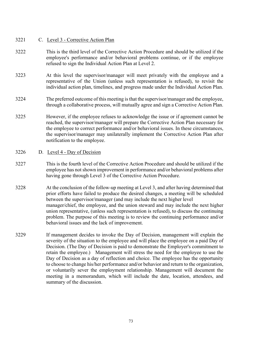#### 3221 C. Level 3 - Corrective Action Plan

- 3222 This is the third level of the Corrective Action Procedure and should be utilized if the employee's performance and/or behavioral problems continue, or if the employee refused to sign the Individual Action Plan at Level 2.
- 3223 At this level the supervisor/manager will meet privately with the employee and a representative of the Union (unless such representation is refused), to revisit the individual action plan, timelines, and progress made under the Individual Action Plan.
- 3224 The preferred outcome of this meeting is that the supervisor/manager and the employee, through a collaborative process, will mutually agree and sign a Corrective Action Plan.
- 3225 However, if the employee refuses to acknowledge the issue or if agreement cannot be reached, the supervisor/manager will prepare the Corrective Action Plan necessary for the employee to correct performance and/or behavioral issues. In these circumstances, the supervisor/manager may unilaterally implement the Corrective Action Plan after notification to the employee.

#### 3226 D. Level 4 - Day of Decision

- 3227 This is the fourth level of the Corrective Action Procedure and should be utilized if the employee has not shown improvement in performance and/or behavioral problems after having gone through Level 3 of the Corrective Action Procedure.
- 3228 At the conclusion of the follow-up meeting at Level 3, and after having determined that prior efforts have failed to produce the desired changes, a meeting will be scheduled between the supervisor/manager (and may include the next higher level manager/chief, the employee, and the union steward and may include the next higher union representative, (unless such representation is refused), to discuss the continuing problem. The purpose of this meeting is to review the continuing performance and/or behavioral issues and the lack of improvement.
- 3229 If management decides to invoke the Day of Decision, management will explain the severity of the situation to the employee and will place the employee on a paid Day of Decision. (The Day of Decision is paid to demonstrate the Employer's commitment to retain the employee.) Management will stress the need for the employee to use the Day of Decision as a day of reflection and choice. The employee has the opportunity to choose to change his/her performance and/or behavior and return to the organization, or voluntarily sever the employment relationship. Management will document the meeting in a memorandum, which will include the date, location, attendees, and summary of the discussion.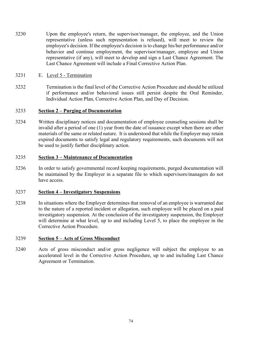- 3230 Upon the employee's return, the supervisor/manager, the employee, and the Union representative (unless such representation is refused), will meet to review the employee's decision. If the employee's decision is to change his/her performance and/or behavior and continue employment, the supervisor/manager, employee and Union representative (if any), will meet to develop and sign a Last Chance Agreement. The Last Chance Agreement will include a Final Corrective Action Plan.
- 3231 E. Level 5 Termination
- 3232 Termination is the final level of the Corrective Action Procedure and should be utilized if performance and/or behavioral issues still persist despite the Oral Reminder, Individual Action Plan, Corrective Action Plan, and Day of Decision.

#### 3233 **Section 2 – Purging of Documentation**

3234 Written disciplinary notices and documentation of employee counseling sessions shall be invalid after a period of one (1) year from the date of issuance except when there are other materials of the same or related nature. It is understood that while the Employer may retain expired documents to satisfy legal and regulatory requirements, such documents will not be used to justify further disciplinary action.

### 3235 **Section 3 – Maintenance of Documentation**

3236 In order to satisfy governmental record keeping requirements, purged documentation will be maintained by the Employer in a separate file to which supervisors/managers do not have access.

#### 3237 **Section 4 – Investigatory Suspensions**

3238 In situations where the Employer determines that removal of an employee is warranted due to the nature of a reported incident or allegation, such employee will be placed on a paid investigatory suspension. At the conclusion of the investigatory suspension, the Employer will determine at what level, up to and including Level 5, to place the employee in the Corrective Action Procedure.

#### 3239 **Section 5 – Acts of Gross Misconduct**

3240 Acts of gross misconduct and/or gross negligence will subject the employee to an accelerated level in the Corrective Action Procedure, up to and including Last Chance Agreement or Termination.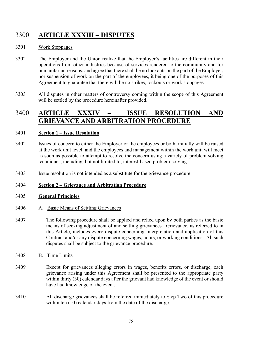# 3300 **ARTICLE XXXIII – DISPUTES**

### 3301 Work Stoppages

- 3302 The Employer and the Union realize that the Employer's facilities are different in their operations from other industries because of services rendered to the community and for humanitarian reasons, and agree that there shall be no lockouts on the part of the Employer, nor suspension of work on the part of the employees, it being one of the purposes of this Agreement to guarantee that there will be no strikes, lockouts or work stoppages.
- 3303 All disputes in other matters of controversy coming within the scope of this Agreement will be settled by the procedure hereinafter provided.

## 3400 **ARTICLE XXXIV – ISSUE RESOLUTION AND GRIEVANCE AND ARBITRATION PROCEDURE**

#### 3401 **Section 1 – Issue Resolution**

- 3402 Issues of concern to either the Employer or the employees or both, initially will be raised at the work unit level, and the employees and management within the work unit will meet as soon as possible to attempt to resolve the concern using a variety of problem-solving techniques, including, but not limited to, interest-based problem-solving.
- 3403 Issue resolution is not intended as a substitute for the grievance procedure.

#### 3404 **Section 2 – Grievance and Arbitration Procedure**

#### 3405 **General Principles**

- 3406 A. Basic Means of Settling Grievances
- 3407 The following procedure shall be applied and relied upon by both parties as the basic means of seeking adjustment of and settling grievances. Grievance, as referred to in this Article, includes every dispute concerning interpretation and application of this Contract and/or any dispute concerning wages, hours, or working conditions. All such disputes shall be subject to the grievance procedure.
- 3408 B. Time Limits
- 3409 Except for grievances alleging errors in wages, benefits errors, or discharge, each grievance arising under this Agreement shall be presented to the appropriate party within thirty (30) calendar days after the grievant had knowledge of the event or should have had knowledge of the event.
- 3410 All discharge grievances shall be referred immediately to Step Two of this procedure within ten (10) calendar days from the date of the discharge.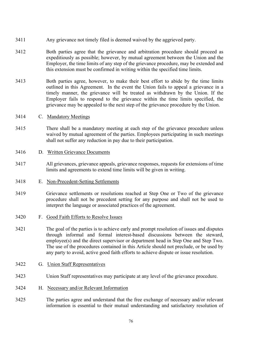- 3411 Any grievance not timely filed is deemed waived by the aggrieved party.
- 3412 Both parties agree that the grievance and arbitration procedure should proceed as expeditiously as possible; however, by mutual agreement between the Union and the Employer, the time limits of any step of the grievance procedure, may be extended and this extension must be confirmed in writing within the specified time limits.
- 3413 Both parties agree, however, to make their best effort to abide by the time limits outlined in this Agreement. In the event the Union fails to appeal a grievance in a timely manner, the grievance will be treated as withdrawn by the Union. If the Employer fails to respond to the grievance within the time limits specified, the grievance may be appealed to the next step of the grievance procedure by the Union.
- 3414 C. Mandatory Meetings
- 3415 There shall be a mandatory meeting at each step of the grievance procedure unless waived by mutual agreement of the parties. Employees participating in such meetings shall not suffer any reduction in pay due to their participation.
- 3416 D. Written Grievance Documents
- 3417 All grievances, grievance appeals, grievance responses, requests for extensions of time limits and agreements to extend time limits will be given in writing.
- 3418 E. Non-Precedent-Setting Settlements
- 3419 Grievance settlements or resolutions reached at Step One or Two of the grievance procedure shall not be precedent setting for any purpose and shall not be used to interpret the language or associated practices of the agreement.
- 3420 F. Good Faith Efforts to Resolve Issues
- 3421 The goal of the parties is to achieve early and prompt resolution of issues and disputes through informal and formal interest-based discussions between the steward, employee(s) and the direct supervisor or department head in Step One and Step Two. The use of the procedures contained in this Article should not preclude, or be used by any party to avoid, active good faith efforts to achieve dispute or issue resolution.
- 3422 G. Union Staff Representatives
- 3423 Union Staff representatives may participate at any level of the grievance procedure.
- 3424 H. Necessary and/or Relevant Information
- 3425 The parties agree and understand that the free exchange of necessary and/or relevant information is essential to their mutual understanding and satisfactory resolution of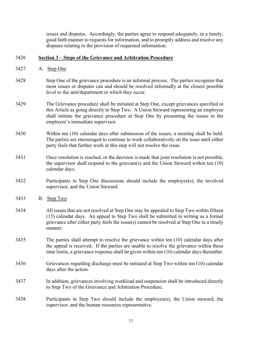issues and disputes. Accordingly, the parties agree to respond adequately, in a timely, good faith manner to requests for information, and to promptly address and resolve any disputes relating to the provision of requested information.

#### 3426 **Section 3 – Steps of the Grievance and Arbitration Procedure**

- 3427 A. Step One
- 3428 Step One of the grievance procedure is an informal process. The parties recognize that most issues or disputes can and should be resolved informally at the closest possible level to the unit/department in which they occur.
- 3429 The Grievance procedure shall be initiated at Step One, except grievances specified in this Article as going directly to Step Two. A Union Steward representing an employee shall initiate the grievance procedure at Step One by presenting the issues to the employee's immediate supervisor.
- 3430 Within ten (10) calendar days after submission of the issues, a meeting shall be held. The parties are encouraged to continue to work collaboratively on the issue until either party feels that further work at this step will not resolve the issue.
- 3431 Once resolution is reached, or the decision is made that joint resolution is not possible, the supervisor shall respond to the grievant(s) and the Union Steward within ten  $(10)$ calendar days.
- 3432 Participants in Step One discussions should include the employee(s), the involved supervisor, and the Union Steward.
- 3433 B. Step Two
- 3434 All issues that are not resolved at Step One may be appealed to Step Two within fifteen (15) calendar days. An appeal to Step Two shall be submitted in writing as a formal grievance after either party feels the issue(s) cannot be resolved at Step One in a timely manner.
- 3435 The parties shall attempt to resolve the grievance within ten (10) calendar days after the appeal is received. If the parties are unable to resolve the grievance within these time limits, a grievance response shall be given within ten (10) calendar days thereafter.
- 3436 Grievances regarding discharge must be initiated at Step Two within ten (10) calendar days after the action.
- 3437 In addition, grievances involving workload and suspension shall be introduced directly to Step Two of the Grievance and Arbitration Procedure.
- 3438 Participants in Step Two should include the employee(s), the Union steward, the supervisor, and the human resources representative.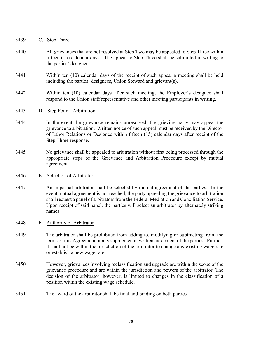- 3439 C. Step Three
- 3440 All grievances that are not resolved at Step Two may be appealed to Step Three within fifteen (15) calendar days. The appeal to Step Three shall be submitted in writing to the parties' designees.
- 3441 Within ten (10) calendar days of the receipt of such appeal a meeting shall be held including the parties' designees, Union Steward and grievant(s).
- 3442 Within ten (10) calendar days after such meeting, the Employer's designee shall respond to the Union staff representative and other meeting participants in writing.

#### 3443 D. Step Four – Arbitration

- 3444 In the event the grievance remains unresolved, the grieving party may appeal the grievance to arbitration. Written notice of such appeal must be received by the Director of Labor Relations or Designee within fifteen (15) calendar days after receipt of the Step Three response.
- 3445 No grievance shall be appealed to arbitration without first being processed through the appropriate steps of the Grievance and Arbitration Procedure except by mutual agreement.

#### 3446 E. Selection of Arbitrator

3447 An impartial arbitrator shall be selected by mutual agreement of the parties. In the event mutual agreement is not reached, the party appealing the grievance to arbitration shall request a panel of arbitrators from the Federal Mediation and Conciliation Service. Upon receipt of said panel, the parties will select an arbitrator by alternately striking names.

#### 3448 F. Authority of Arbitrator

- 3449 The arbitrator shall be prohibited from adding to, modifying or subtracting from, the terms of this Agreement or any supplemental written agreement of the parties. Further, it shall not be within the jurisdiction of the arbitrator to change any existing wage rate or establish a new wage rate.
- 3450 However, grievances involving reclassification and upgrade are within the scope of the grievance procedure and are within the jurisdiction and powers of the arbitrator. The decision of the arbitrator, however, is limited to changes in the classification of a position within the existing wage schedule.
- 3451 The award of the arbitrator shall be final and binding on both parties.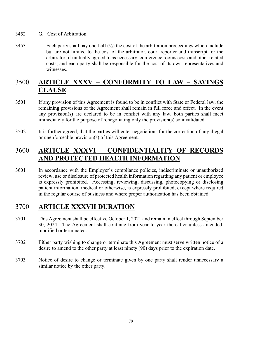#### 3452 G. Cost of Arbitration

3453 Each party shall pay one-half  $(\frac{1}{2})$  the cost of the arbitration proceedings which include but are not limited to the cost of the arbitrator, court reporter and transcript for the arbitrator, if mutually agreed to as necessary, conference rooms costs and other related costs, and each party shall be responsible for the cost of its own representatives and witnesses.

# 3500 **ARTICLE XXXV – CONFORMITY TO LAW – SAVINGS CLAUSE**

- 3501 If any provision of this Agreement is found to be in conflict with State or Federal law, the remaining provisions of the Agreement shall remain in full force and effect. In the event any provision(s) are declared to be in conflict with any law, both parties shall meet immediately for the purpose of renegotiating only the provision(s) so invalidated.
- 3502 It is further agreed, that the parties will enter negotiations for the correction of any illegal or unenforceable provision(s) of this Agreement.

# 3600 **ARTICLE XXXVI – CONFIDENTIALITY OF RECORDS AND PROTECTED HEALTH INFORMATION**

3601 In accordance with the Employer's compliance policies, indiscriminate or unauthorized review, use or disclosure of protected health information regarding any patient or employee is expressly prohibited. Accessing, reviewing, discussing, photocopying or disclosing patient information, medical or otherwise, is expressly prohibited, except where required in the regular course of business and where proper authorization has been obtained.

## 3700 **ARTICLE XXXVII DURATION**

- 3701 This Agreement shall be effective October 1, 2021 and remain in effect through September 30, 2024. The Agreement shall continue from year to year thereafter unless amended, modified or terminated.
- 3702 Either party wishing to change or terminate this Agreement must serve written notice of a desire to amend to the other party at least ninety (90) days prior to the expiration date.
- 3703 Notice of desire to change or terminate given by one party shall render unnecessary a similar notice by the other party.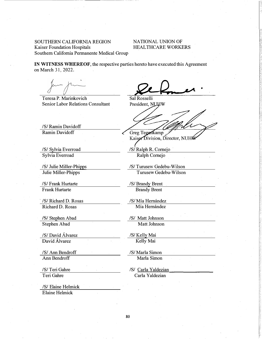#### SOUTHERN CALIFORNIA REGION Kaiser Foundation Hospitals Southern California Permanente Medical Group

#### NATIONAL UNION OF HEALTHCARE WORKERS

**IN WITNESS WHEREOF,** the respective parties hereto have executed this Agreement on March 31, 2022.

Teresa P. Marinkovich Senior Labor Relations Consultant

/S/ Ramin Davidoff Ramin Davidoff

/S/ Sylvia Everroad Sylvia Everroad

/S/ Julie Miller-Phipps Julie Miller-Phipps

/S/ Frank Hurtarte Frank Hurtarte

' /S/ Richard D. Rosas Richard D. Rosas

/S/ Stephen Abad Stephen Abad

/S/ David Alvarez David Alvarez

/S/ Ann Bendroff Ann Bendroff

/S/ Teri Gahre Teri Gahre

/S/ Elaine Helmick Elaine Helmick

Sal Rosselli<br>President, NUHW

Greg Tegenkamp

Kaiser Division, Director, NUHW

/S/ Ralph R. Cornejo Ralph Cornejo

/S/ Turusew Gedebu-Wilson Turusew Gedebu-Wilson

/S/ Brandy Brent Brandy Brent

/S/Mía Hernández Mía Hernández

/S/ Matt Johnson Matt Johnson

/S/ Kelly Mai Kelly Mai

/S/ Marla Simon Marla Simon

/S/ Carla Y aldezian Carla Yaldezian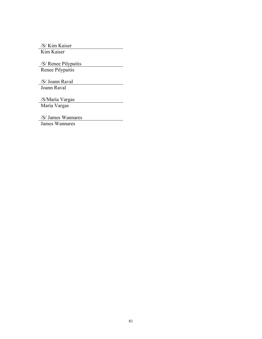/S/ Kim Kaiser

Kim Kaiser

/S/ Renee Pilypaitis Renee Pilypaitis

/S/ Joann Raval Joann Raval

/S/María Vargas

María Vargas

/S/ James Wannares

James Wannares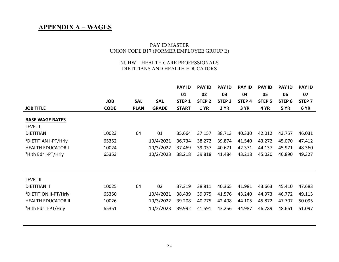## **APPENDIX A – WAGES**

#### PAY ID MASTER UNION CODE B17 (FORMER EMPLOYEE GROUP E)

#### NUHW – HEALTH CARE PROFESSIONALS DIETITIANS AND HEALTH EDUCATORS

|                                   |             |             |              | <b>PAY ID</b>     | <b>PAY ID</b>     | <b>PAY ID</b>     | <b>PAY ID</b>     | <b>PAY ID</b>     | <b>PAY ID</b>     | <b>PAY ID</b>     |
|-----------------------------------|-------------|-------------|--------------|-------------------|-------------------|-------------------|-------------------|-------------------|-------------------|-------------------|
|                                   |             |             |              | 01                | 02                | 03                | 04                | 05                | 06                | 07                |
|                                   | <b>JOB</b>  | <b>SAL</b>  | <b>SAL</b>   | STEP <sub>1</sub> | STEP <sub>2</sub> | STEP <sub>3</sub> | STEP <sub>4</sub> | STEP <sub>5</sub> | STEP <sub>6</sub> | STEP <sub>7</sub> |
| <b>JOB TITLE</b>                  | <b>CODE</b> | <b>PLAN</b> | <b>GRADE</b> | <b>START</b>      | <b>1 YR</b>       | <b>2 YR</b>       | 3 YR              | 4 YR              | <b>5 YR</b>       | 6 YR              |
| <b>BASE WAGE RATES</b>            |             |             |              |                   |                   |                   |                   |                   |                   |                   |
| <b>LEVEL I</b>                    |             |             |              |                   |                   |                   |                   |                   |                   |                   |
| <b>DIETITIAN I</b>                | 10023       | 64          | 01           | 35.664            | 37.157            | 38.713            | 40.330            | 42.012            | 43.757            | 46.031            |
| <sup>1</sup> DIETITIAN I-PT/Hrly  | 65352       |             | 10/4/2021    | 36.734            | 38.272            | 39.874            | 41.540            | 43.272            | 45.070            | 47.412            |
| <b>HEALTH EDUCATOR I</b>          | 10024       |             | 10/3/2022    | 37.469            | 39.037            | 40.671            | 42.371            | 44.137            | 45.971            | 48.360            |
| <sup>1</sup> Hith Edr I-PT/Hrly   | 65353       |             | 10/2/2023    | 38.218            | 39.818            | 41.484            | 43.218            | 45.020            | 46.890            | 49.327            |
|                                   |             |             |              |                   |                   |                   |                   |                   |                   |                   |
|                                   |             |             |              |                   |                   |                   |                   |                   |                   |                   |
| LEVEL II                          |             |             |              |                   |                   |                   |                   |                   |                   |                   |
| <b>DIETITIAN II</b>               | 10025       | 64          | 02           | 37.319            | 38.811            | 40.365            | 41.981            | 43.663            | 45.410            | 47.683            |
| <sup>1</sup> DIETITION II-PT/Hrly | 65350       |             | 10/4/2021    | 38.439            | 39.975            | 41.576            | 43.240            | 44.973            | 46.772            | 49.113            |
| <b>HEALTH EDUCATOR II</b>         | 10026       |             | 10/3/2022    | 39.208            | 40.775            | 42.408            | 44.105            | 45.872            | 47.707            | 50.095            |
| <sup>1</sup> Hith Edr II-PT/Hrly  | 65351       |             | 10/2/2023    | 39.992            | 41.591            | 43.256            | 44.987            | 46.789            | 48.661            | 51.097            |
|                                   |             |             |              |                   |                   |                   |                   |                   |                   |                   |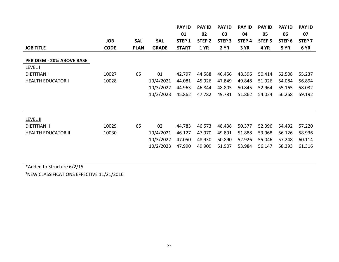|                           |             |             |              | <b>PAY ID</b>     | <b>PAY ID</b>     | <b>PAY ID</b>     | <b>PAY ID</b>     | <b>PAY ID</b>     | <b>PAY ID</b>     | <b>PAY ID</b>     |
|---------------------------|-------------|-------------|--------------|-------------------|-------------------|-------------------|-------------------|-------------------|-------------------|-------------------|
|                           |             |             |              | 01                | 02                | 03                | 04                | 05                | 06                | 07                |
|                           | <b>JOB</b>  | <b>SAL</b>  | <b>SAL</b>   | STEP <sub>1</sub> | STEP <sub>2</sub> | STEP <sub>3</sub> | STEP <sub>4</sub> | STEP <sub>5</sub> | STEP <sub>6</sub> | STEP <sub>7</sub> |
| <b>JOB TITLE</b>          | <b>CODE</b> | <b>PLAN</b> | <b>GRADE</b> | <b>START</b>      | <b>1 YR</b>       | <b>2 YR</b>       | 3 YR              | 4 YR              | <b>5 YR</b>       | 6 YR              |
|                           |             |             |              |                   |                   |                   |                   |                   |                   |                   |
| PER DIEM - 20% ABOVE BASE |             |             |              |                   |                   |                   |                   |                   |                   |                   |
| LEVEL I                   |             |             |              |                   |                   |                   |                   |                   |                   |                   |
| <b>DIETITIAN I</b>        | 10027       | 65          | 01           | 42.797            | 44.588            | 46.456            | 48.396            | 50.414            | 52.508            | 55.237            |
| <b>HEALTH EDUCATOR I</b>  | 10028       |             | 10/4/2021    | 44.081            | 45.926            | 47.849            | 49.848            | 51.926            | 54.084            | 56.894            |
|                           |             |             | 10/3/2022    | 44.963            | 46.844            | 48.805            | 50.845            | 52.964            | 55.165            | 58.032            |
|                           |             |             | 10/2/2023    | 45.862            | 47.782            | 49.781            | 51.862            | 54.024            | 56.268            | 59.192            |
|                           |             |             |              |                   |                   |                   |                   |                   |                   |                   |
|                           |             |             |              |                   |                   |                   |                   |                   |                   |                   |
| <b>LEVEL II</b>           |             |             |              |                   |                   |                   |                   |                   |                   |                   |
| <b>DIETITIAN II</b>       | 10029       | 65          | 02           | 44.783            | 46.573            | 48.438            | 50.377            | 52.396            | 54.492            | 57.220            |
| <b>HEALTH EDUCATOR II</b> | 10030       |             | 10/4/2021    | 46.127            | 47.970            | 49.891            | 51.888            | 53.968            | 56.126            | 58.936            |
|                           |             |             | 10/3/2022    | 47.050            | 48.930            | 50.890            | 52.926            | 55.046            | 57.248            | 60.114            |
|                           |             |             | 10/2/2023    | 47.990            | 49.909            | 51.907            | 53.984            | 56.147            | 58.393            | 61.316            |
|                           |             |             |              |                   |                   |                   |                   |                   |                   |                   |

\*Added to Structure 6/2/15 **<sup>1</sup>**NEW CLASSIFICATIONS EFFECTIVE 11/21/2016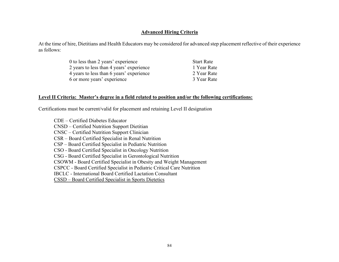#### **Advanced Hiring Criteria**

At the time of hire, Dietitians and Health Educators may be considered for advanced step placement reflective of their experience as follows:

| 0 to less than 2 years' experience       | <b>Start Rate</b> |
|------------------------------------------|-------------------|
| 2 years to less than 4 years' experience | 1 Year Rate       |
| 4 years to less than 6 years' experience | 2 Year Rate       |
| 6 or more years' experience              | 3 Year Rate       |

#### **Level II Criteria: Master's degree in a field related to position and/or the following certifications:**

Certifications must be current/valid for placement and retaining Level II designation

 CDE – Certified Diabetes Educator CNSD – Certified Nutrition Support Dietitian CNSC – Certified Nutrition Support Clinician CSR – Board Certified Specialist in Renal Nutrition CSP – Board Certified Specialist in Pediatric Nutrition CSO - Board Certified Specialist in Oncology Nutrition CSG - Board Certified Specialist in Gerontological Nutrition CSOWM - Board Certified Specialist in Obesity and Weight Management CSPCC - Board Certified Specialist in Pediatric Critical Care Nutrition IBCLC - International Board Certified Lactation Consultant CSSD – Board Certified Specialist in Sports Dietetics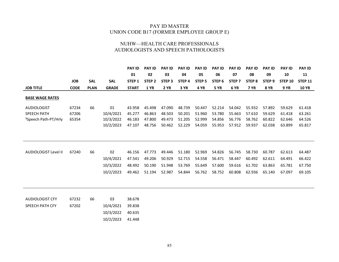#### PAY ID MASTER UNION CODE B17 (FORMER EMPLOYEE GROUP E)

#### NUHW—HEALTH CARE PROFESSIONALS AUDIOLOGISTS AND SPEECH PATHOLOGISTS

|                                  |             |             |              | <b>PAY ID</b>     | <b>PAY ID</b>     | <b>PAY ID</b>     | <b>PAY ID</b>     | <b>PAY ID</b> | <b>PAY ID</b>     | <b>PAY ID</b>     | <b>PAY ID</b>     | <b>PAY ID</b>     | <b>PAY ID</b>  | <b>PAY ID</b>  |
|----------------------------------|-------------|-------------|--------------|-------------------|-------------------|-------------------|-------------------|---------------|-------------------|-------------------|-------------------|-------------------|----------------|----------------|
|                                  |             |             |              | 01                | 02                | 03                | 04                | 05            | 06                | 07                | 08                | 09                | 10             | 11             |
|                                  | <b>JOB</b>  | <b>SAL</b>  | <b>SAL</b>   | STEP <sub>1</sub> | STEP <sub>2</sub> | STEP <sub>3</sub> | STEP <sub>4</sub> | <b>STEP 5</b> | STEP <sub>6</sub> | STEP <sub>7</sub> | STEP <sub>8</sub> | STEP <sub>9</sub> | <b>STEP 10</b> | <b>STEP 11</b> |
| <b>JOB TITLE</b>                 | <b>CODE</b> | <b>PLAN</b> | <b>GRADE</b> | <b>START</b>      | <b>1 YR</b>       | <b>2 YR</b>       | 3 YR              | 4 YR          | <b>5 YR</b>       | 6 YR              | <b>7 YR</b>       | <b>8 YR</b>       | <b>9 YR</b>    | <b>10 YR</b>   |
| <b>BASE WAGE RATES</b>           |             |             |              |                   |                   |                   |                   |               |                   |                   |                   |                   |                |                |
| <b>AUDIOLOGIST</b>               | 67234       | 66          | 01           | 43.958            | 45.498            | 47.090            | 48.739            | 50.447        | 52.214            | 54.042            | 55.932            | 57.892            | 59.629         | 61.418         |
| <b>SPEECH PATH</b>               | 67206       |             | 10/4/2021    | 45.277            | 46.863            | 48.503            | 50.201            | 51.960        | 53.780            | 55.663            | 57.610            | 59.629            | 61.418         | 63.261         |
| <sup>1</sup> Speech Path-PT/Hrly | 65354       |             | 10/3/2022    | 46.183            | 47.800            | 49.473            | 51.205            | 52.999        | 54.856            | 56.776            | 58.762            | 60.822            | 62.646         | 64.526         |
|                                  |             |             | 10/2/2023    | 47.107            | 48.756            | 50.462            | 52.229            | 54.059        | 55.953            | 57.912            | 59.937            | 62.038            | 63.899         | 65.817         |
|                                  |             |             |              |                   |                   |                   |                   |               |                   |                   |                   |                   |                |                |
|                                  |             |             |              |                   |                   |                   |                   |               |                   |                   |                   |                   |                |                |
| <b>AUDIOLOGIST Level II</b>      | 67240       | 66          | 02           | 46.156            | 47.773            | 49.446            | 51.180            | 52.969        | 54.826            | 56.745            | 58.730            | 60.787            | 62.613         | 64.487         |
|                                  |             |             | 10/4/2021    | 47.541            | 49.206            | 50.929            | 52.715            | 54.558        | 56.471            | 58.447            | 60.492            | 62.611            | 64.491         | 66.422         |
|                                  |             |             | 10/3/2022    | 48.492            | 50.190            | 51.948            | 53.769            | 55.649        | 57.600            | 59.616            | 61.702            | 63.863            | 65.781         | 67.750         |
|                                  |             |             | 10/2/2023    | 49.462            | 51.194            | 52.987            | 54.844            | 56.762        | 58.752            | 60.808            | 62.936            | 65.140            | 67.097         | 69.105         |
|                                  |             |             |              |                   |                   |                   |                   |               |                   |                   |                   |                   |                |                |
|                                  |             |             |              |                   |                   |                   |                   |               |                   |                   |                   |                   |                |                |
| <b>AUDIOLOGIST CFY</b>           | 67232       | 66          | 03           | 38.678            |                   |                   |                   |               |                   |                   |                   |                   |                |                |
| SPEECH PATH CFY                  | 67202       |             | 10/4/2021    | 39.838            |                   |                   |                   |               |                   |                   |                   |                   |                |                |
|                                  |             |             | 10/3/2022    | 40.635            |                   |                   |                   |               |                   |                   |                   |                   |                |                |
|                                  |             |             | 10/2/2023    | 41.448            |                   |                   |                   |               |                   |                   |                   |                   |                |                |
|                                  |             |             |              |                   |                   |                   |                   |               |                   |                   |                   |                   |                |                |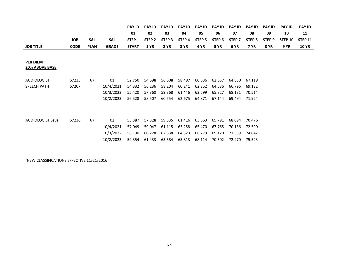|                             |             |             |              | <b>PAY ID</b> | <b>PAY ID</b>     | <b>PAY ID</b> | <b>PAY ID</b> | <b>PAY ID</b>     | <b>PAY ID</b>     | <b>PAY ID</b>     | <b>PAY ID</b> | <b>PAY ID</b> | <b>PAY ID</b>  | <b>PAY ID</b>  |
|-----------------------------|-------------|-------------|--------------|---------------|-------------------|---------------|---------------|-------------------|-------------------|-------------------|---------------|---------------|----------------|----------------|
|                             |             |             |              | 01            | 02                | 03            | 04            | 05                | 06                | 07                | 08            | 09            | 10             | 11             |
|                             | <b>JOB</b>  | <b>SAL</b>  | <b>SAL</b>   | STEP 1        | STEP <sub>2</sub> | STEP 3        | STEP 4        | STEP <sub>5</sub> | STEP <sub>6</sub> | STEP <sub>7</sub> | STEP 8        | STEP 9        | <b>STEP 10</b> | <b>STEP 11</b> |
| <b>JOB TITLE</b>            | <b>CODE</b> | <b>PLAN</b> | <b>GRADE</b> | <b>START</b>  | <b>1 YR</b>       | <b>2 YR</b>   | 3 YR          | <b>4 YR</b>       | <b>5 YR</b>       | 6 YR              | <b>7 YR</b>   | <b>8 YR</b>   | <b>9 YR</b>    | <b>10 YR</b>   |
|                             |             |             |              |               |                   |               |               |                   |                   |                   |               |               |                |                |
| PER DIEM                    |             |             |              |               |                   |               |               |                   |                   |                   |               |               |                |                |
| 20% ABOVE BASE              |             |             |              |               |                   |               |               |                   |                   |                   |               |               |                |                |
|                             |             |             |              |               |                   |               |               |                   |                   |                   |               |               |                |                |
| <b>AUDIOLOGIST</b>          | 67235       | 67          | 01           | 52.750        | 54.598            | 56.508        | 58.487        | 60.536            | 62.657            | 64.850            | 67.118        |               |                |                |
| <b>SPEECH PATH</b>          | 67207       |             | 10/4/2021    | 54.332        | 56.236            | 58.204        | 60.241        | 62.352            | 64.536            | 66.796            | 69.132        |               |                |                |
|                             |             |             | 10/3/2022    | 55.420        | 57.360            | 59.368        | 61.446        | 63.599            | 65.827            | 68.131            | 70.514        |               |                |                |
|                             |             |             | 10/2/2023    | 56.528        | 58.507            | 60.554        | 62.675        | 64.871            | 67.144            | 69.494            | 71.924        |               |                |                |
|                             |             |             |              |               |                   |               |               |                   |                   |                   |               |               |                |                |
|                             |             |             |              |               |                   |               |               |                   |                   |                   |               |               |                |                |
| <b>AUDIOLOGIST Level II</b> | 67236       | 67          | 02           | 55.387        | 57.328            | 59.335        | 61.416        | 63.563            | 65.791            | 68.094            | 70.476        |               |                |                |
|                             |             |             |              |               |                   |               |               |                   |                   |                   |               |               |                |                |
|                             |             |             | 10/4/2021    | 57.049        | 59.047            | 61.115        | 63.258        | 65.470            | 67.765            | 70.136            | 72.590        |               |                |                |
|                             |             |             | 10/3/2022    | 58.190        | 60.228            | 62.338        | 64.523        | 66.779            | 69.120            | 71.539            | 74.042        |               |                |                |
|                             |             |             | 10/2/2023    | 59.354        | 61.433            | 63.584        | 65.813        | 68.114            | 70.502            | 72.970            | 75.523        |               |                |                |
|                             |             |             |              |               |                   |               |               |                   |                   |                   |               |               |                |                |

**<sup>1</sup>**NEW CLASSIFICATIONS EFFECTIVE 11/21/2016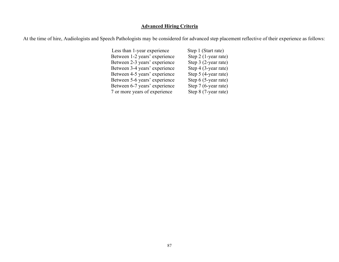### **Advanced Hiring Criteria**

At the time of hire, Audiologists and Speech Pathologists may be considered for advanced step placement reflective of their experience as follows:

| Less than 1-year experience   | Step 1 (Start rate)  |
|-------------------------------|----------------------|
| Between 1-2 years' experience | Step 2 (1-year rate) |
| Between 2-3 years' experience | Step 3 (2-year rate) |
| Between 3-4 years' experience | Step 4 (3-year rate) |
| Between 4-5 years' experience | Step 5 (4-year rate) |
| Between 5-6 years' experience | Step 6 (5-year rate) |
| Between 6-7 years' experience | Step 7 (6-year rate) |
| 7 or more years of experience | Step 8 (7-year rate) |
|                               |                      |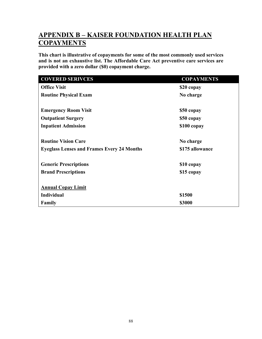# **APPENDIX B – KAISER FOUNDATION HEALTH PLAN COPAYMENTS**

**This chart is illustrative of copayments for some of the most commonly used services and is not an exhaustive list. The Affordable Care Act preventive care services are provided with a zero dollar (\$0) copayment charge.** 

| <b>COVERED SERIVCES</b>                           | <b>COPAYMENTS</b> |
|---------------------------------------------------|-------------------|
| <b>Office Visit</b>                               | \$20 copay        |
| <b>Routine Physical Exam</b>                      | No charge         |
|                                                   |                   |
| <b>Emergency Room Visit</b>                       | \$50 copay        |
| <b>Outpatient Surgery</b>                         | \$50 copay        |
| <b>Inpatient Admission</b>                        | \$100 copay       |
|                                                   |                   |
| <b>Routine Vision Care</b>                        | No charge         |
| <b>Eyeglass Lenses and Frames Every 24 Months</b> | \$175 allowance   |
|                                                   |                   |
| <b>Generic Prescriptions</b>                      | \$10 copay        |
| <b>Brand Prescriptions</b>                        | \$15 copay        |
|                                                   |                   |
| <b>Annual Copay Limit</b>                         |                   |
| <b>Individual</b>                                 | \$1500            |
| <b>Family</b>                                     | \$3000            |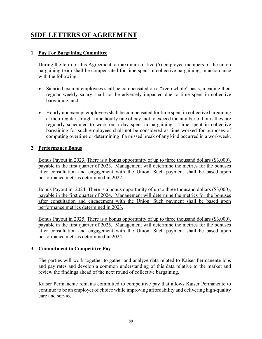# **SIDE LETTERS OF AGREEMENT**

### **1. Pay For Bargaining Committee**

During the term of this Agreement, a maximum of five (5) employee members of the union bargaining team shall be compensated for time spent in collective bargaining, in accordance with the following:

- Salaried exempt employees shall be compensated on a "keep whole" basis; meaning their regular weekly salary shall not be adversely impacted due to time spent in collective bargaining; and,
- Hourly nonexempt employees shall be compensated for time spent in collective bargaining at their regular straight time hourly rate of pay, not to exceed the number of hours they are regularly scheduled to work on a day spent in bargaining. Time spent in collective bargaining for such employees shall not be considered as time worked for purposes of computing overtime or determining if a missed break of any kind occurred in a workweek.

### **2. Performance Bonus**

Bonus Payout in 2023. There is a bonus opportunity of up to three thousand dollars (\$3,000), payable in the first quarter of 2023. Management will determine the metrics for the bonuses after consultation and engagement with the Union. Such payment shall be based upon performance metrics determined in 2022.

Bonus Payout in 2024. There is a bonus opportunity of up to three thousand dollars (\$3,000), payable in the first quarter of 2024. Management will determine the metrics for the bonuses after consultation and engagement with the Union. Such payment shall be based upon performance metrics determined in 2023.

Bonus Payout in 2025. There is a bonus opportunity of up to three thousand dollars (\$3,000), payable in the first quarter of 2025. Management will determine the metrics for the bonuses after consultation and engagement with the Union. Such payment shall be based upon performance metrics determined in 2024.

### **3. Commitment to Competitive Pay**

The parties will work together to gather and analyze data related to Kaiser Permanente jobs and pay rates and develop a common understanding of this data relative to the market and review the findings ahead of the next round of collective bargaining.

Kaiser Permanente remains committed to competitive pay that allows Kaiser Permanente to continue to be an employer of choice while improving affordability and delivering high-quality care and service.